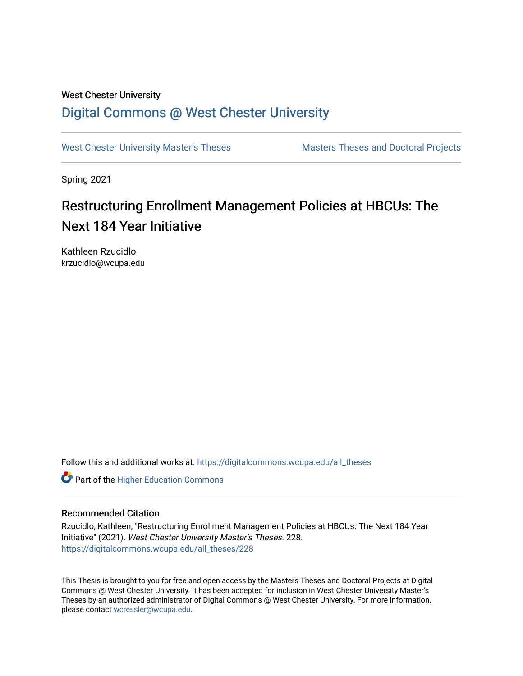# West Chester University [Digital Commons @ West Chester University](https://digitalcommons.wcupa.edu/)

[West Chester University Master's Theses](https://digitalcommons.wcupa.edu/all_theses) Masters Theses and Doctoral Projects

Spring 2021

# Restructuring Enrollment Management Policies at HBCUs: The Next 184 Year Initiative

Kathleen Rzucidlo krzucidlo@wcupa.edu

Follow this and additional works at: [https://digitalcommons.wcupa.edu/all\\_theses](https://digitalcommons.wcupa.edu/all_theses?utm_source=digitalcommons.wcupa.edu%2Fall_theses%2F228&utm_medium=PDF&utm_campaign=PDFCoverPages) 

**Part of the Higher Education Commons** 

# Recommended Citation

Rzucidlo, Kathleen, "Restructuring Enrollment Management Policies at HBCUs: The Next 184 Year Initiative" (2021). West Chester University Master's Theses. 228. [https://digitalcommons.wcupa.edu/all\\_theses/228](https://digitalcommons.wcupa.edu/all_theses/228?utm_source=digitalcommons.wcupa.edu%2Fall_theses%2F228&utm_medium=PDF&utm_campaign=PDFCoverPages) 

This Thesis is brought to you for free and open access by the Masters Theses and Doctoral Projects at Digital Commons @ West Chester University. It has been accepted for inclusion in West Chester University Master's Theses by an authorized administrator of Digital Commons @ West Chester University. For more information, please contact [wcressler@wcupa.edu](mailto:wcressler@wcupa.edu).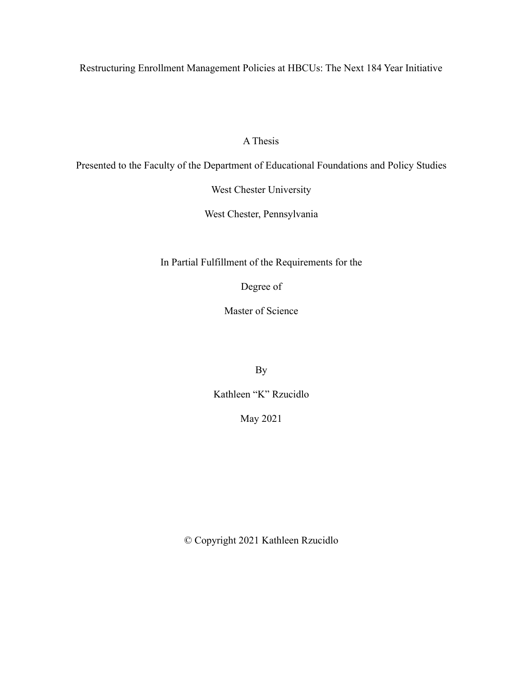Restructuring Enrollment Management Policies at HBCUs: The Next 184 Year Initiative

A Thesis

Presented to the Faculty of the Department of Educational Foundations and Policy Studies

West Chester University

West Chester, Pennsylvania

In Partial Fulfillment of the Requirements for the

Degree of

Master of Science

By

Kathleen "K" Rzucidlo

May 2021

© Copyright 2021 Kathleen Rzucidlo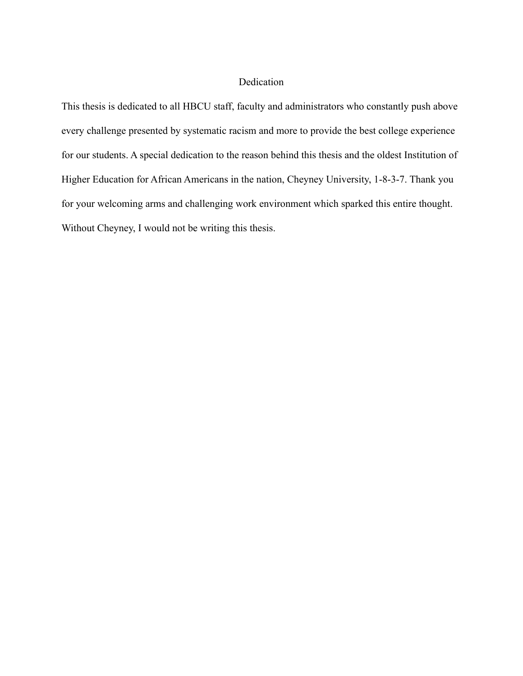# Dedication

This thesis is dedicated to all HBCU staff, faculty and administrators who constantly push above every challenge presented by systematic racism and more to provide the best college experience for our students. A special dedication to the reason behind this thesis and the oldest Institution of Higher Education for African Americans in the nation, Cheyney University, 1-8-3-7. Thank you for your welcoming arms and challenging work environment which sparked this entire thought. Without Cheyney, I would not be writing this thesis.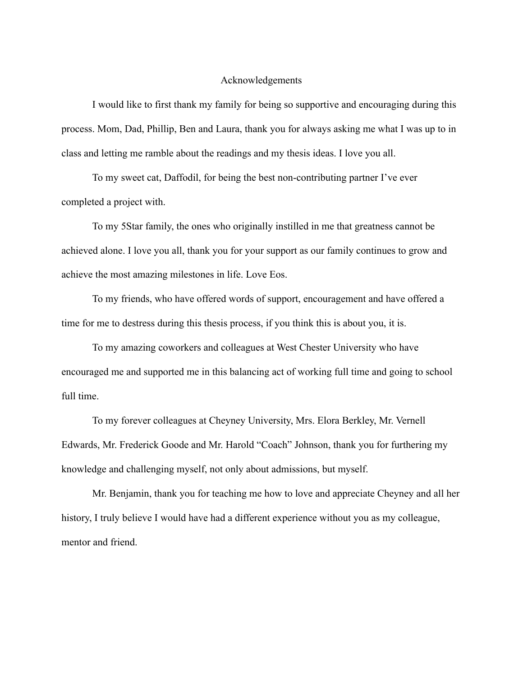# Acknowledgements

I would like to first thank my family for being so supportive and encouraging during this process. Mom, Dad, Phillip, Ben and Laura, thank you for always asking me what I was up to in class and letting me ramble about the readings and my thesis ideas. I love you all.

To my sweet cat, Daffodil, for being the best non-contributing partner I've ever completed a project with.

To my 5Star family, the ones who originally instilled in me that greatness cannot be achieved alone. I love you all, thank you for your support as our family continues to grow and achieve the most amazing milestones in life. Love Eos.

To my friends, who have offered words of support, encouragement and have offered a time for me to destress during this thesis process, if you think this is about you, it is.

To my amazing coworkers and colleagues at West Chester University who have encouraged me and supported me in this balancing act of working full time and going to school full time.

To my forever colleagues at Cheyney University, Mrs. Elora Berkley, Mr. Vernell Edwards, Mr. Frederick Goode and Mr. Harold "Coach" Johnson, thank you for furthering my knowledge and challenging myself, not only about admissions, but myself.

Mr. Benjamin, thank you for teaching me how to love and appreciate Cheyney and all her history, I truly believe I would have had a different experience without you as my colleague, mentor and friend.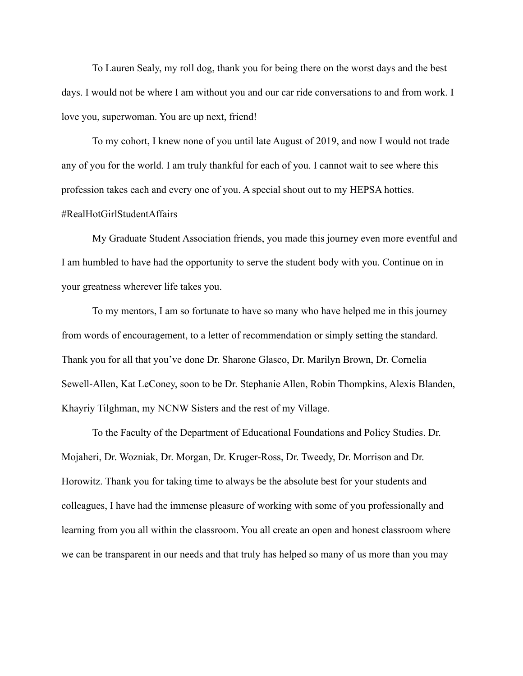To Lauren Sealy, my roll dog, thank you for being there on the worst days and the best days. I would not be where I am without you and our car ride conversations to and from work. I love you, superwoman. You are up next, friend!

To my cohort, I knew none of you until late August of 2019, and now I would not trade any of you for the world. I am truly thankful for each of you. I cannot wait to see where this profession takes each and every one of you. A special shout out to my HEPSA hotties. #RealHotGirlStudentAffairs

My Graduate Student Association friends, you made this journey even more eventful and I am humbled to have had the opportunity to serve the student body with you. Continue on in your greatness wherever life takes you.

To my mentors, I am so fortunate to have so many who have helped me in this journey from words of encouragement, to a letter of recommendation or simply setting the standard. Thank you for all that you've done Dr. Sharone Glasco, Dr. Marilyn Brown, Dr. Cornelia Sewell-Allen, Kat LeConey, soon to be Dr. Stephanie Allen, Robin Thompkins, Alexis Blanden, Khayriy Tilghman, my NCNW Sisters and the rest of my Village.

To the Faculty of the Department of Educational Foundations and Policy Studies. Dr. Mojaheri, Dr. Wozniak, Dr. Morgan, Dr. Kruger-Ross, Dr. Tweedy, Dr. Morrison and Dr. Horowitz. Thank you for taking time to always be the absolute best for your students and colleagues, I have had the immense pleasure of working with some of you professionally and learning from you all within the classroom. You all create an open and honest classroom where we can be transparent in our needs and that truly has helped so many of us more than you may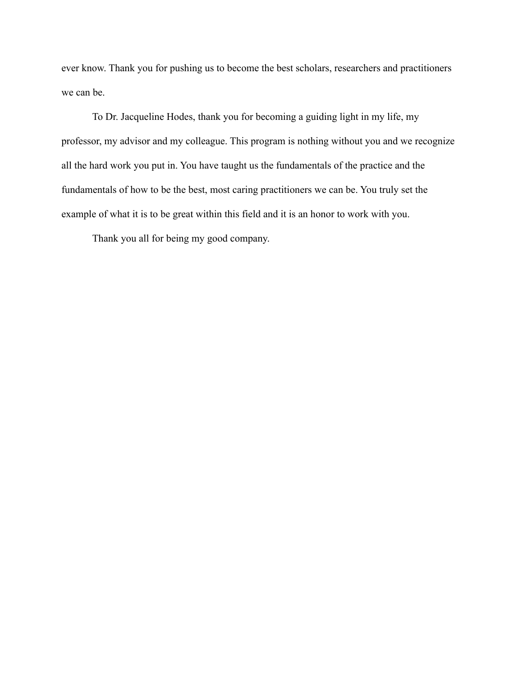ever know. Thank you for pushing us to become the best scholars, researchers and practitioners we can be.

To Dr. Jacqueline Hodes, thank you for becoming a guiding light in my life, my professor, my advisor and my colleague. This program is nothing without you and we recognize all the hard work you put in. You have taught us the fundamentals of the practice and the fundamentals of how to be the best, most caring practitioners we can be. You truly set the example of what it is to be great within this field and it is an honor to work with you.

Thank you all for being my good company.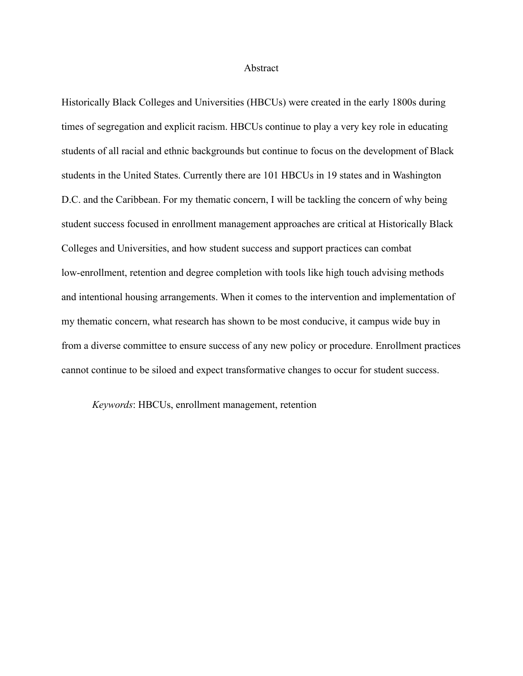#### Abstract

Historically Black Colleges and Universities (HBCUs) were created in the early 1800s during times of segregation and explicit racism. HBCUs continue to play a very key role in educating students of all racial and ethnic backgrounds but continue to focus on the development of Black students in the United States. Currently there are 101 HBCUs in 19 states and in Washington D.C. and the Caribbean. For my thematic concern, I will be tackling the concern of why being student success focused in enrollment management approaches are critical at Historically Black Colleges and Universities, and how student success and support practices can combat low-enrollment, retention and degree completion with tools like high touch advising methods and intentional housing arrangements. When it comes to the intervention and implementation of my thematic concern, what research has shown to be most conducive, it campus wide buy in from a diverse committee to ensure success of any new policy or procedure. Enrollment practices cannot continue to be siloed and expect transformative changes to occur for student success.

*Keywords*: HBCUs, enrollment management, retention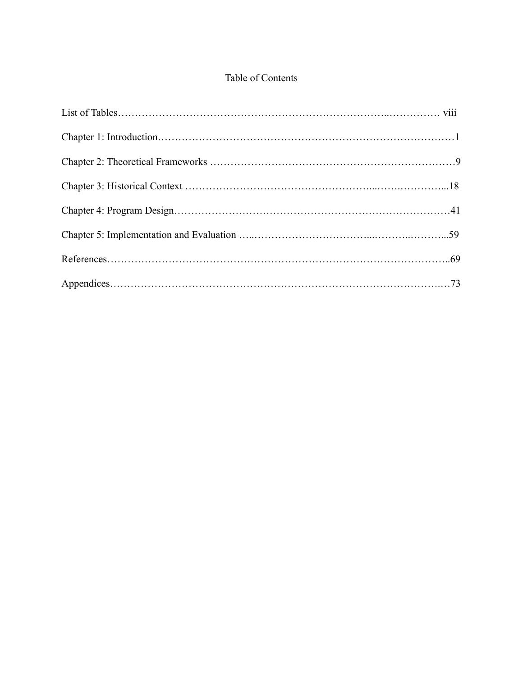# Table of Contents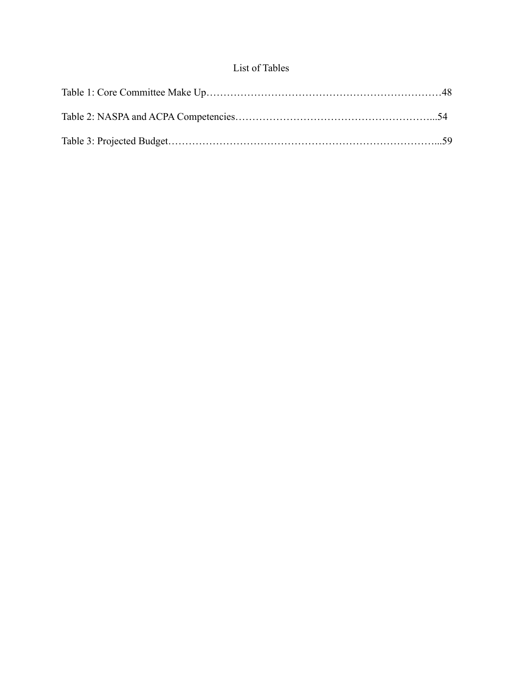# List of Tables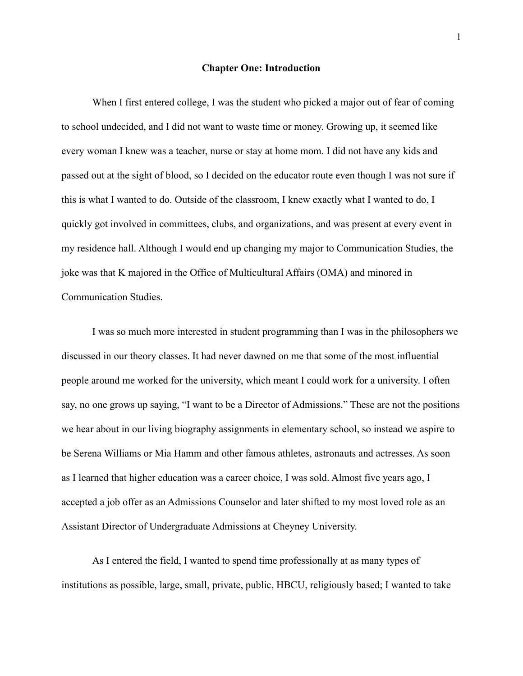#### **Chapter One: Introduction**

When I first entered college, I was the student who picked a major out of fear of coming to school undecided, and I did not want to waste time or money. Growing up, it seemed like every woman I knew was a teacher, nurse or stay at home mom. I did not have any kids and passed out at the sight of blood, so I decided on the educator route even though I was not sure if this is what I wanted to do. Outside of the classroom, I knew exactly what I wanted to do, I quickly got involved in committees, clubs, and organizations, and was present at every event in my residence hall. Although I would end up changing my major to Communication Studies, the joke was that K majored in the Office of Multicultural Affairs (OMA) and minored in Communication Studies.

I was so much more interested in student programming than I was in the philosophers we discussed in our theory classes. It had never dawned on me that some of the most influential people around me worked for the university, which meant I could work for a university. I often say, no one grows up saying, "I want to be a Director of Admissions." These are not the positions we hear about in our living biography assignments in elementary school, so instead we aspire to be Serena Williams or Mia Hamm and other famous athletes, astronauts and actresses. As soon as I learned that higher education was a career choice, I was sold. Almost five years ago, I accepted a job offer as an Admissions Counselor and later shifted to my most loved role as an Assistant Director of Undergraduate Admissions at Cheyney University.

As I entered the field, I wanted to spend time professionally at as many types of institutions as possible, large, small, private, public, HBCU, religiously based; I wanted to take

1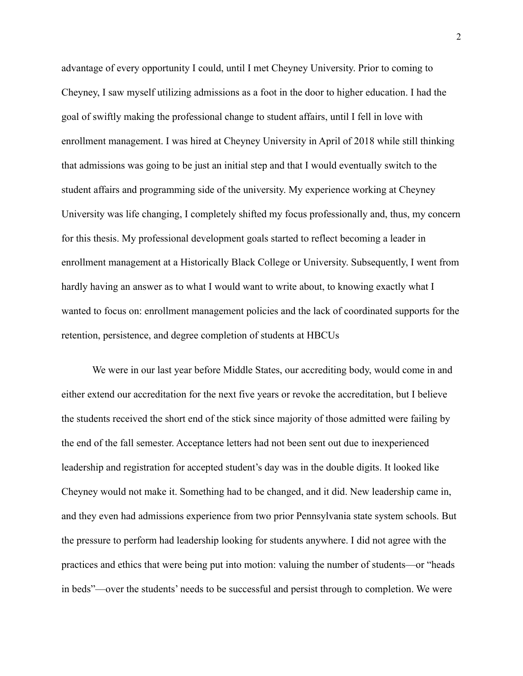advantage of every opportunity I could, until I met Cheyney University. Prior to coming to Cheyney, I saw myself utilizing admissions as a foot in the door to higher education. I had the goal of swiftly making the professional change to student affairs, until I fell in love with enrollment management. I was hired at Cheyney University in April of 2018 while still thinking that admissions was going to be just an initial step and that I would eventually switch to the student affairs and programming side of the university. My experience working at Cheyney University was life changing, I completely shifted my focus professionally and, thus, my concern for this thesis. My professional development goals started to reflect becoming a leader in enrollment management at a Historically Black College or University. Subsequently, I went from hardly having an answer as to what I would want to write about, to knowing exactly what I wanted to focus on: enrollment management policies and the lack of coordinated supports for the retention, persistence, and degree completion of students at HBCUs

We were in our last year before Middle States, our accrediting body, would come in and either extend our accreditation for the next five years or revoke the accreditation, but I believe the students received the short end of the stick since majority of those admitted were failing by the end of the fall semester. Acceptance letters had not been sent out due to inexperienced leadership and registration for accepted student's day was in the double digits. It looked like Cheyney would not make it. Something had to be changed, and it did. New leadership came in, and they even had admissions experience from two prior Pennsylvania state system schools. But the pressure to perform had leadership looking for students anywhere. I did not agree with the practices and ethics that were being put into motion: valuing the number of students—or "heads in beds"—over the students' needs to be successful and persist through to completion. We were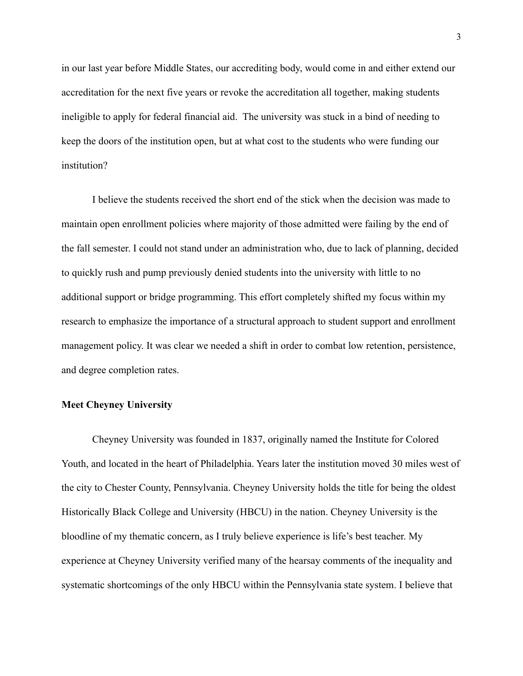in our last year before Middle States, our accrediting body, would come in and either extend our accreditation for the next five years or revoke the accreditation all together, making students ineligible to apply for federal financial aid. The university was stuck in a bind of needing to keep the doors of the institution open, but at what cost to the students who were funding our institution?

I believe the students received the short end of the stick when the decision was made to maintain open enrollment policies where majority of those admitted were failing by the end of the fall semester. I could not stand under an administration who, due to lack of planning, decided to quickly rush and pump previously denied students into the university with little to no additional support or bridge programming. This effort completely shifted my focus within my research to emphasize the importance of a structural approach to student support and enrollment management policy. It was clear we needed a shift in order to combat low retention, persistence, and degree completion rates.

# **Meet Cheyney University**

Cheyney University was founded in 1837, originally named the Institute for Colored Youth, and located in the heart of Philadelphia. Years later the institution moved 30 miles west of the city to Chester County, Pennsylvania. Cheyney University holds the title for being the oldest Historically Black College and University (HBCU) in the nation. Cheyney University is the bloodline of my thematic concern, as I truly believe experience is life's best teacher. My experience at Cheyney University verified many of the hearsay comments of the inequality and systematic shortcomings of the only HBCU within the Pennsylvania state system. I believe that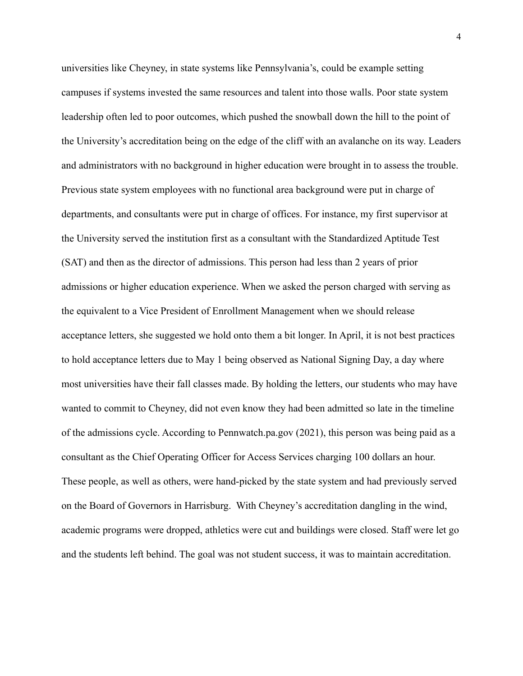universities like Cheyney, in state systems like Pennsylvania's, could be example setting campuses if systems invested the same resources and talent into those walls. Poor state system leadership often led to poor outcomes, which pushed the snowball down the hill to the point of the University's accreditation being on the edge of the cliff with an avalanche on its way. Leaders and administrators with no background in higher education were brought in to assess the trouble. Previous state system employees with no functional area background were put in charge of departments, and consultants were put in charge of offices. For instance, my first supervisor at the University served the institution first as a consultant with the Standardized Aptitude Test (SAT) and then as the director of admissions. This person had less than 2 years of prior admissions or higher education experience. When we asked the person charged with serving as the equivalent to a Vice President of Enrollment Management when we should release acceptance letters, she suggested we hold onto them a bit longer. In April, it is not best practices to hold acceptance letters due to May 1 being observed as National Signing Day, a day where most universities have their fall classes made. By holding the letters, our students who may have wanted to commit to Cheyney, did not even know they had been admitted so late in the timeline of the admissions cycle. According to Pennwatch.pa.gov (2021), this person was being paid as a consultant as the Chief Operating Officer for Access Services charging 100 dollars an hour. These people, as well as others, were hand-picked by the state system and had previously served on the Board of Governors in Harrisburg. With Cheyney's accreditation dangling in the wind, academic programs were dropped, athletics were cut and buildings were closed. Staff were let go and the students left behind. The goal was not student success, it was to maintain accreditation.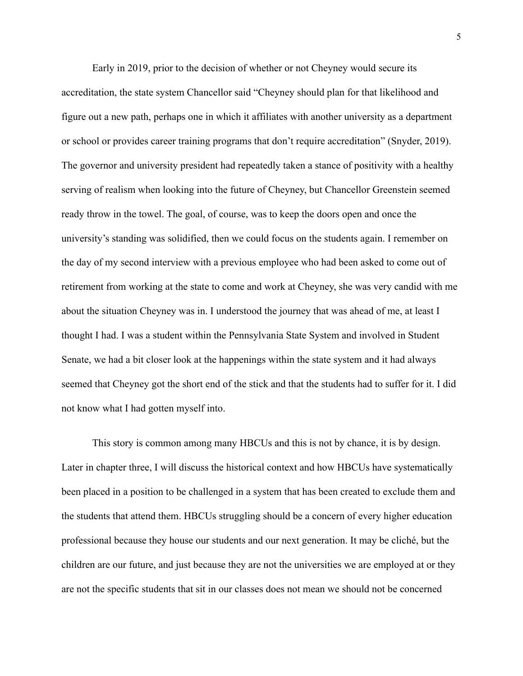Early in 2019, prior to the decision of whether or not Cheyney would secure its accreditation, the state system Chancellor said "Cheyney should plan for that likelihood and figure out a new path, perhaps one in which it affiliates with another university as a department or school or provides career training programs that don't require accreditation" (Snyder, 2019). The governor and university president had repeatedly taken a stance of positivity with a healthy serving of realism when looking into the future of Cheyney, but Chancellor Greenstein seemed ready throw in the towel. The goal, of course, was to keep the doors open and once the university's standing was solidified, then we could focus on the students again. I remember on the day of my second interview with a previous employee who had been asked to come out of retirement from working at the state to come and work at Cheyney, she was very candid with me about the situation Cheyney was in. I understood the journey that was ahead of me, at least I thought I had. I was a student within the Pennsylvania State System and involved in Student Senate, we had a bit closer look at the happenings within the state system and it had always seemed that Cheyney got the short end of the stick and that the students had to suffer for it. I did not know what I had gotten myself into.

This story is common among many HBCUs and this is not by chance, it is by design. Later in chapter three, I will discuss the historical context and how HBCUs have systematically been placed in a position to be challenged in a system that has been created to exclude them and the students that attend them. HBCUs struggling should be a concern of every higher education professional because they house our students and our next generation. It may be cliché, but the children are our future, and just because they are not the universities we are employed at or they are not the specific students that sit in our classes does not mean we should not be concerned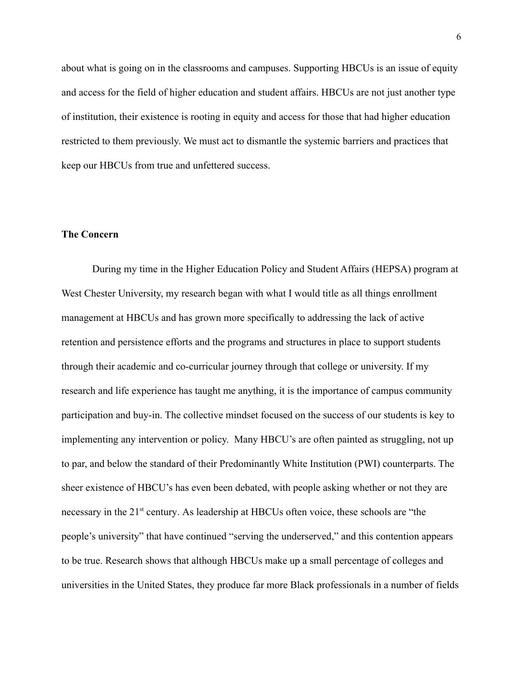about what is going on in the classrooms and campuses. Supporting HBCUs is an issue of equity and access for the field of higher education and student affairs. HBCUs are not just another type of institution, their existence is rooting in equity and access for those that had higher education restricted to them previously. We must act to dismantle the systemic barriers and practices that keep our HBCUs from true and unfettered success.

# **The Concern**

During my time in the Higher Education Policy and Student Affairs (HEPSA) program at West Chester University, my research began with what I would title as all things enrollment management at HBCUs and has grown more specifically to addressing the lack of active retention and persistence efforts and the programs and structures in place to support students through their academic and co-curricular journey through that college or university. If my research and life experience has taught me anything, it is the importance of campus community participation and buy-in. The collective mindset focused on the success of our students is key to implementing any intervention or policy. Many HBCU's are often painted as struggling, not up to par, and below the standard of their Predominantly White Institution (PWI) counterparts. The sheer existence of HBCU's has even been debated, with people asking whether or not they are necessary in the 21<sup>st</sup> century. As leadership at HBCUs often voice, these schools are "the people's university" that have continued "serving the underserved," and this contention appears to be true. Research shows that although HBCUs make up a small percentage of colleges and universities in the United States, they produce far more Black professionals in a number of fields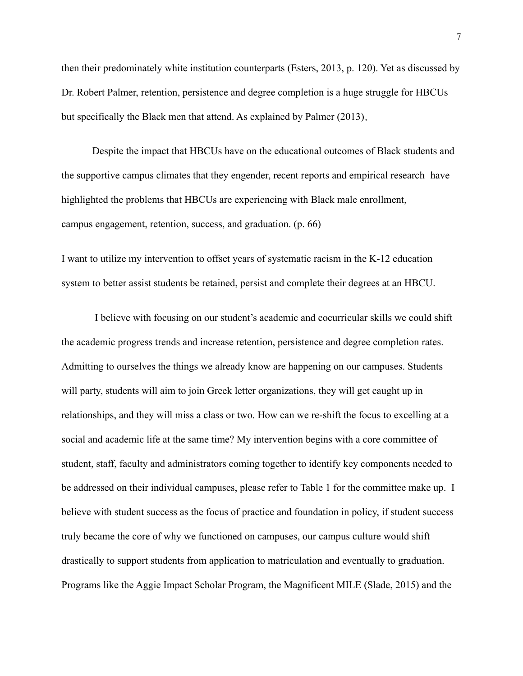then their predominately white institution counterparts (Esters, 2013, p. 120). Yet as discussed by Dr. Robert Palmer, retention, persistence and degree completion is a huge struggle for HBCUs but specifically the Black men that attend. As explained by Palmer (2013),

Despite the impact that HBCUs have on the educational outcomes of Black students and the supportive campus climates that they engender, recent reports and empirical research have highlighted the problems that HBCUs are experiencing with Black male enrollment, campus engagement, retention, success, and graduation. (p. 66)

I want to utilize my intervention to offset years of systematic racism in the K-12 education system to better assist students be retained, persist and complete their degrees at an HBCU.

I believe with focusing on our student's academic and cocurricular skills we could shift the academic progress trends and increase retention, persistence and degree completion rates. Admitting to ourselves the things we already know are happening on our campuses. Students will party, students will aim to join Greek letter organizations, they will get caught up in relationships, and they will miss a class or two. How can we re-shift the focus to excelling at a social and academic life at the same time? My intervention begins with a core committee of student, staff, faculty and administrators coming together to identify key components needed to be addressed on their individual campuses, please refer to Table 1 for the committee make up. I believe with student success as the focus of practice and foundation in policy, if student success truly became the core of why we functioned on campuses, our campus culture would shift drastically to support students from application to matriculation and eventually to graduation. Programs like the Aggie Impact Scholar Program, the Magnificent MILE (Slade, 2015) and the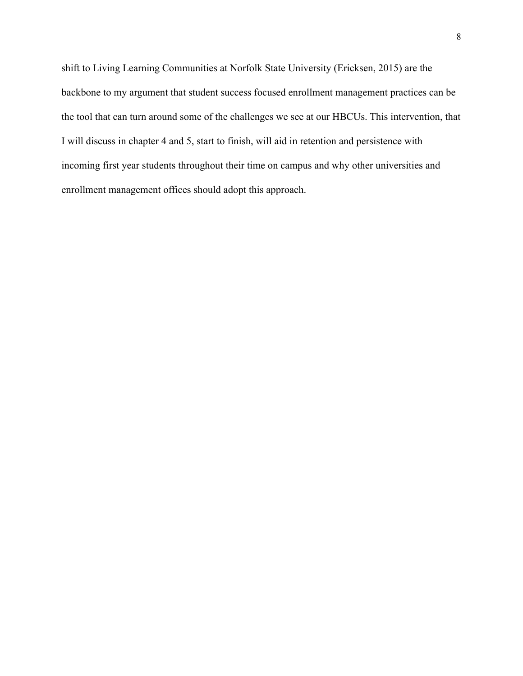shift to Living Learning Communities at Norfolk State University (Ericksen, 2015) are the backbone to my argument that student success focused enrollment management practices can be the tool that can turn around some of the challenges we see at our HBCUs. This intervention, that I will discuss in chapter 4 and 5, start to finish, will aid in retention and persistence with incoming first year students throughout their time on campus and why other universities and enrollment management offices should adopt this approach.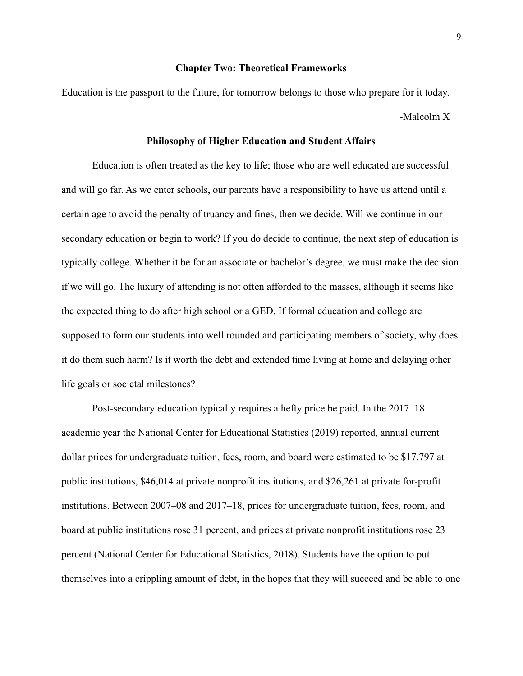#### **Chapter Two: Theoretical Frameworks**

Education is the passport to the future, for tomorrow belongs to those who prepare for it today. -Malcolm X

#### **Philosophy of Higher Education and Student Affairs**

Education is often treated as the key to life; those who are well educated are successful and will go far. As we enter schools, our parents have a responsibility to have us attend until a certain age to avoid the penalty of truancy and fines, then we decide. Will we continue in our secondary education or begin to work? If you do decide to continue, the next step of education is typically college. Whether it be for an associate or bachelor's degree, we must make the decision if we will go. The luxury of attending is not often afforded to the masses, although it seems like the expected thing to do after high school or a GED. If formal education and college are supposed to form our students into well rounded and participating members of society, why does it do them such harm? Is it worth the debt and extended time living at home and delaying other life goals or societal milestones?

Post-secondary education typically requires a hefty price be paid. In the 2017–18 academic year the National Center for Educational Statistics (2019) reported, annual current dollar prices for undergraduate tuition, fees, room, and board were estimated to be \$17,797 at public institutions, \$46,014 at private nonprofit institutions, and \$26,261 at private for-profit institutions. Between 2007–08 and 2017–18, prices for undergraduate tuition, fees, room, and board at public institutions rose 31 percent, and prices at private nonprofit institutions rose 23 percent (National Center for Educational Statistics, 2018). Students have the option to put themselves into a crippling amount of debt, in the hopes that they will succeed and be able to one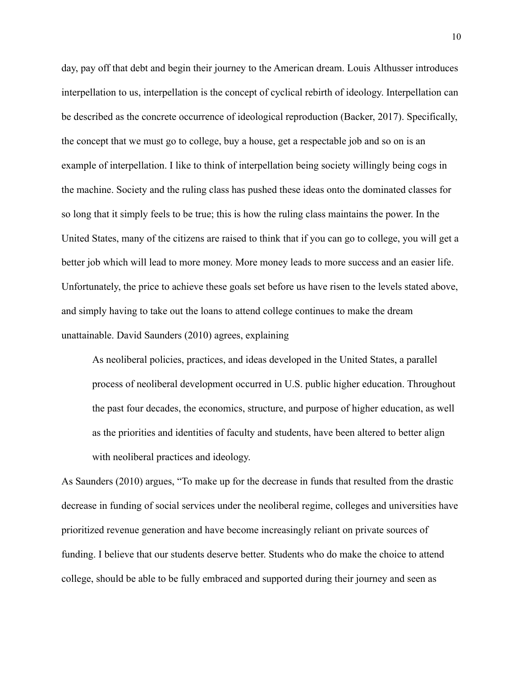day, pay off that debt and begin their journey to the American dream. Louis Althusser introduces interpellation to us, interpellation is the concept of cyclical rebirth of ideology. Interpellation can be described as the concrete occurrence of ideological reproduction (Backer, 2017). Specifically, the concept that we must go to college, buy a house, get a respectable job and so on is an example of interpellation. I like to think of interpellation being society willingly being cogs in the machine. Society and the ruling class has pushed these ideas onto the dominated classes for so long that it simply feels to be true; this is how the ruling class maintains the power. In the United States, many of the citizens are raised to think that if you can go to college, you will get a better job which will lead to more money. More money leads to more success and an easier life. Unfortunately, the price to achieve these goals set before us have risen to the levels stated above, and simply having to take out the loans to attend college continues to make the dream unattainable. David Saunders (2010) agrees, explaining

As neoliberal policies, practices, and ideas developed in the United States, a parallel process of neoliberal development occurred in U.S. public higher education. Throughout the past four decades, the economics, structure, and purpose of higher education, as well as the priorities and identities of faculty and students, have been altered to better align with neoliberal practices and ideology.

As Saunders (2010) argues, "To make up for the decrease in funds that resulted from the drastic decrease in funding of social services under the neoliberal regime, colleges and universities have prioritized revenue generation and have become increasingly reliant on private sources of funding. I believe that our students deserve better. Students who do make the choice to attend college, should be able to be fully embraced and supported during their journey and seen as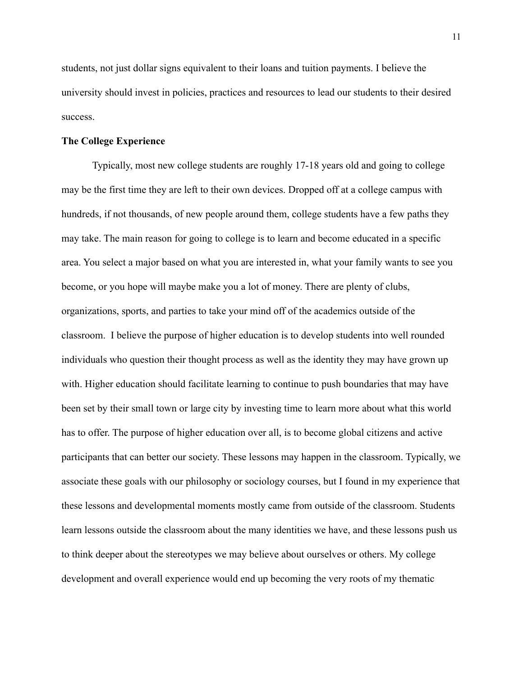students, not just dollar signs equivalent to their loans and tuition payments. I believe the university should invest in policies, practices and resources to lead our students to their desired success.

# **The College Experience**

Typically, most new college students are roughly 17-18 years old and going to college may be the first time they are left to their own devices. Dropped off at a college campus with hundreds, if not thousands, of new people around them, college students have a few paths they may take. The main reason for going to college is to learn and become educated in a specific area. You select a major based on what you are interested in, what your family wants to see you become, or you hope will maybe make you a lot of money. There are plenty of clubs, organizations, sports, and parties to take your mind off of the academics outside of the classroom. I believe the purpose of higher education is to develop students into well rounded individuals who question their thought process as well as the identity they may have grown up with. Higher education should facilitate learning to continue to push boundaries that may have been set by their small town or large city by investing time to learn more about what this world has to offer. The purpose of higher education over all, is to become global citizens and active participants that can better our society. These lessons may happen in the classroom. Typically, we associate these goals with our philosophy or sociology courses, but I found in my experience that these lessons and developmental moments mostly came from outside of the classroom. Students learn lessons outside the classroom about the many identities we have, and these lessons push us to think deeper about the stereotypes we may believe about ourselves or others. My college development and overall experience would end up becoming the very roots of my thematic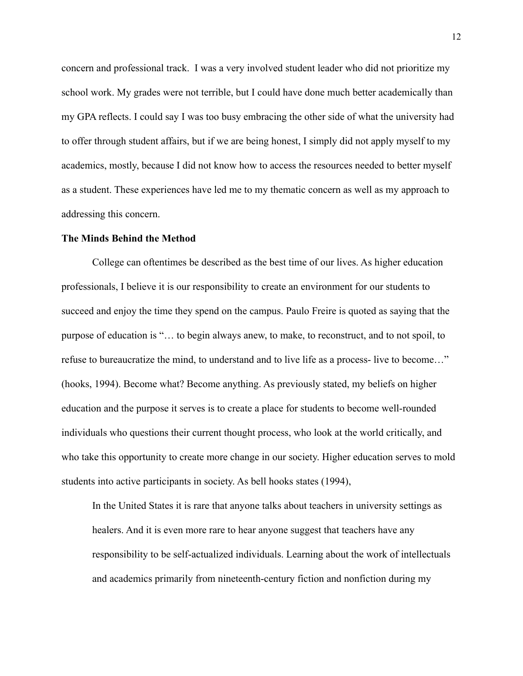concern and professional track. I was a very involved student leader who did not prioritize my school work. My grades were not terrible, but I could have done much better academically than my GPA reflects. I could say I was too busy embracing the other side of what the university had to offer through student affairs, but if we are being honest, I simply did not apply myself to my academics, mostly, because I did not know how to access the resources needed to better myself as a student. These experiences have led me to my thematic concern as well as my approach to addressing this concern.

#### **The Minds Behind the Method**

College can oftentimes be described as the best time of our lives. As higher education professionals, I believe it is our responsibility to create an environment for our students to succeed and enjoy the time they spend on the campus. Paulo Freire is quoted as saying that the purpose of education is "… to begin always anew, to make, to reconstruct, and to not spoil, to refuse to bureaucratize the mind, to understand and to live life as a process- live to become…" (hooks, 1994). Become what? Become anything. As previously stated, my beliefs on higher education and the purpose it serves is to create a place for students to become well-rounded individuals who questions their current thought process, who look at the world critically, and who take this opportunity to create more change in our society. Higher education serves to mold students into active participants in society. As bell hooks states (1994),

In the United States it is rare that anyone talks about teachers in university settings as healers. And it is even more rare to hear anyone suggest that teachers have any responsibility to be self-actualized individuals. Learning about the work of intellectuals and academics primarily from nineteenth-century fiction and nonfiction during my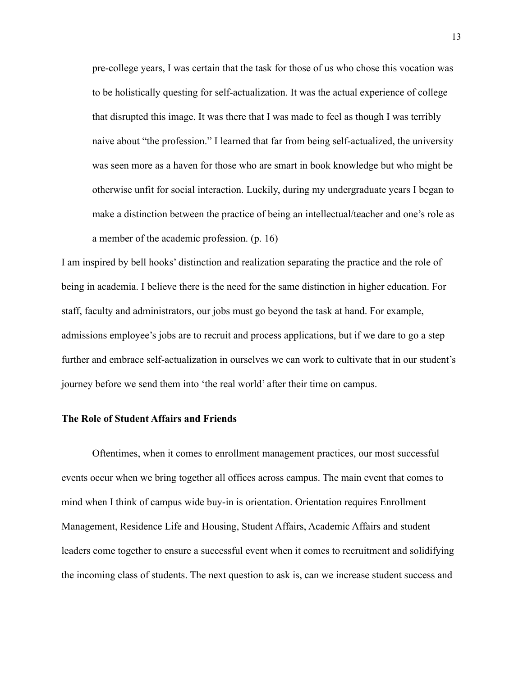pre-college years, I was certain that the task for those of us who chose this vocation was to be holistically questing for self-actualization. It was the actual experience of college that disrupted this image. It was there that I was made to feel as though I was terribly naive about "the profession." I learned that far from being self-actualized, the university was seen more as a haven for those who are smart in book knowledge but who might be otherwise unfit for social interaction. Luckily, during my undergraduate years I began to make a distinction between the practice of being an intellectual/teacher and one's role as a member of the academic profession. (p. 16)

I am inspired by bell hooks' distinction and realization separating the practice and the role of being in academia. I believe there is the need for the same distinction in higher education. For staff, faculty and administrators, our jobs must go beyond the task at hand. For example, admissions employee's jobs are to recruit and process applications, but if we dare to go a step further and embrace self-actualization in ourselves we can work to cultivate that in our student's journey before we send them into 'the real world' after their time on campus.

# **The Role of Student Affairs and Friends**

Oftentimes, when it comes to enrollment management practices, our most successful events occur when we bring together all offices across campus. The main event that comes to mind when I think of campus wide buy-in is orientation. Orientation requires Enrollment Management, Residence Life and Housing, Student Affairs, Academic Affairs and student leaders come together to ensure a successful event when it comes to recruitment and solidifying the incoming class of students. The next question to ask is, can we increase student success and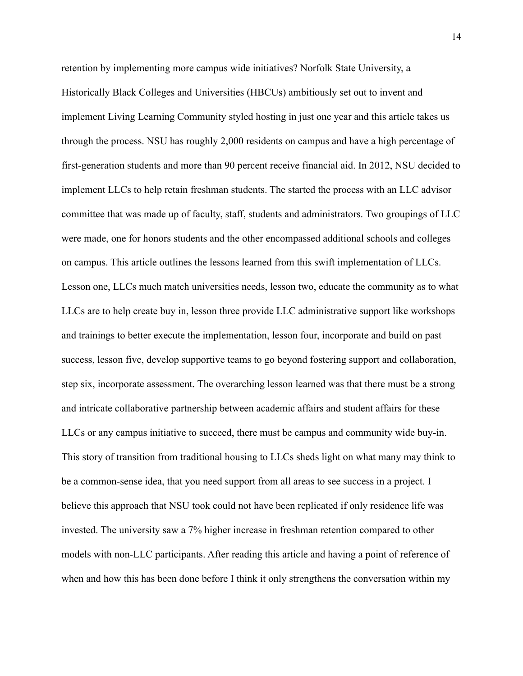retention by implementing more campus wide initiatives? Norfolk State University, a Historically Black Colleges and Universities (HBCUs) ambitiously set out to invent and implement Living Learning Community styled hosting in just one year and this article takes us through the process. NSU has roughly 2,000 residents on campus and have a high percentage of first-generation students and more than 90 percent receive financial aid. In 2012, NSU decided to implement LLCs to help retain freshman students. The started the process with an LLC advisor committee that was made up of faculty, staff, students and administrators. Two groupings of LLC were made, one for honors students and the other encompassed additional schools and colleges on campus. This article outlines the lessons learned from this swift implementation of LLCs. Lesson one, LLCs much match universities needs, lesson two, educate the community as to what LLCs are to help create buy in, lesson three provide LLC administrative support like workshops and trainings to better execute the implementation, lesson four, incorporate and build on past success, lesson five, develop supportive teams to go beyond fostering support and collaboration, step six, incorporate assessment. The overarching lesson learned was that there must be a strong and intricate collaborative partnership between academic affairs and student affairs for these LLCs or any campus initiative to succeed, there must be campus and community wide buy-in. This story of transition from traditional housing to LLCs sheds light on what many may think to be a common-sense idea, that you need support from all areas to see success in a project. I believe this approach that NSU took could not have been replicated if only residence life was invested. The university saw a 7% higher increase in freshman retention compared to other models with non-LLC participants. After reading this article and having a point of reference of when and how this has been done before I think it only strengthens the conversation within my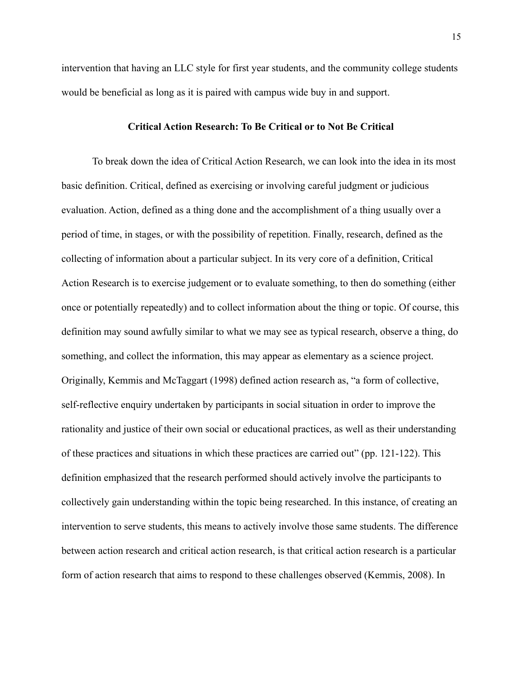intervention that having an LLC style for first year students, and the community college students would be beneficial as long as it is paired with campus wide buy in and support.

# **Critical Action Research: To Be Critical or to Not Be Critical**

To break down the idea of Critical Action Research, we can look into the idea in its most basic definition. Critical, defined as exercising or involving careful judgment or judicious evaluation. Action, defined as a thing done and the accomplishment of a thing usually over a period of time, in stages, or with the possibility of repetition. Finally, research, defined as the collecting of information about a particular subject. In its very core of a definition, Critical Action Research is to exercise judgement or to evaluate something, to then do something (either once or potentially repeatedly) and to collect information about the thing or topic. Of course, this definition may sound awfully similar to what we may see as typical research, observe a thing, do something, and collect the information, this may appear as elementary as a science project. Originally, Kemmis and McTaggart (1998) defined action research as, "a form of collective, self-reflective enquiry undertaken by participants in social situation in order to improve the rationality and justice of their own social or educational practices, as well as their understanding of these practices and situations in which these practices are carried out" (pp. 121-122). This definition emphasized that the research performed should actively involve the participants to collectively gain understanding within the topic being researched. In this instance, of creating an intervention to serve students, this means to actively involve those same students. The difference between action research and critical action research, is that critical action research is a particular form of action research that aims to respond to these challenges observed (Kemmis, 2008). In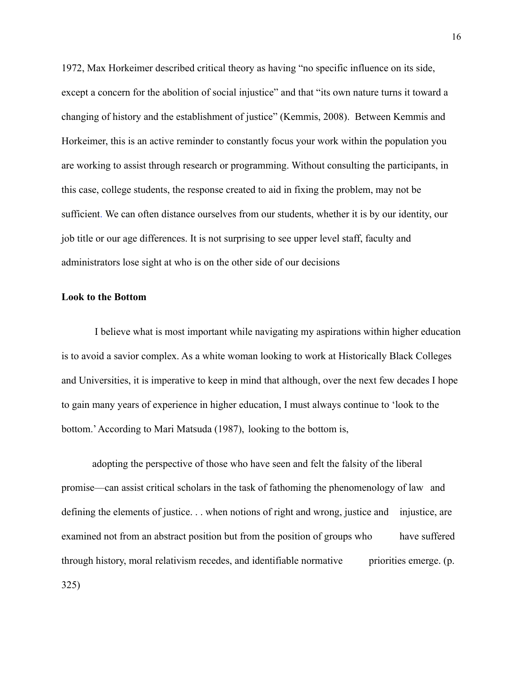1972, Max Horkeimer described critical theory as having "no specific influence on its side, except a concern for the abolition of social injustice" and that "its own nature turns it toward a changing of history and the establishment of justice" (Kemmis, 2008). Between Kemmis and Horkeimer, this is an active reminder to constantly focus your work within the population you are working to assist through research or programming. Without consulting the participants, in this case, college students, the response created to aid in fixing the problem, may not be sufficient. We can often distance ourselves from our students, whether it is by our identity, our job title or our age differences. It is not surprising to see upper level staff, faculty and administrators lose sight at who is on the other side of our decisions

# **Look to the Bottom**

I believe what is most important while navigating my aspirations within higher education is to avoid a savior complex. As a white woman looking to work at Historically Black Colleges and Universities, it is imperative to keep in mind that although, over the next few decades I hope to gain many years of experience in higher education, I must always continue to 'look to the bottom.'According to Mari Matsuda (1987), looking to the bottom is,

adopting the perspective of those who have seen and felt the falsity of the liberal promise—can assist critical scholars in the task of fathoming the phenomenology of law and defining the elements of justice. . . when notions of right and wrong, justice and injustice, are examined not from an abstract position but from the position of groups who have suffered through history, moral relativism recedes, and identifiable normative priorities emerge. (p. 325)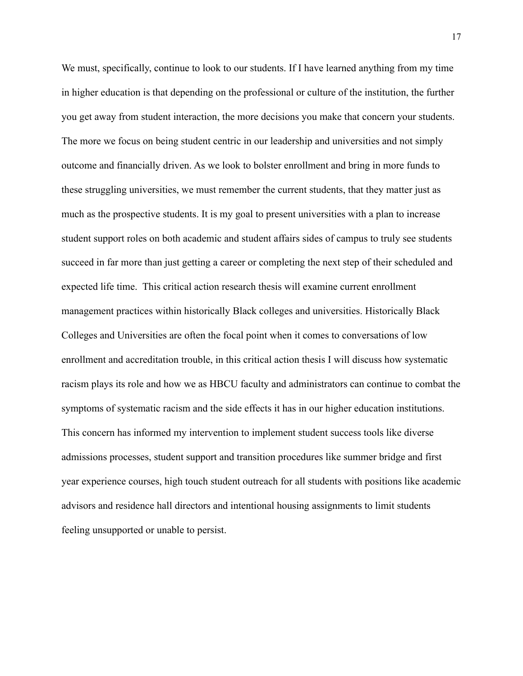We must, specifically, continue to look to our students. If I have learned anything from my time in higher education is that depending on the professional or culture of the institution, the further you get away from student interaction, the more decisions you make that concern your students. The more we focus on being student centric in our leadership and universities and not simply outcome and financially driven. As we look to bolster enrollment and bring in more funds to these struggling universities, we must remember the current students, that they matter just as much as the prospective students. It is my goal to present universities with a plan to increase student support roles on both academic and student affairs sides of campus to truly see students succeed in far more than just getting a career or completing the next step of their scheduled and expected life time. This critical action research thesis will examine current enrollment management practices within historically Black colleges and universities. Historically Black Colleges and Universities are often the focal point when it comes to conversations of low enrollment and accreditation trouble, in this critical action thesis I will discuss how systematic racism plays its role and how we as HBCU faculty and administrators can continue to combat the symptoms of systematic racism and the side effects it has in our higher education institutions. This concern has informed my intervention to implement student success tools like diverse admissions processes, student support and transition procedures like summer bridge and first year experience courses, high touch student outreach for all students with positions like academic advisors and residence hall directors and intentional housing assignments to limit students feeling unsupported or unable to persist.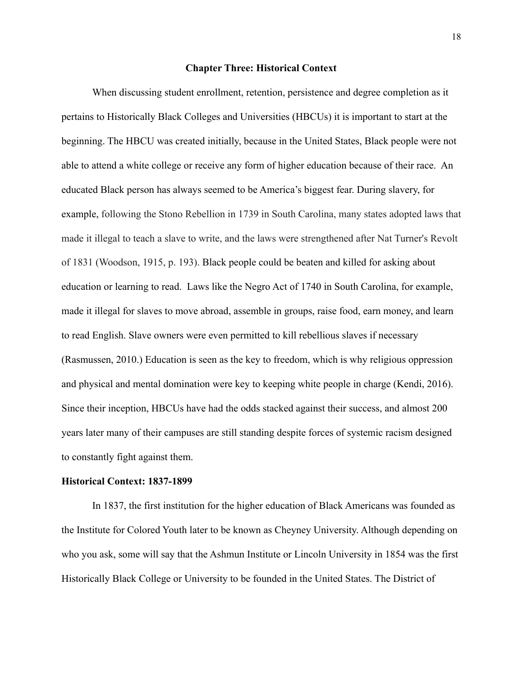#### **Chapter Three: Historical Context**

When discussing student enrollment, retention, persistence and degree completion as it pertains to Historically Black Colleges and Universities (HBCUs) it is important to start at the beginning. The HBCU was created initially, because in the United States, Black people were not able to attend a white college or receive any form of higher education because of their race. An educated Black person has always seemed to be America's biggest fear. During slavery, for example, following the Stono Rebellion in 1739 in South Carolina, many states adopted laws that made it illegal to teach a slave to write, and the laws were strengthened after Nat Turner's Revolt of 1831 (Woodson, 1915, p. 193). Black people could be beaten and killed for asking about education or learning to read. Laws like the Negro Act of 1740 in South Carolina, for example, made it illegal for slaves to move abroad, assemble in groups, raise food, earn money, and learn to read English. Slave owners were even permitted to kill rebellious slaves if necessary (Rasmussen, 2010.) Education is seen as the key to freedom, which is why religious oppression and physical and mental domination were key to keeping white people in charge (Kendi, 2016). Since their inception, HBCUs have had the odds stacked against their success, and almost 200 years later many of their campuses are still standing despite forces of systemic racism designed to constantly fight against them.

#### **Historical Context: 1837-1899**

In 1837, the first institution for the higher education of Black Americans was founded as the Institute for Colored Youth later to be known as Cheyney University. Although depending on who you ask, some will say that the Ashmun Institute or Lincoln University in 1854 was the first Historically Black College or University to be founded in the United States. The District of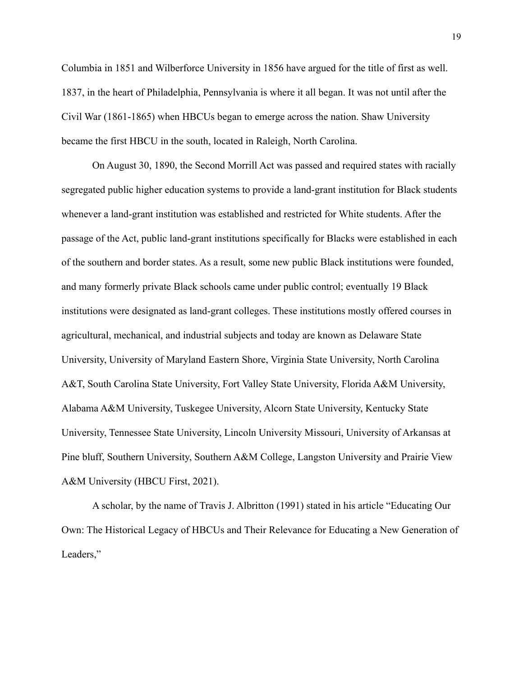Columbia in 1851 and Wilberforce University in 1856 have argued for the title of first as well. 1837, in the heart of Philadelphia, Pennsylvania is where it all began. It was not until after the Civil War (1861-1865) when HBCUs began to emerge across the nation. Shaw University became the first HBCU in the south, located in Raleigh, North Carolina.

On August 30, 1890, the Second Morrill Act was passed and required states with racially segregated public higher education systems to provide a land-grant institution for Black students whenever a land-grant institution was established and restricted for White students. After the passage of the Act, public land-grant institutions specifically for Blacks were established in each of the southern and border states. As a result, some new public Black institutions were founded, and many formerly private Black schools came under public control; eventually 19 Black institutions were designated as land-grant colleges. These institutions mostly offered courses in agricultural, mechanical, and industrial subjects and today are known as Delaware State University, University of Maryland Eastern Shore, Virginia State University, North Carolina A&T, South Carolina State University, Fort Valley State University, Florida A&M University, Alabama A&M University, Tuskegee University, Alcorn State University, Kentucky State University, Tennessee State University, Lincoln University Missouri, University of Arkansas at Pine bluff, Southern University, Southern A&M College, Langston University and Prairie View A&M University (HBCU First, 2021).

A scholar, by the name of Travis J. Albritton (1991) stated in his article "Educating Our Own: The Historical Legacy of HBCUs and Their Relevance for Educating a New Generation of Leaders,"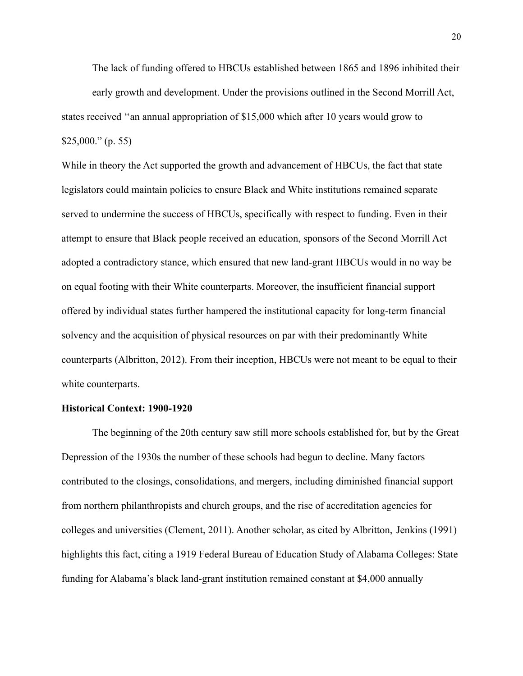The lack of funding offered to HBCUs established between 1865 and 1896 inhibited their early growth and development. Under the provisions outlined in the Second Morrill Act, states received ''an annual appropriation of \$15,000 which after 10 years would grow to  $$25,000."$  (p. 55)

While in theory the Act supported the growth and advancement of HBCUs, the fact that state legislators could maintain policies to ensure Black and White institutions remained separate served to undermine the success of HBCUs, specifically with respect to funding. Even in their attempt to ensure that Black people received an education, sponsors of the Second Morrill Act adopted a contradictory stance, which ensured that new land-grant HBCUs would in no way be on equal footing with their White counterparts. Moreover, the insufficient financial support offered by individual states further hampered the institutional capacity for long-term financial solvency and the acquisition of physical resources on par with their predominantly White counterparts (Albritton, 2012). From their inception, HBCUs were not meant to be equal to their white counterparts.

#### **Historical Context: 1900-1920**

The beginning of the 20th century saw still more schools established for, but by the Great Depression of the 1930s the number of these schools had begun to decline. Many factors contributed to the closings, consolidations, and mergers, including diminished financial support from northern philanthropists and church groups, and the rise of accreditation agencies for colleges and universities (Clement, 2011). Another scholar, as cited by Albritton, Jenkins (1991) highlights this fact, citing a 1919 Federal Bureau of Education Study of Alabama Colleges: State funding for Alabama's black land-grant institution remained constant at \$4,000 annually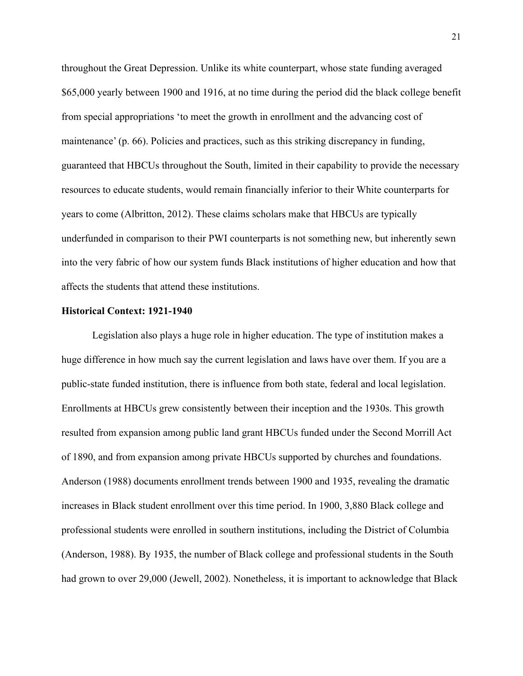throughout the Great Depression. Unlike its white counterpart, whose state funding averaged \$65,000 yearly between 1900 and 1916, at no time during the period did the black college benefit from special appropriations 'to meet the growth in enrollment and the advancing cost of maintenance' (p. 66). Policies and practices, such as this striking discrepancy in funding, guaranteed that HBCUs throughout the South, limited in their capability to provide the necessary resources to educate students, would remain financially inferior to their White counterparts for years to come (Albritton, 2012). These claims scholars make that HBCUs are typically underfunded in comparison to their PWI counterparts is not something new, but inherently sewn into the very fabric of how our system funds Black institutions of higher education and how that affects the students that attend these institutions.

#### **Historical Context: 1921-1940**

Legislation also plays a huge role in higher education. The type of institution makes a huge difference in how much say the current legislation and laws have over them. If you are a public-state funded institution, there is influence from both state, federal and local legislation. Enrollments at HBCUs grew consistently between their inception and the 1930s. This growth resulted from expansion among public land grant HBCUs funded under the Second Morrill Act of 1890, and from expansion among private HBCUs supported by churches and foundations. Anderson (1988) documents enrollment trends between 1900 and 1935, revealing the dramatic increases in Black student enrollment over this time period. In 1900, 3,880 Black college and professional students were enrolled in southern institutions, including the District of Columbia (Anderson, 1988). By 1935, the number of Black college and professional students in the South had grown to over 29,000 (Jewell, 2002). Nonetheless, it is important to acknowledge that Black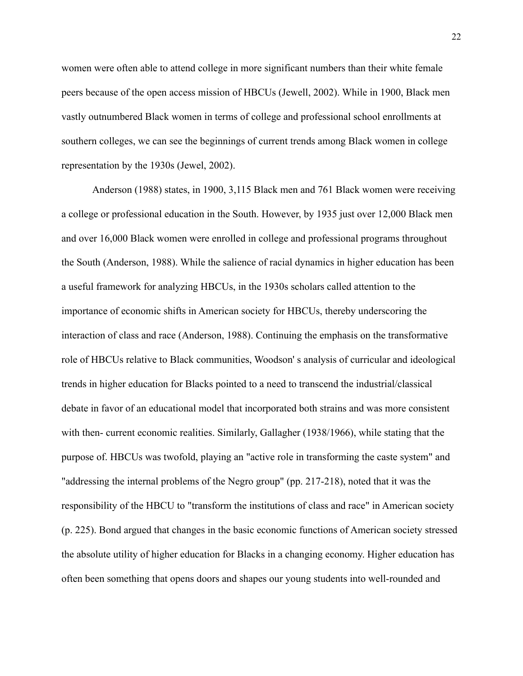women were often able to attend college in more significant numbers than their white female peers because of the open access mission of HBCUs (Jewell, 2002). While in 1900, Black men vastly outnumbered Black women in terms of college and professional school enrollments at southern colleges, we can see the beginnings of current trends among Black women in college representation by the 1930s (Jewel, 2002).

Anderson (1988) states, in 1900, 3,115 Black men and 761 Black women were receiving a college or professional education in the South. However, by 1935 just over 12,000 Black men and over 16,000 Black women were enrolled in college and professional programs throughout the South (Anderson, 1988). While the salience of racial dynamics in higher education has been a useful framework for analyzing HBCUs, in the 1930s scholars called attention to the importance of economic shifts in American society for HBCUs, thereby underscoring the interaction of class and race (Anderson, 1988). Continuing the emphasis on the transformative role of HBCUs relative to Black communities, Woodson' s analysis of curricular and ideological trends in higher education for Blacks pointed to a need to transcend the industrial/classical debate in favor of an educational model that incorporated both strains and was more consistent with then- current economic realities. Similarly, Gallagher (1938/1966), while stating that the purpose of. HBCUs was twofold, playing an "active role in transforming the caste system" and "addressing the internal problems of the Negro group" (pp. 217-218), noted that it was the responsibility of the HBCU to "transform the institutions of class and race" in American society (p. 225). Bond argued that changes in the basic economic functions of American society stressed the absolute utility of higher education for Blacks in a changing economy. Higher education has often been something that opens doors and shapes our young students into well-rounded and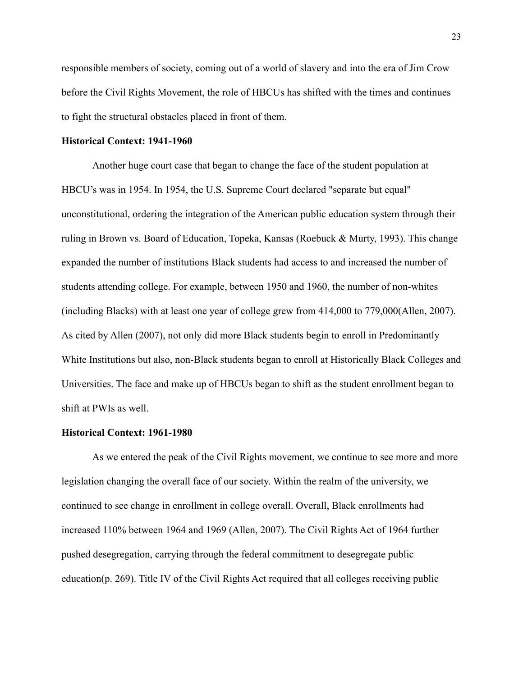responsible members of society, coming out of a world of slavery and into the era of Jim Crow before the Civil Rights Movement, the role of HBCUs has shifted with the times and continues to fight the structural obstacles placed in front of them.

# **Historical Context: 1941-1960**

Another huge court case that began to change the face of the student population at HBCU's was in 1954. In 1954, the U.S. Supreme Court declared "separate but equal" unconstitutional, ordering the integration of the American public education system through their ruling in Brown vs. Board of Education, Topeka, Kansas (Roebuck & Murty, 1993). This change expanded the number of institutions Black students had access to and increased the number of students attending college. For example, between 1950 and 1960, the number of non-whites (including Blacks) with at least one year of college grew from 414,000 to 779,000(Allen, 2007). As cited by Allen (2007), not only did more Black students begin to enroll in Predominantly White Institutions but also, non-Black students began to enroll at Historically Black Colleges and Universities. The face and make up of HBCUs began to shift as the student enrollment began to shift at PWIs as well.

#### **Historical Context: 1961-1980**

As we entered the peak of the Civil Rights movement, we continue to see more and more legislation changing the overall face of our society. Within the realm of the university, we continued to see change in enrollment in college overall. Overall, Black enrollments had increased 110% between 1964 and 1969 (Allen, 2007). The Civil Rights Act of 1964 further pushed desegregation, carrying through the federal commitment to desegregate public education(p. 269). Title IV of the Civil Rights Act required that all colleges receiving public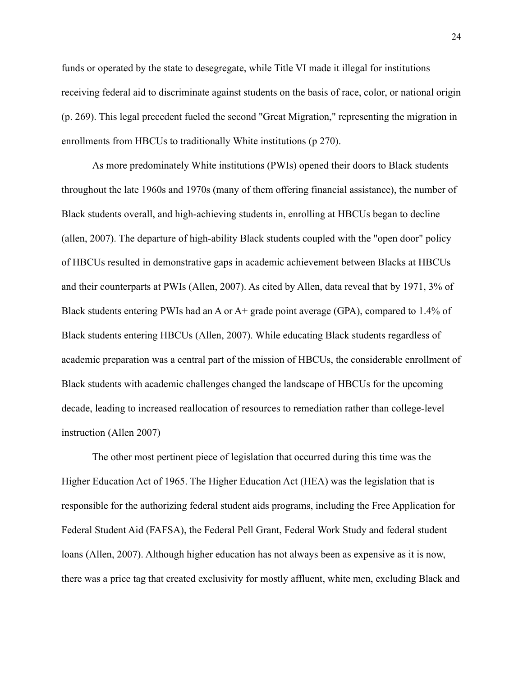funds or operated by the state to desegregate, while Title VI made it illegal for institutions receiving federal aid to discriminate against students on the basis of race, color, or national origin (p. 269). This legal precedent fueled the second "Great Migration," representing the migration in enrollments from HBCUs to traditionally White institutions (p 270).

As more predominately White institutions (PWIs) opened their doors to Black students throughout the late 1960s and 1970s (many of them offering financial assistance), the number of Black students overall, and high-achieving students in, enrolling at HBCUs began to decline (allen, 2007). The departure of high-ability Black students coupled with the "open door" policy of HBCUs resulted in demonstrative gaps in academic achievement between Blacks at HBCUs and their counterparts at PWIs (Allen, 2007). As cited by Allen, data reveal that by 1971, 3% of Black students entering PWIs had an A or  $A<sup>+</sup>$  grade point average (GPA), compared to 1.4% of Black students entering HBCUs (Allen, 2007). While educating Black students regardless of academic preparation was a central part of the mission of HBCUs, the considerable enrollment of Black students with academic challenges changed the landscape of HBCUs for the upcoming decade, leading to increased reallocation of resources to remediation rather than college-level instruction (Allen 2007)

The other most pertinent piece of legislation that occurred during this time was the Higher Education Act of 1965. The Higher Education Act (HEA) was the legislation that is responsible for the authorizing federal student aids programs, including the Free Application for Federal Student Aid (FAFSA), the Federal Pell Grant, Federal Work Study and federal student loans (Allen, 2007). Although higher education has not always been as expensive as it is now, there was a price tag that created exclusivity for mostly affluent, white men, excluding Black and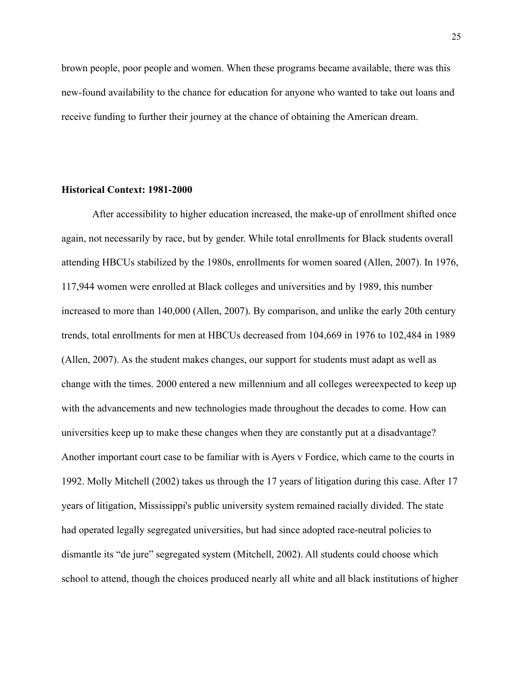brown people, poor people and women. When these programs became available, there was this new-found availability to the chance for education for anyone who wanted to take out loans and receive funding to further their journey at the chance of obtaining the American dream.

#### **Historical Context: 1981-2000**

After accessibility to higher education increased, the make-up of enrollment shifted once again, not necessarily by race, but by gender. While total enrollments for Black students overall attending HBCUs stabilized by the 1980s, enrollments for women soared (Allen, 2007). In 1976, 117,944 women were enrolled at Black colleges and universities and by 1989, this number increased to more than 140,000 (Allen, 2007). By comparison, and unlike the early 20th century trends, total enrollments for men at HBCUs decreased from 104,669 in 1976 to 102,484 in 1989 (Allen, 2007). As the student makes changes, our support for students must adapt as well as change with the times. 2000 entered a new millennium and all colleges wereexpected to keep up with the advancements and new technologies made throughout the decades to come. How can universities keep up to make these changes when they are constantly put at a disadvantage? Another important court case to be familiar with is Ayers v Fordice, which came to the courts in 1992. Molly Mitchell (2002) takes us through the 17 years of litigation during this case. After 17 years of litigation, Mississippi's public university system remained racially divided. The state had operated legally segregated universities, but had since adopted race-neutral policies to dismantle its "de jure" segregated system (Mitchell, 2002). All students could choose which school to attend, though the choices produced nearly all white and all black institutions of higher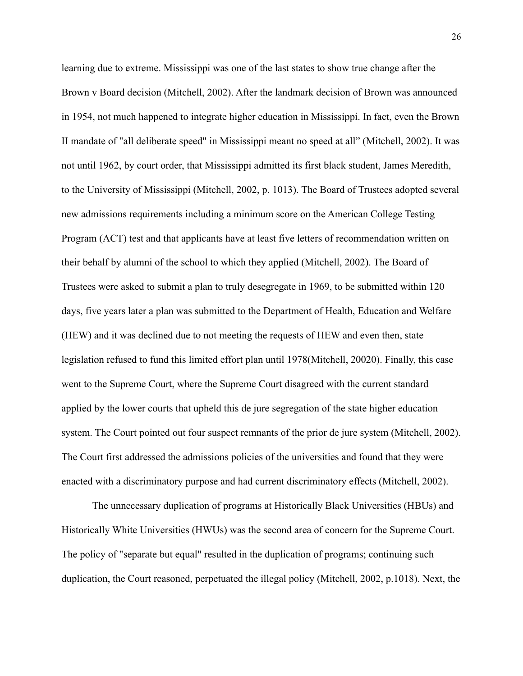learning due to extreme. Mississippi was one of the last states to show true change after the Brown v Board decision (Mitchell, 2002). After the landmark decision of Brown was announced in 1954, not much happened to integrate higher education in Mississippi. In fact, even the Brown II mandate of "all deliberate speed" in Mississippi meant no speed at all" (Mitchell, 2002). It was not until 1962, by court order, that Mississippi admitted its first black student, James Meredith, to the University of Mississippi (Mitchell, 2002, p. 1013). The Board of Trustees adopted several new admissions requirements including a minimum score on the American College Testing Program (ACT) test and that applicants have at least five letters of recommendation written on their behalf by alumni of the school to which they applied (Mitchell, 2002). The Board of Trustees were asked to submit a plan to truly desegregate in 1969, to be submitted within 120 days, five years later a plan was submitted to the Department of Health, Education and Welfare (HEW) and it was declined due to not meeting the requests of HEW and even then, state legislation refused to fund this limited effort plan until 1978(Mitchell, 20020). Finally, this case went to the Supreme Court, where the Supreme Court disagreed with the current standard applied by the lower courts that upheld this de jure segregation of the state higher education system. The Court pointed out four suspect remnants of the prior de jure system (Mitchell, 2002). The Court first addressed the admissions policies of the universities and found that they were enacted with a discriminatory purpose and had current discriminatory effects (Mitchell, 2002).

The unnecessary duplication of programs at Historically Black Universities (HBUs) and Historically White Universities (HWUs) was the second area of concern for the Supreme Court. The policy of "separate but equal" resulted in the duplication of programs; continuing such duplication, the Court reasoned, perpetuated the illegal policy (Mitchell, 2002, p.1018). Next, the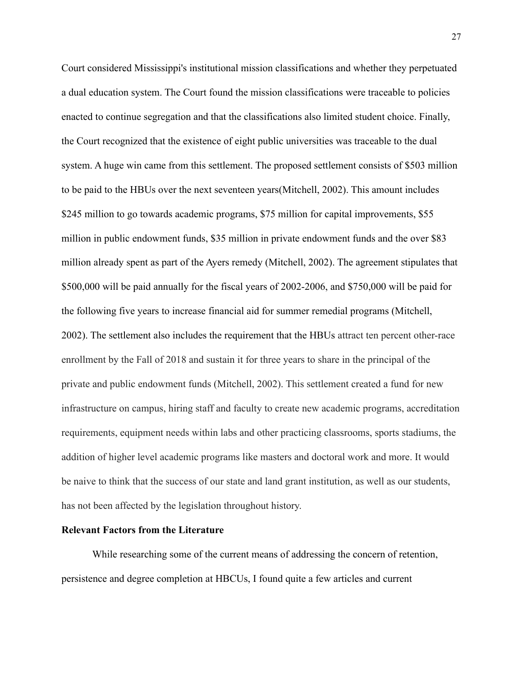Court considered Mississippi's institutional mission classifications and whether they perpetuated a dual education system. The Court found the mission classifications were traceable to policies enacted to continue segregation and that the classifications also limited student choice. Finally, the Court recognized that the existence of eight public universities was traceable to the dual system. A huge win came from this settlement. The proposed settlement consists of \$503 million to be paid to the HBUs over the next seventeen years(Mitchell, 2002). This amount includes \$245 million to go towards academic programs, \$75 million for capital improvements, \$55 million in public endowment funds, \$35 million in private endowment funds and the over \$83 million already spent as part of the Ayers remedy (Mitchell, 2002). The agreement stipulates that \$500,000 will be paid annually for the fiscal years of 2002-2006, and \$750,000 will be paid for the following five years to increase financial aid for summer remedial programs (Mitchell, 2002). The settlement also includes the requirement that the HBUs attract ten percent other-race enrollment by the Fall of 2018 and sustain it for three years to share in the principal of the private and public endowment funds (Mitchell, 2002). This settlement created a fund for new infrastructure on campus, hiring staff and faculty to create new academic programs, accreditation requirements, equipment needs within labs and other practicing classrooms, sports stadiums, the addition of higher level academic programs like masters and doctoral work and more. It would be naive to think that the success of our state and land grant institution, as well as our students, has not been affected by the legislation throughout history.

# **Relevant Factors from the Literature**

While researching some of the current means of addressing the concern of retention, persistence and degree completion at HBCUs, I found quite a few articles and current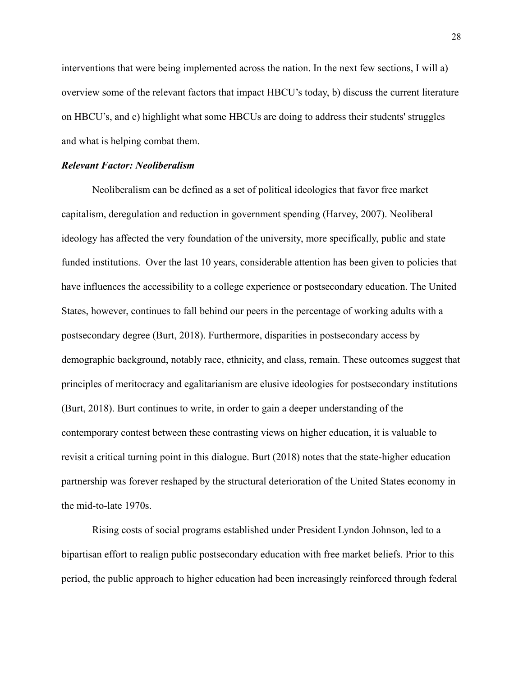interventions that were being implemented across the nation. In the next few sections, I will a) overview some of the relevant factors that impact HBCU's today, b) discuss the current literature on HBCU's, and c) highlight what some HBCUs are doing to address their students' struggles and what is helping combat them.

#### *Relevant Factor: Neoliberalism*

Neoliberalism can be defined as a set of political ideologies that favor free market capitalism, deregulation and reduction in government spending (Harvey, 2007). Neoliberal ideology has affected the very foundation of the university, more specifically, public and state funded institutions. Over the last 10 years, considerable attention has been given to policies that have influences the accessibility to a college experience or postsecondary education. The United States, however, continues to fall behind our peers in the percentage of working adults with a postsecondary degree (Burt, 2018). Furthermore, disparities in postsecondary access by demographic background, notably race, ethnicity, and class, remain. These outcomes suggest that principles of meritocracy and egalitarianism are elusive ideologies for postsecondary institutions (Burt, 2018). Burt continues to write, in order to gain a deeper understanding of the contemporary contest between these contrasting views on higher education, it is valuable to revisit a critical turning point in this dialogue. Burt (2018) notes that the state-higher education partnership was forever reshaped by the structural deterioration of the United States economy in the mid-to-late 1970s.

Rising costs of social programs established under President Lyndon Johnson, led to a bipartisan effort to realign public postsecondary education with free market beliefs. Prior to this period, the public approach to higher education had been increasingly reinforced through federal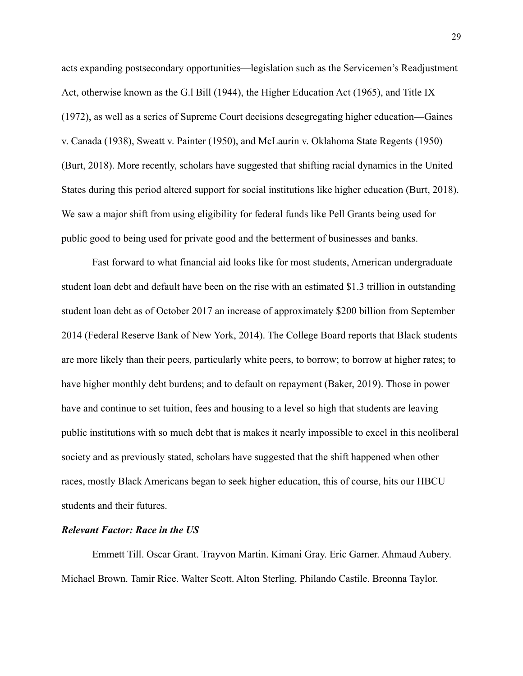acts expanding postsecondary opportunities—legislation such as the Servicemen's Readjustment Act, otherwise known as the G.l Bill (1944), the Higher Education Act (1965), and Title IX (1972), as well as a series of Supreme Court decisions desegregating higher education—Gaines v. Canada (1938), Sweatt v. Painter (1950), and McLaurin v. Oklahoma State Regents (1950) (Burt, 2018). More recently, scholars have suggested that shifting racial dynamics in the United States during this period altered support for social institutions like higher education (Burt, 2018). We saw a major shift from using eligibility for federal funds like Pell Grants being used for public good to being used for private good and the betterment of businesses and banks.

Fast forward to what financial aid looks like for most students, American undergraduate student loan debt and default have been on the rise with an estimated \$1.3 trillion in outstanding student loan debt as of October 2017 an increase of approximately \$200 billion from September 2014 (Federal Reserve Bank of New York, 2014). The College Board reports that Black students are more likely than their peers, particularly white peers, to borrow; to borrow at higher rates; to have higher monthly debt burdens; and to default on repayment (Baker, 2019). Those in power have and continue to set tuition, fees and housing to a level so high that students are leaving public institutions with so much debt that is makes it nearly impossible to excel in this neoliberal society and as previously stated, scholars have suggested that the shift happened when other races, mostly Black Americans began to seek higher education, this of course, hits our HBCU students and their futures.

## *Relevant Factor: Race in the US*

Emmett Till. Oscar Grant. Trayvon Martin. Kimani Gray. Eric Garner. Ahmaud Aubery. Michael Brown. Tamir Rice. Walter Scott. Alton Sterling. Philando Castile. Breonna Taylor.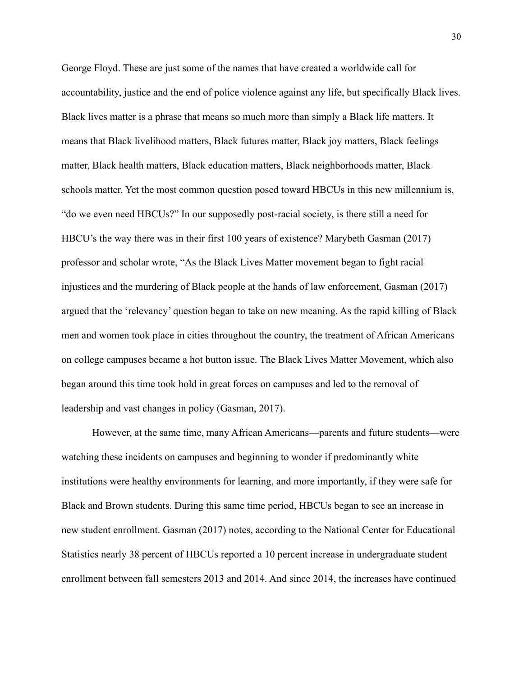George Floyd. These are just some of the names that have created a worldwide call for accountability, justice and the end of police violence against any life, but specifically Black lives. Black lives matter is a phrase that means so much more than simply a Black life matters. It means that Black livelihood matters, Black futures matter, Black joy matters, Black feelings matter, Black health matters, Black education matters, Black neighborhoods matter, Black schools matter. Yet the most common question posed toward HBCUs in this new millennium is, "do we even need HBCUs?" In our supposedly post-racial society, is there still a need for HBCU's the way there was in their first 100 years of existence? Marybeth Gasman (2017) professor and scholar wrote, "As the Black Lives Matter movement began to fight racial injustices and the murdering of Black people at the hands of law enforcement, Gasman (2017) argued that the 'relevancy' question began to take on new meaning. As the rapid killing of Black men and women took place in cities throughout the country, the treatment of African Americans on college campuses became a hot button issue. The Black Lives Matter Movement, which also began around this time took hold in great forces on campuses and led to the removal of leadership and vast changes in policy (Gasman, 2017).

However, at the same time, many African Americans—parents and future students—were watching these incidents on campuses and beginning to wonder if predominantly white institutions were healthy environments for learning, and more importantly, if they were safe for Black and Brown students. During this same time period, HBCUs began to see an increase in new student enrollment. Gasman (2017) notes, according to the National Center for Educational Statistics nearly 38 percent of HBCUs reported a 10 percent increase in undergraduate student enrollment between fall semesters 2013 and 2014. And since 2014, the increases have continued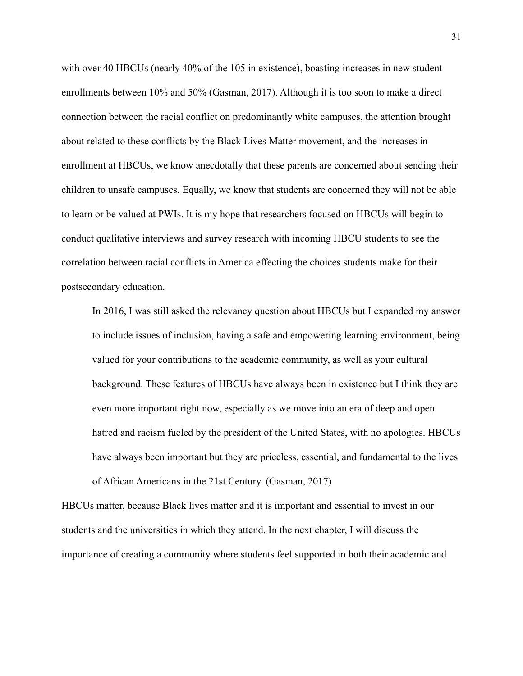with over 40 HBCUs (nearly 40% of the 105 in existence), boasting increases in new student enrollments between 10% and 50% (Gasman, 2017). Although it is too soon to make a direct connection between the racial conflict on predominantly white campuses, the attention brought about related to these conflicts by the Black Lives Matter movement, and the increases in enrollment at HBCUs, we know anecdotally that these parents are concerned about sending their children to unsafe campuses. Equally, we know that students are concerned they will not be able to learn or be valued at PWIs. It is my hope that researchers focused on HBCUs will begin to conduct qualitative interviews and survey research with incoming HBCU students to see the correlation between racial conflicts in America effecting the choices students make for their postsecondary education.

In 2016, I was still asked the relevancy question about HBCUs but I expanded my answer to include issues of inclusion, having a safe and empowering learning environment, being valued for your contributions to the academic community, as well as your cultural background. These features of HBCUs have always been in existence but I think they are even more important right now, especially as we move into an era of deep and open hatred and racism fueled by the president of the United States, with no apologies. HBCUs have always been important but they are priceless, essential, and fundamental to the lives of African Americans in the 21st Century. (Gasman, 2017)

HBCUs matter, because Black lives matter and it is important and essential to invest in our students and the universities in which they attend. In the next chapter, I will discuss the importance of creating a community where students feel supported in both their academic and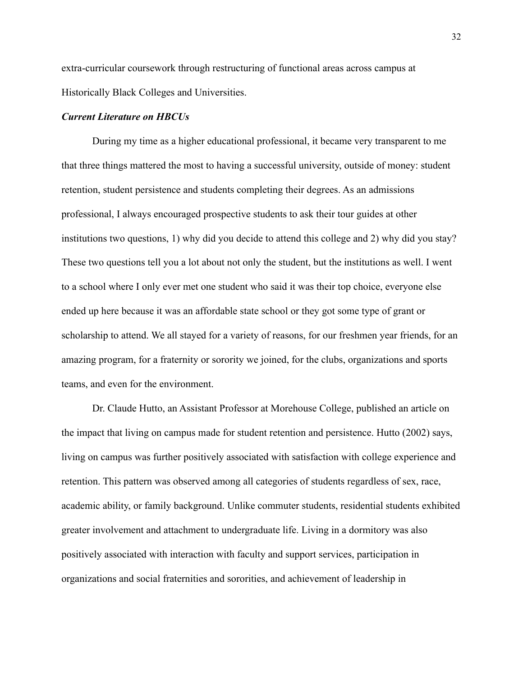extra-curricular coursework through restructuring of functional areas across campus at Historically Black Colleges and Universities.

### *Current Literature on HBCUs*

During my time as a higher educational professional, it became very transparent to me that three things mattered the most to having a successful university, outside of money: student retention, student persistence and students completing their degrees. As an admissions professional, I always encouraged prospective students to ask their tour guides at other institutions two questions, 1) why did you decide to attend this college and 2) why did you stay? These two questions tell you a lot about not only the student, but the institutions as well. I went to a school where I only ever met one student who said it was their top choice, everyone else ended up here because it was an affordable state school or they got some type of grant or scholarship to attend. We all stayed for a variety of reasons, for our freshmen year friends, for an amazing program, for a fraternity or sorority we joined, for the clubs, organizations and sports teams, and even for the environment.

Dr. Claude Hutto, an Assistant Professor at Morehouse College, published an article on the impact that living on campus made for student retention and persistence. Hutto (2002) says, living on campus was further positively associated with satisfaction with college experience and retention. This pattern was observed among all categories of students regardless of sex, race, academic ability, or family background. Unlike commuter students, residential students exhibited greater involvement and attachment to undergraduate life. Living in a dormitory was also positively associated with interaction with faculty and support services, participation in organizations and social fraternities and sororities, and achievement of leadership in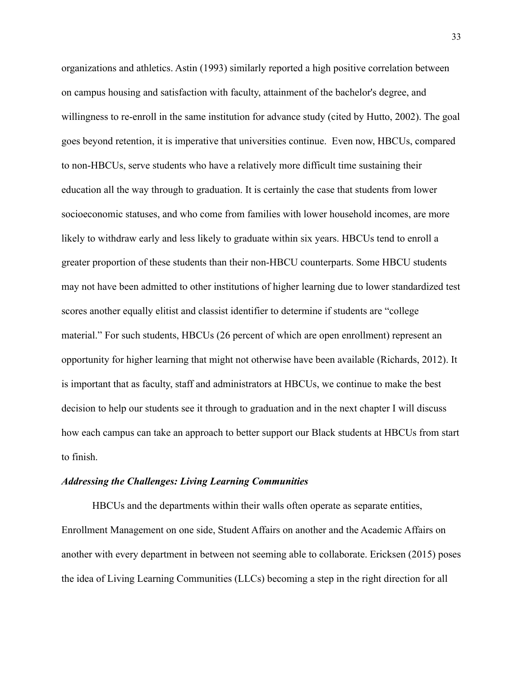organizations and athletics. Astin (1993) similarly reported a high positive correlation between on campus housing and satisfaction with faculty, attainment of the bachelor's degree, and willingness to re-enroll in the same institution for advance study (cited by Hutto, 2002). The goal goes beyond retention, it is imperative that universities continue. Even now, HBCUs, compared to non-HBCUs, serve students who have a relatively more difficult time sustaining their education all the way through to graduation. It is certainly the case that students from lower socioeconomic statuses, and who come from families with lower household incomes, are more likely to withdraw early and less likely to graduate within six years. HBCUs tend to enroll a greater proportion of these students than their non-HBCU counterparts. Some HBCU students may not have been admitted to other institutions of higher learning due to lower standardized test scores another equally elitist and classist identifier to determine if students are "college material." For such students, HBCUs (26 percent of which are open enrollment) represent an opportunity for higher learning that might not otherwise have been available (Richards, 2012). It is important that as faculty, staff and administrators at HBCUs, we continue to make the best decision to help our students see it through to graduation and in the next chapter I will discuss how each campus can take an approach to better support our Black students at HBCUs from start to finish.

#### *Addressing the Challenges: Living Learning Communities*

HBCUs and the departments within their walls often operate as separate entities, Enrollment Management on one side, Student Affairs on another and the Academic Affairs on another with every department in between not seeming able to collaborate. Ericksen (2015) poses the idea of Living Learning Communities (LLCs) becoming a step in the right direction for all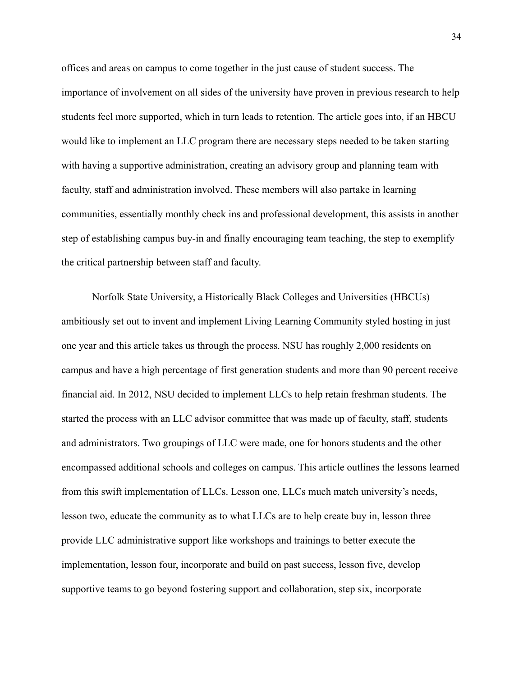offices and areas on campus to come together in the just cause of student success. The importance of involvement on all sides of the university have proven in previous research to help students feel more supported, which in turn leads to retention. The article goes into, if an HBCU would like to implement an LLC program there are necessary steps needed to be taken starting with having a supportive administration, creating an advisory group and planning team with faculty, staff and administration involved. These members will also partake in learning communities, essentially monthly check ins and professional development, this assists in another step of establishing campus buy-in and finally encouraging team teaching, the step to exemplify the critical partnership between staff and faculty.

Norfolk State University, a Historically Black Colleges and Universities (HBCUs) ambitiously set out to invent and implement Living Learning Community styled hosting in just one year and this article takes us through the process. NSU has roughly 2,000 residents on campus and have a high percentage of first generation students and more than 90 percent receive financial aid. In 2012, NSU decided to implement LLCs to help retain freshman students. The started the process with an LLC advisor committee that was made up of faculty, staff, students and administrators. Two groupings of LLC were made, one for honors students and the other encompassed additional schools and colleges on campus. This article outlines the lessons learned from this swift implementation of LLCs. Lesson one, LLCs much match university's needs, lesson two, educate the community as to what LLCs are to help create buy in, lesson three provide LLC administrative support like workshops and trainings to better execute the implementation, lesson four, incorporate and build on past success, lesson five, develop supportive teams to go beyond fostering support and collaboration, step six, incorporate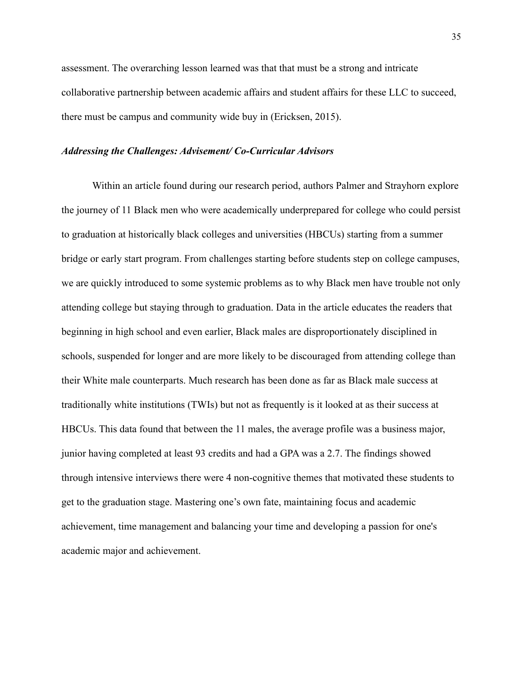assessment. The overarching lesson learned was that that must be a strong and intricate collaborative partnership between academic affairs and student affairs for these LLC to succeed, there must be campus and community wide buy in (Ericksen, 2015).

#### *Addressing the Challenges: Advisement/ Co-Curricular Advisors*

Within an article found during our research period, authors Palmer and Strayhorn explore the journey of 11 Black men who were academically underprepared for college who could persist to graduation at historically black colleges and universities (HBCUs) starting from a summer bridge or early start program. From challenges starting before students step on college campuses, we are quickly introduced to some systemic problems as to why Black men have trouble not only attending college but staying through to graduation. Data in the article educates the readers that beginning in high school and even earlier, Black males are disproportionately disciplined in schools, suspended for longer and are more likely to be discouraged from attending college than their White male counterparts. Much research has been done as far as Black male success at traditionally white institutions (TWIs) but not as frequently is it looked at as their success at HBCUs. This data found that between the 11 males, the average profile was a business major, junior having completed at least 93 credits and had a GPA was a 2.7. The findings showed through intensive interviews there were 4 non-cognitive themes that motivated these students to get to the graduation stage. Mastering one's own fate, maintaining focus and academic achievement, time management and balancing your time and developing a passion for one's academic major and achievement.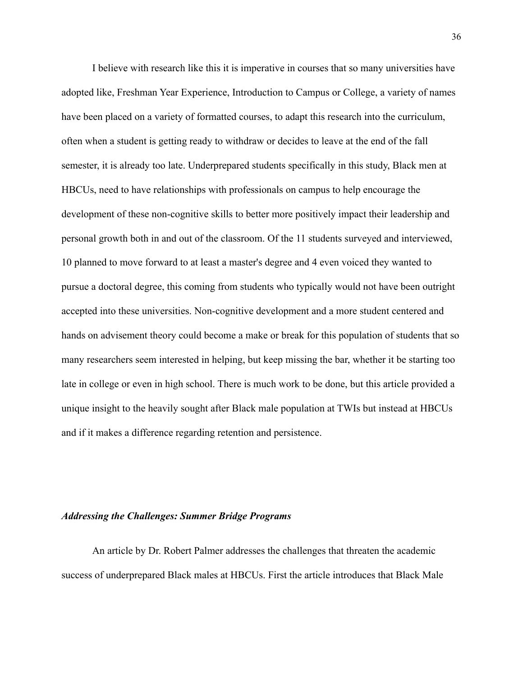I believe with research like this it is imperative in courses that so many universities have adopted like, Freshman Year Experience, Introduction to Campus or College, a variety of names have been placed on a variety of formatted courses, to adapt this research into the curriculum, often when a student is getting ready to withdraw or decides to leave at the end of the fall semester, it is already too late. Underprepared students specifically in this study, Black men at HBCUs, need to have relationships with professionals on campus to help encourage the development of these non-cognitive skills to better more positively impact their leadership and personal growth both in and out of the classroom. Of the 11 students surveyed and interviewed, 10 planned to move forward to at least a master's degree and 4 even voiced they wanted to pursue a doctoral degree, this coming from students who typically would not have been outright accepted into these universities. Non-cognitive development and a more student centered and hands on advisement theory could become a make or break for this population of students that so many researchers seem interested in helping, but keep missing the bar, whether it be starting too late in college or even in high school. There is much work to be done, but this article provided a unique insight to the heavily sought after Black male population at TWIs but instead at HBCUs and if it makes a difference regarding retention and persistence.

### *Addressing the Challenges: Summer Bridge Programs*

An article by Dr. Robert Palmer addresses the challenges that threaten the academic success of underprepared Black males at HBCUs. First the article introduces that Black Male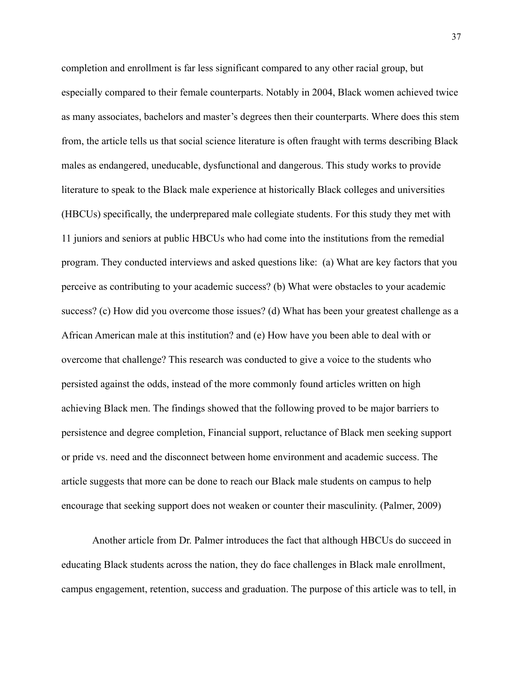completion and enrollment is far less significant compared to any other racial group, but especially compared to their female counterparts. Notably in 2004, Black women achieved twice as many associates, bachelors and master's degrees then their counterparts. Where does this stem from, the article tells us that social science literature is often fraught with terms describing Black males as endangered, uneducable, dysfunctional and dangerous. This study works to provide literature to speak to the Black male experience at historically Black colleges and universities (HBCUs) specifically, the underprepared male collegiate students. For this study they met with 11 juniors and seniors at public HBCUs who had come into the institutions from the remedial program. They conducted interviews and asked questions like: (a) What are key factors that you perceive as contributing to your academic success? (b) What were obstacles to your academic success? (c) How did you overcome those issues? (d) What has been your greatest challenge as a African American male at this institution? and (e) How have you been able to deal with or overcome that challenge? This research was conducted to give a voice to the students who persisted against the odds, instead of the more commonly found articles written on high achieving Black men. The findings showed that the following proved to be major barriers to persistence and degree completion, Financial support, reluctance of Black men seeking support or pride vs. need and the disconnect between home environment and academic success. The article suggests that more can be done to reach our Black male students on campus to help encourage that seeking support does not weaken or counter their masculinity. (Palmer, 2009)

Another article from Dr. Palmer introduces the fact that although HBCUs do succeed in educating Black students across the nation, they do face challenges in Black male enrollment, campus engagement, retention, success and graduation. The purpose of this article was to tell, in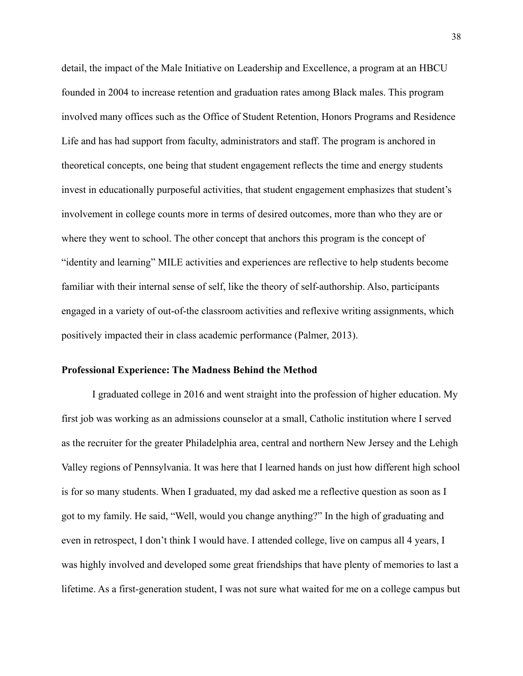detail, the impact of the Male Initiative on Leadership and Excellence, a program at an HBCU founded in 2004 to increase retention and graduation rates among Black males. This program involved many offices such as the Office of Student Retention, Honors Programs and Residence Life and has had support from faculty, administrators and staff. The program is anchored in theoretical concepts, one being that student engagement reflects the time and energy students invest in educationally purposeful activities, that student engagement emphasizes that student's involvement in college counts more in terms of desired outcomes, more than who they are or where they went to school. The other concept that anchors this program is the concept of "identity and learning" MILE activities and experiences are reflective to help students become familiar with their internal sense of self, like the theory of self-authorship. Also, participants engaged in a variety of out-of-the classroom activities and reflexive writing assignments, which positively impacted their in class academic performance (Palmer, 2013).

#### **Professional Experience: The Madness Behind the Method**

I graduated college in 2016 and went straight into the profession of higher education. My first job was working as an admissions counselor at a small, Catholic institution where I served as the recruiter for the greater Philadelphia area, central and northern New Jersey and the Lehigh Valley regions of Pennsylvania. It was here that I learned hands on just how different high school is for so many students. When I graduated, my dad asked me a reflective question as soon as I got to my family. He said, "Well, would you change anything?" In the high of graduating and even in retrospect, I don't think I would have. I attended college, live on campus all 4 years, I was highly involved and developed some great friendships that have plenty of memories to last a lifetime. As a first-generation student, I was not sure what waited for me on a college campus but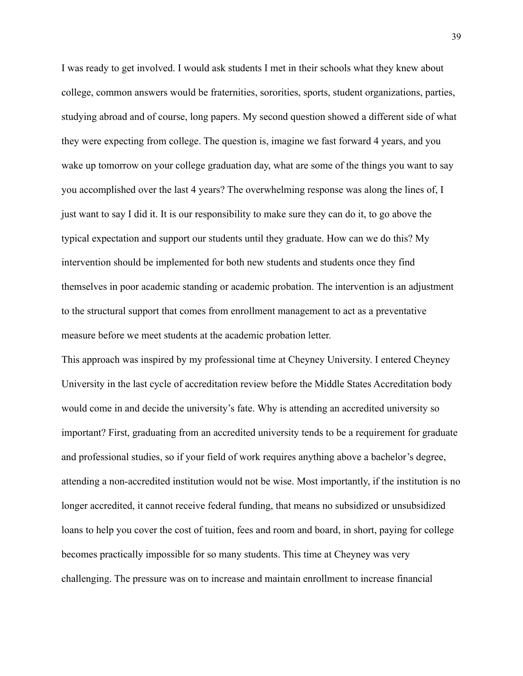I was ready to get involved. I would ask students I met in their schools what they knew about college, common answers would be fraternities, sororities, sports, student organizations, parties, studying abroad and of course, long papers. My second question showed a different side of what they were expecting from college. The question is, imagine we fast forward 4 years, and you wake up tomorrow on your college graduation day, what are some of the things you want to say you accomplished over the last 4 years? The overwhelming response was along the lines of, I just want to say I did it. It is our responsibility to make sure they can do it, to go above the typical expectation and support our students until they graduate. How can we do this? My intervention should be implemented for both new students and students once they find themselves in poor academic standing or academic probation. The intervention is an adjustment to the structural support that comes from enrollment management to act as a preventative measure before we meet students at the academic probation letter.

This approach was inspired by my professional time at Cheyney University. I entered Cheyney University in the last cycle of accreditation review before the Middle States Accreditation body would come in and decide the university's fate. Why is attending an accredited university so important? First, graduating from an accredited university tends to be a requirement for graduate and professional studies, so if your field of work requires anything above a bachelor's degree, attending a non-accredited institution would not be wise. Most importantly, if the institution is no longer accredited, it cannot receive federal funding, that means no subsidized or unsubsidized loans to help you cover the cost of tuition, fees and room and board, in short, paying for college becomes practically impossible for so many students. This time at Cheyney was very challenging. The pressure was on to increase and maintain enrollment to increase financial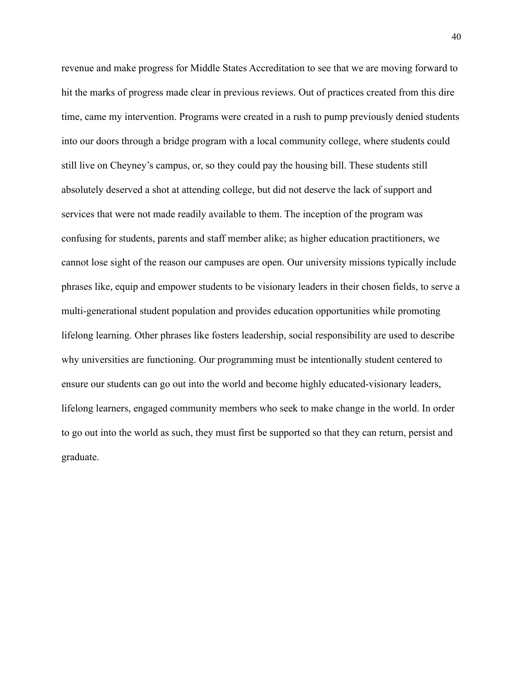revenue and make progress for Middle States Accreditation to see that we are moving forward to hit the marks of progress made clear in previous reviews. Out of practices created from this dire time, came my intervention. Programs were created in a rush to pump previously denied students into our doors through a bridge program with a local community college, where students could still live on Cheyney's campus, or, so they could pay the housing bill. These students still absolutely deserved a shot at attending college, but did not deserve the lack of support and services that were not made readily available to them. The inception of the program was confusing for students, parents and staff member alike; as higher education practitioners, we cannot lose sight of the reason our campuses are open. Our university missions typically include phrases like, equip and empower students to be visionary leaders in their chosen fields, to serve a multi-generational student population and provides education opportunities while promoting lifelong learning. Other phrases like fosters leadership, social responsibility are used to describe why universities are functioning. Our programming must be intentionally student centered to ensure our students can go out into the world and become highly educated-visionary leaders, lifelong learners, engaged community members who seek to make change in the world. In order to go out into the world as such, they must first be supported so that they can return, persist and graduate.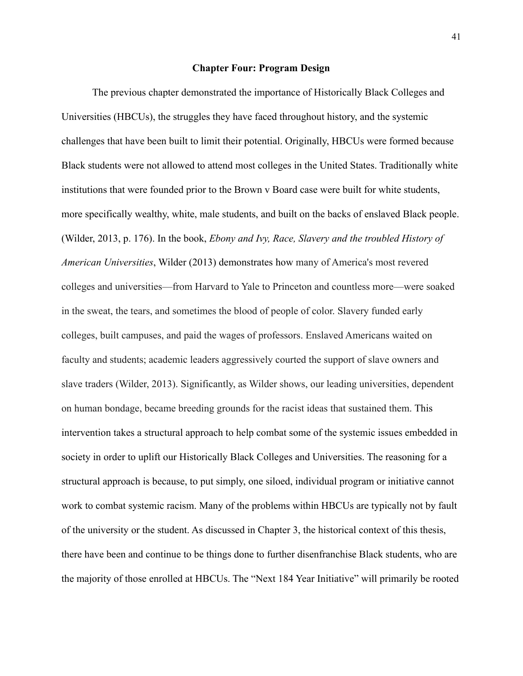#### **Chapter Four: Program Design**

The previous chapter demonstrated the importance of Historically Black Colleges and Universities (HBCUs), the struggles they have faced throughout history, and the systemic challenges that have been built to limit their potential. Originally, HBCUs were formed because Black students were not allowed to attend most colleges in the United States. Traditionally white institutions that were founded prior to the Brown v Board case were built for white students, more specifically wealthy, white, male students, and built on the backs of enslaved Black people. (Wilder, 2013, p. 176). In the book, *Ebony and Ivy, Race, Slavery and the troubled History of American Universities*, Wilder (2013) demonstrates how many of America's most revered colleges and universities—from Harvard to Yale to Princeton and countless more—were soaked in the sweat, the tears, and sometimes the blood of people of color. Slavery funded early colleges, built campuses, and paid the wages of professors. Enslaved Americans waited on faculty and students; academic leaders aggressively courted the support of slave owners and slave traders (Wilder, 2013). Significantly, as Wilder shows, our leading universities, dependent on human bondage, became breeding grounds for the racist ideas that sustained them. This intervention takes a structural approach to help combat some of the systemic issues embedded in society in order to uplift our Historically Black Colleges and Universities. The reasoning for a structural approach is because, to put simply, one siloed, individual program or initiative cannot work to combat systemic racism. Many of the problems within HBCUs are typically not by fault of the university or the student. As discussed in Chapter 3, the historical context of this thesis, there have been and continue to be things done to further disenfranchise Black students, who are the majority of those enrolled at HBCUs. The "Next 184 Year Initiative" will primarily be rooted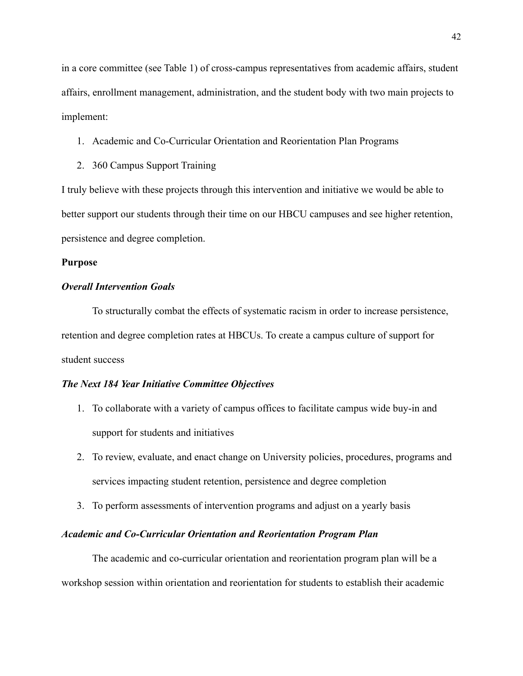in a core committee (see Table 1) of cross-campus representatives from academic affairs, student affairs, enrollment management, administration, and the student body with two main projects to implement:

# 1. Academic and Co-Curricular Orientation and Reorientation Plan Programs

2. 360 Campus Support Training

I truly believe with these projects through this intervention and initiative we would be able to better support our students through their time on our HBCU campuses and see higher retention, persistence and degree completion.

## **Purpose**

## *Overall Intervention Goals*

To structurally combat the effects of systematic racism in order to increase persistence, retention and degree completion rates at HBCUs. To create a campus culture of support for student success

### *The Next 184 Year Initiative Committee Objectives*

- 1. To collaborate with a variety of campus offices to facilitate campus wide buy-in and support for students and initiatives
- 2. To review, evaluate, and enact change on University policies, procedures, programs and services impacting student retention, persistence and degree completion
- 3. To perform assessments of intervention programs and adjust on a yearly basis

## *Academic and Co-Curricular Orientation and Reorientation Program Plan*

The academic and co-curricular orientation and reorientation program plan will be a workshop session within orientation and reorientation for students to establish their academic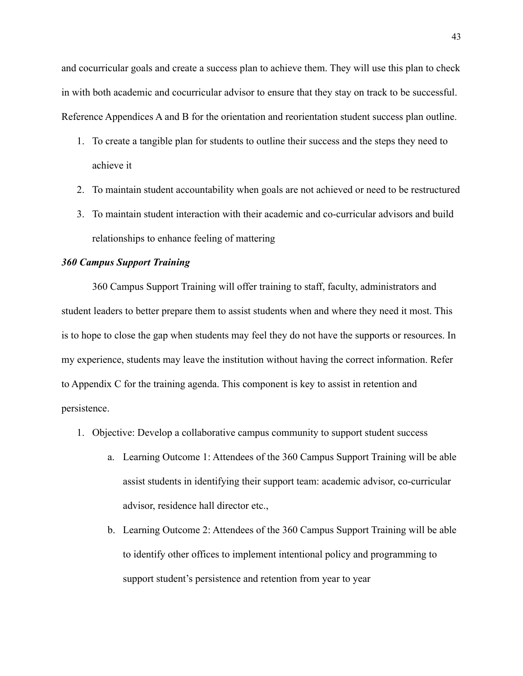and cocurricular goals and create a success plan to achieve them. They will use this plan to check in with both academic and cocurricular advisor to ensure that they stay on track to be successful. Reference Appendices A and B for the orientation and reorientation student success plan outline.

- 1. To create a tangible plan for students to outline their success and the steps they need to achieve it
- 2. To maintain student accountability when goals are not achieved or need to be restructured
- 3. To maintain student interaction with their academic and co-curricular advisors and build relationships to enhance feeling of mattering

### *360 Campus Support Training*

360 Campus Support Training will offer training to staff, faculty, administrators and student leaders to better prepare them to assist students when and where they need it most. This is to hope to close the gap when students may feel they do not have the supports or resources. In my experience, students may leave the institution without having the correct information. Refer to Appendix C for the training agenda. This component is key to assist in retention and persistence.

- 1. Objective: Develop a collaborative campus community to support student success
	- a. Learning Outcome 1: Attendees of the 360 Campus Support Training will be able assist students in identifying their support team: academic advisor, co-curricular advisor, residence hall director etc.,
	- b. Learning Outcome 2: Attendees of the 360 Campus Support Training will be able to identify other offices to implement intentional policy and programming to support student's persistence and retention from year to year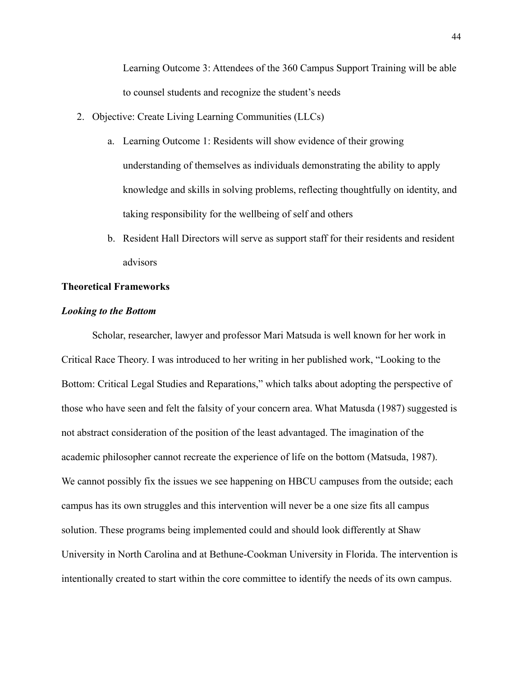Learning Outcome 3: Attendees of the 360 Campus Support Training will be able to counsel students and recognize the student's needs

- 2. Objective: Create Living Learning Communities (LLCs)
	- a. Learning Outcome 1: Residents will show evidence of their growing understanding of themselves as individuals demonstrating the ability to apply knowledge and skills in solving problems, reflecting thoughtfully on identity, and taking responsibility for the wellbeing of self and others
	- b. Resident Hall Directors will serve as support staff for their residents and resident advisors

#### **Theoretical Frameworks**

### *Looking to the Bottom*

Scholar, researcher, lawyer and professor Mari Matsuda is well known for her work in Critical Race Theory. I was introduced to her writing in her published work, "Looking to the Bottom: Critical Legal Studies and Reparations," which talks about adopting the perspective of those who have seen and felt the falsity of your concern area. What Matusda (1987) suggested is not abstract consideration of the position of the least advantaged. The imagination of the academic philosopher cannot recreate the experience of life on the bottom (Matsuda, 1987). We cannot possibly fix the issues we see happening on HBCU campuses from the outside; each campus has its own struggles and this intervention will never be a one size fits all campus solution. These programs being implemented could and should look differently at Shaw University in North Carolina and at Bethune-Cookman University in Florida. The intervention is intentionally created to start within the core committee to identify the needs of its own campus.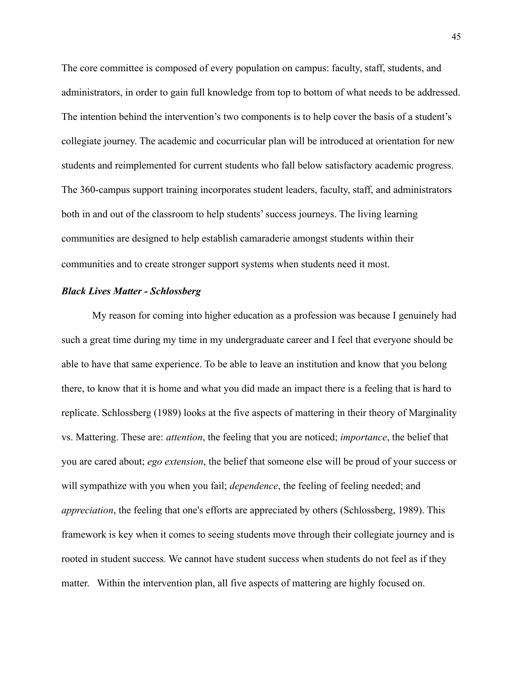The core committee is composed of every population on campus: faculty, staff, students, and administrators, in order to gain full knowledge from top to bottom of what needs to be addressed. The intention behind the intervention's two components is to help cover the basis of a student's collegiate journey. The academic and cocurricular plan will be introduced at orientation for new students and reimplemented for current students who fall below satisfactory academic progress. The 360-campus support training incorporates student leaders, faculty, staff, and administrators both in and out of the classroom to help students' success journeys. The living learning communities are designed to help establish camaraderie amongst students within their communities and to create stronger support systems when students need it most.

### *Black Lives Matter - Schlossberg*

My reason for coming into higher education as a profession was because I genuinely had such a great time during my time in my undergraduate career and I feel that everyone should be able to have that same experience. To be able to leave an institution and know that you belong there, to know that it is home and what you did made an impact there is a feeling that is hard to replicate. Schlossberg (1989) looks at the five aspects of mattering in their theory of Marginality vs. Mattering. These are: *attention*, the feeling that you are noticed; *importance*, the belief that you are cared about; *ego extension*, the belief that someone else will be proud of your success or will sympathize with you when you fail; *dependence*, the feeling of feeling needed; and *appreciation*, the feeling that one's efforts are appreciated by others (Schlossberg, 1989). This framework is key when it comes to seeing students move through their collegiate journey and is rooted in student success. We cannot have student success when students do not feel as if they matter. Within the intervention plan, all five aspects of mattering are highly focused on.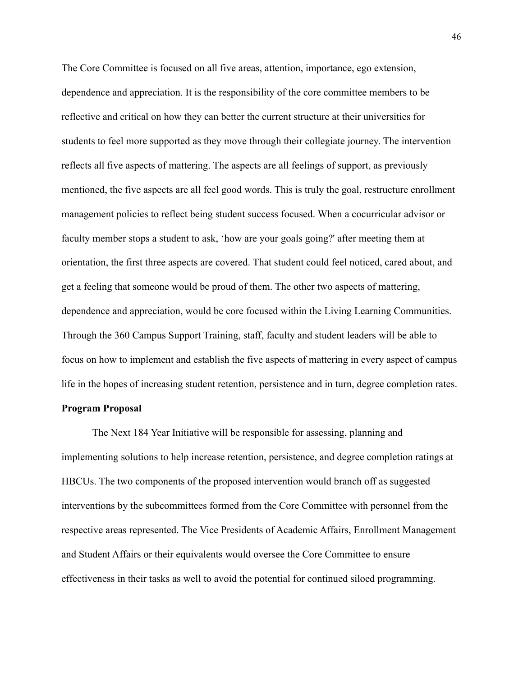The Core Committee is focused on all five areas, attention, importance, ego extension, dependence and appreciation. It is the responsibility of the core committee members to be reflective and critical on how they can better the current structure at their universities for students to feel more supported as they move through their collegiate journey. The intervention reflects all five aspects of mattering. The aspects are all feelings of support, as previously mentioned, the five aspects are all feel good words. This is truly the goal, restructure enrollment management policies to reflect being student success focused. When a cocurricular advisor or faculty member stops a student to ask, 'how are your goals going?' after meeting them at orientation, the first three aspects are covered. That student could feel noticed, cared about, and get a feeling that someone would be proud of them. The other two aspects of mattering, dependence and appreciation, would be core focused within the Living Learning Communities. Through the 360 Campus Support Training, staff, faculty and student leaders will be able to focus on how to implement and establish the five aspects of mattering in every aspect of campus life in the hopes of increasing student retention, persistence and in turn, degree completion rates. **Program Proposal**

The Next 184 Year Initiative will be responsible for assessing, planning and implementing solutions to help increase retention, persistence, and degree completion ratings at HBCUs. The two components of the proposed intervention would branch off as suggested interventions by the subcommittees formed from the Core Committee with personnel from the respective areas represented. The Vice Presidents of Academic Affairs, Enrollment Management and Student Affairs or their equivalents would oversee the Core Committee to ensure effectiveness in their tasks as well to avoid the potential for continued siloed programming.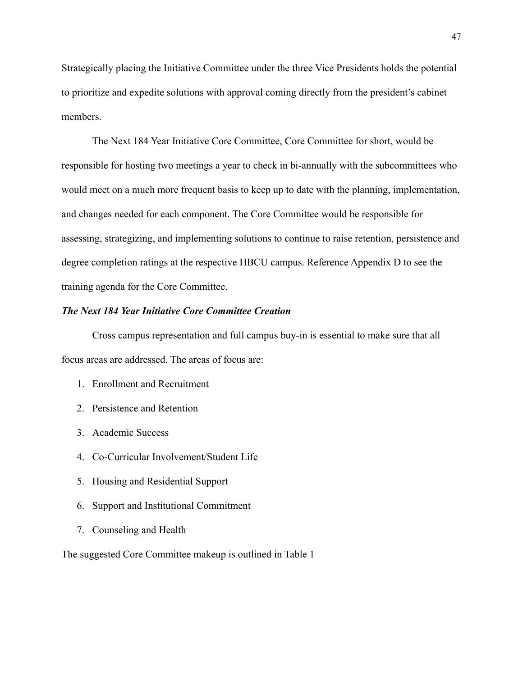Strategically placing the Initiative Committee under the three Vice Presidents holds the potential to prioritize and expedite solutions with approval coming directly from the president's cabinet members.

The Next 184 Year Initiative Core Committee, Core Committee for short, would be responsible for hosting two meetings a year to check in bi-annually with the subcommittees who would meet on a much more frequent basis to keep up to date with the planning, implementation, and changes needed for each component. The Core Committee would be responsible for assessing, strategizing, and implementing solutions to continue to raise retention, persistence and degree completion ratings at the respective HBCU campus. Reference Appendix D to see the training agenda for the Core Committee.

# *The Next 184 Year Initiative Core Committee Creation*

Cross campus representation and full campus buy-in is essential to make sure that all focus areas are addressed. The areas of focus are:

- 1. Enrollment and Recruitment
- 2. Persistence and Retention
- 3. Academic Success
- 4. Co-Curricular Involvement/Student Life
- 5. Housing and Residential Support
- 6. Support and Institutional Commitment
- 7. Counseling and Health

The suggested Core Committee makeup is outlined in Table 1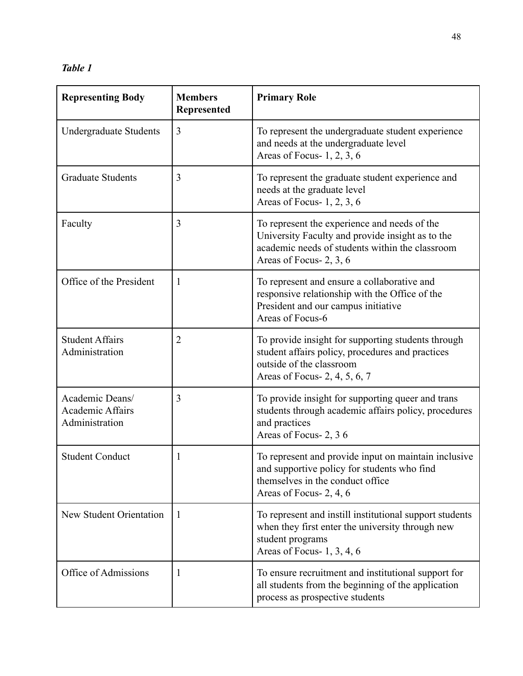*Table 1*

| <b>Representing Body</b>                                     | <b>Members</b><br>Represented | <b>Primary Role</b>                                                                                                                                                            |
|--------------------------------------------------------------|-------------------------------|--------------------------------------------------------------------------------------------------------------------------------------------------------------------------------|
| <b>Undergraduate Students</b>                                | 3                             | To represent the undergraduate student experience<br>and needs at the undergraduate level<br>Areas of Focus- 1, 2, 3, 6                                                        |
| <b>Graduate Students</b>                                     | 3                             | To represent the graduate student experience and<br>needs at the graduate level<br>Areas of Focus- 1, 2, 3, 6                                                                  |
| Faculty                                                      | 3                             | To represent the experience and needs of the<br>University Faculty and provide insight as to the<br>academic needs of students within the classroom<br>Areas of Focus- 2, 3, 6 |
| Office of the President                                      | $\mathbf{1}$                  | To represent and ensure a collaborative and<br>responsive relationship with the Office of the<br>President and our campus initiative<br>Areas of Focus-6                       |
| <b>Student Affairs</b><br>Administration                     | $\overline{2}$                | To provide insight for supporting students through<br>student affairs policy, procedures and practices<br>outside of the classroom<br>Areas of Focus- 2, 4, 5, 6, 7            |
| Academic Deans/<br><b>Academic Affairs</b><br>Administration | 3                             | To provide insight for supporting queer and trans<br>students through academic affairs policy, procedures<br>and practices<br>Areas of Focus-2, 36                             |
| <b>Student Conduct</b>                                       | 1                             | To represent and provide input on maintain inclusive<br>and supportive policy for students who find<br>themselves in the conduct office<br>Areas of Focus- 2, 4, 6             |
| New Student Orientation                                      | -1                            | To represent and instill institutional support students<br>when they first enter the university through new<br>student programs<br>Areas of Focus- 1, 3, 4, 6                  |
| Office of Admissions                                         | 1                             | To ensure recruitment and institutional support for<br>all students from the beginning of the application<br>process as prospective students                                   |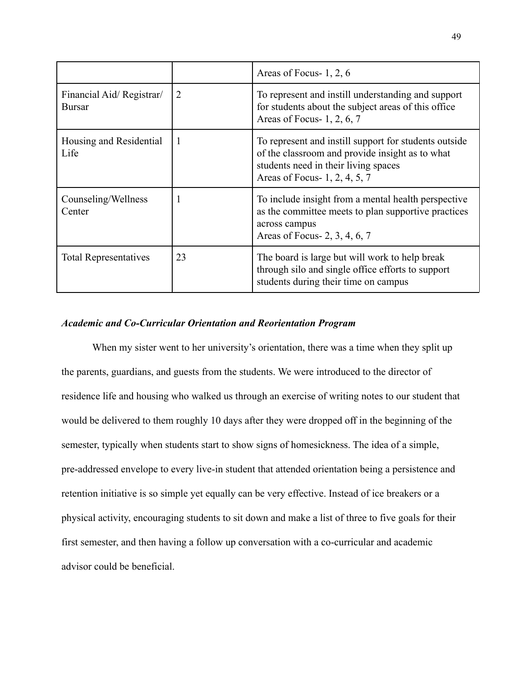|                                           |                | Areas of Focus-1, 2, 6                                                                                                                                                            |
|-------------------------------------------|----------------|-----------------------------------------------------------------------------------------------------------------------------------------------------------------------------------|
| Financial Aid/Registrar/<br><b>Bursar</b> | $\overline{2}$ | To represent and instill understanding and support<br>for students about the subject areas of this office<br>Areas of Focus- 1, 2, 6, 7                                           |
| Housing and Residential<br>Life           | -1             | To represent and instill support for students outside<br>of the classroom and provide insight as to what<br>students need in their living spaces<br>Areas of Focus- 1, 2, 4, 5, 7 |
| Counseling/Wellness<br>Center             | 1              | To include insight from a mental health perspective<br>as the committee meets to plan supportive practices<br>across campus<br>Areas of Focus- 2, 3, 4, 6, 7                      |
| <b>Total Representatives</b>              | 23             | The board is large but will work to help break<br>through silo and single office efforts to support<br>students during their time on campus                                       |

## *Academic and Co-Curricular Orientation and Reorientation Program*

When my sister went to her university's orientation, there was a time when they split up the parents, guardians, and guests from the students. We were introduced to the director of residence life and housing who walked us through an exercise of writing notes to our student that would be delivered to them roughly 10 days after they were dropped off in the beginning of the semester, typically when students start to show signs of homesickness. The idea of a simple, pre-addressed envelope to every live-in student that attended orientation being a persistence and retention initiative is so simple yet equally can be very effective. Instead of ice breakers or a physical activity, encouraging students to sit down and make a list of three to five goals for their first semester, and then having a follow up conversation with a co-curricular and academic advisor could be beneficial.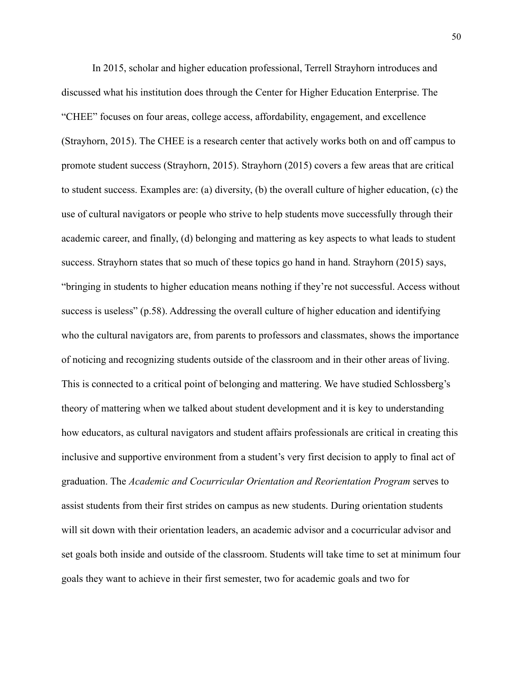In 2015, scholar and higher education professional, Terrell Strayhorn introduces and discussed what his institution does through the Center for Higher Education Enterprise. The "CHEE" focuses on four areas, college access, affordability, engagement, and excellence (Strayhorn, 2015). The CHEE is a research center that actively works both on and off campus to promote student success (Strayhorn, 2015). Strayhorn (2015) covers a few areas that are critical to student success. Examples are: (a) diversity, (b) the overall culture of higher education, (c) the use of cultural navigators or people who strive to help students move successfully through their academic career, and finally, (d) belonging and mattering as key aspects to what leads to student success. Strayhorn states that so much of these topics go hand in hand. Strayhorn (2015) says, "bringing in students to higher education means nothing if they're not successful. Access without success is useless" (p.58). Addressing the overall culture of higher education and identifying who the cultural navigators are, from parents to professors and classmates, shows the importance of noticing and recognizing students outside of the classroom and in their other areas of living. This is connected to a critical point of belonging and mattering. We have studied Schlossberg's theory of mattering when we talked about student development and it is key to understanding how educators, as cultural navigators and student affairs professionals are critical in creating this inclusive and supportive environment from a student's very first decision to apply to final act of graduation. The *Academic and Cocurricular Orientation and Reorientation Program* serves to assist students from their first strides on campus as new students. During orientation students will sit down with their orientation leaders, an academic advisor and a cocurricular advisor and set goals both inside and outside of the classroom. Students will take time to set at minimum four goals they want to achieve in their first semester, two for academic goals and two for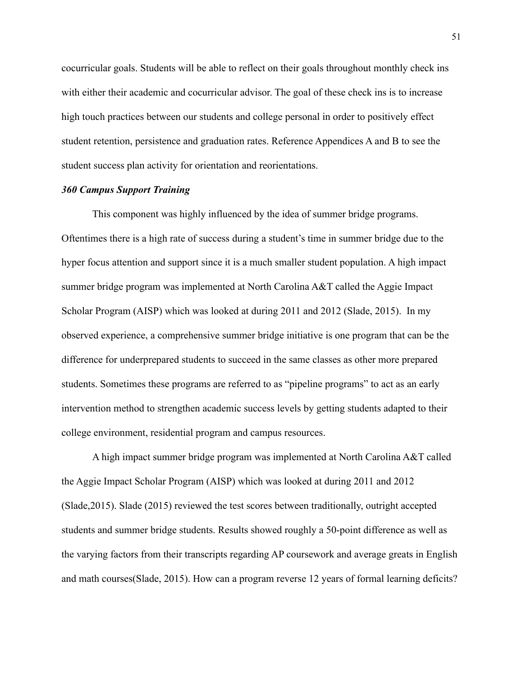cocurricular goals. Students will be able to reflect on their goals throughout monthly check ins with either their academic and cocurricular advisor. The goal of these check ins is to increase high touch practices between our students and college personal in order to positively effect student retention, persistence and graduation rates. Reference Appendices A and B to see the student success plan activity for orientation and reorientations.

#### *360 Campus Support Training*

This component was highly influenced by the idea of summer bridge programs. Oftentimes there is a high rate of success during a student's time in summer bridge due to the hyper focus attention and support since it is a much smaller student population. A high impact summer bridge program was implemented at North Carolina A&T called the Aggie Impact Scholar Program (AISP) which was looked at during 2011 and 2012 (Slade, 2015). In my observed experience, a comprehensive summer bridge initiative is one program that can be the difference for underprepared students to succeed in the same classes as other more prepared students. Sometimes these programs are referred to as "pipeline programs" to act as an early intervention method to strengthen academic success levels by getting students adapted to their college environment, residential program and campus resources.

A high impact summer bridge program was implemented at North Carolina A&T called the Aggie Impact Scholar Program (AISP) which was looked at during 2011 and 2012 (Slade,2015). Slade (2015) reviewed the test scores between traditionally, outright accepted students and summer bridge students. Results showed roughly a 50-point difference as well as the varying factors from their transcripts regarding AP coursework and average greats in English and math courses(Slade, 2015). How can a program reverse 12 years of formal learning deficits?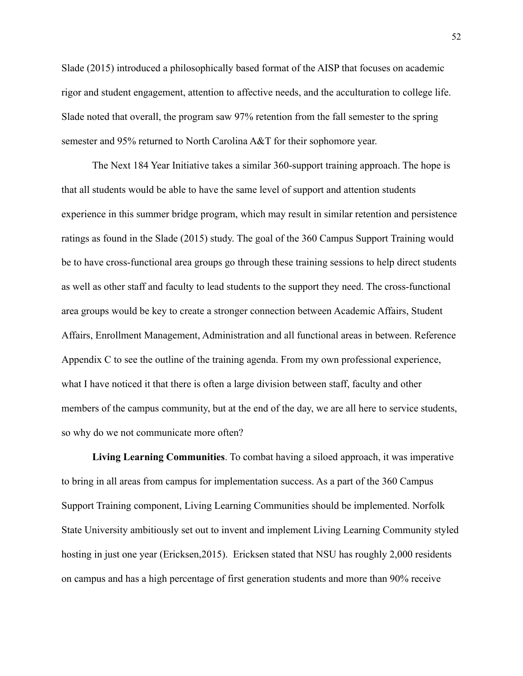Slade (2015) introduced a philosophically based format of the AISP that focuses on academic rigor and student engagement, attention to affective needs, and the acculturation to college life. Slade noted that overall, the program saw 97% retention from the fall semester to the spring semester and 95% returned to North Carolina A&T for their sophomore year.

The Next 184 Year Initiative takes a similar 360-support training approach. The hope is that all students would be able to have the same level of support and attention students experience in this summer bridge program, which may result in similar retention and persistence ratings as found in the Slade (2015) study. The goal of the 360 Campus Support Training would be to have cross-functional area groups go through these training sessions to help direct students as well as other staff and faculty to lead students to the support they need. The cross-functional area groups would be key to create a stronger connection between Academic Affairs, Student Affairs, Enrollment Management, Administration and all functional areas in between. Reference Appendix C to see the outline of the training agenda. From my own professional experience, what I have noticed it that there is often a large division between staff, faculty and other members of the campus community, but at the end of the day, we are all here to service students, so why do we not communicate more often?

**Living Learning Communities**. To combat having a siloed approach, it was imperative to bring in all areas from campus for implementation success. As a part of the 360 Campus Support Training component, Living Learning Communities should be implemented. Norfolk State University ambitiously set out to invent and implement Living Learning Community styled hosting in just one year (Ericksen,2015). Ericksen stated that NSU has roughly 2,000 residents on campus and has a high percentage of first generation students and more than 90% receive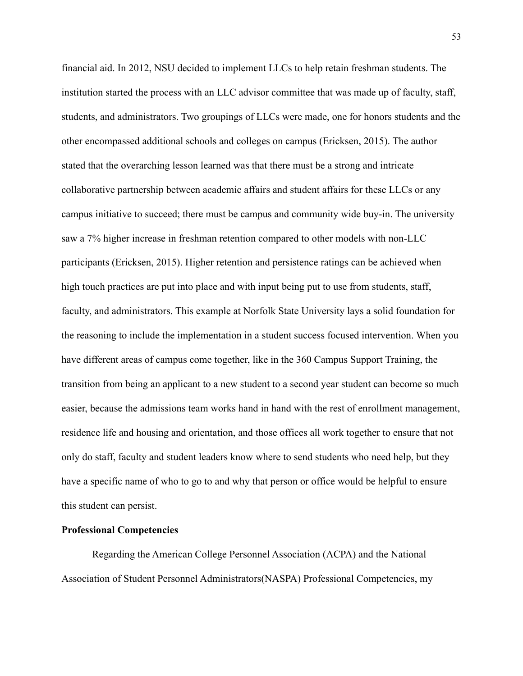financial aid. In 2012, NSU decided to implement LLCs to help retain freshman students. The institution started the process with an LLC advisor committee that was made up of faculty, staff, students, and administrators. Two groupings of LLCs were made, one for honors students and the other encompassed additional schools and colleges on campus (Ericksen, 2015). The author stated that the overarching lesson learned was that there must be a strong and intricate collaborative partnership between academic affairs and student affairs for these LLCs or any campus initiative to succeed; there must be campus and community wide buy-in. The university saw a 7% higher increase in freshman retention compared to other models with non-LLC participants (Ericksen, 2015). Higher retention and persistence ratings can be achieved when high touch practices are put into place and with input being put to use from students, staff, faculty, and administrators. This example at Norfolk State University lays a solid foundation for the reasoning to include the implementation in a student success focused intervention. When you have different areas of campus come together, like in the 360 Campus Support Training, the transition from being an applicant to a new student to a second year student can become so much easier, because the admissions team works hand in hand with the rest of enrollment management, residence life and housing and orientation, and those offices all work together to ensure that not only do staff, faculty and student leaders know where to send students who need help, but they have a specific name of who to go to and why that person or office would be helpful to ensure this student can persist.

### **Professional Competencies**

Regarding the American College Personnel Association (ACPA) and the National Association of Student Personnel Administrators(NASPA) Professional Competencies, my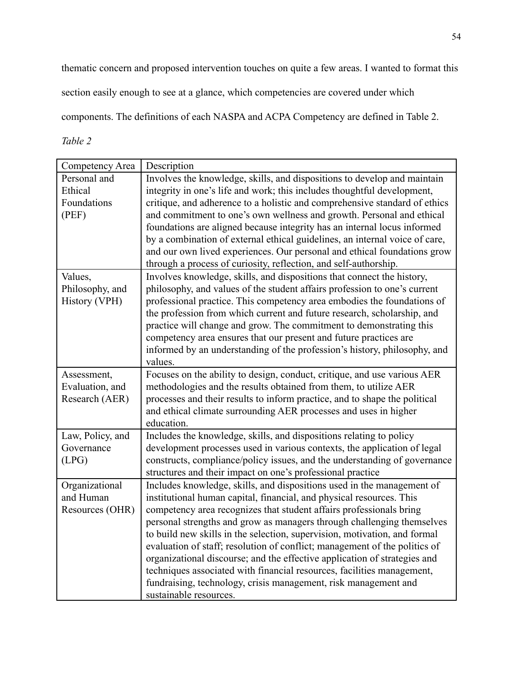thematic concern and proposed intervention touches on quite a few areas. I wanted to format this

section easily enough to see at a glance, which competencies are covered under which

components. The definitions of each NASPA and ACPA Competency are defined in Table 2.

*Table 2*

| Competency Area  | Description                                                                 |
|------------------|-----------------------------------------------------------------------------|
| Personal and     | Involves the knowledge, skills, and dispositions to develop and maintain    |
| Ethical          | integrity in one's life and work; this includes thoughtful development,     |
| Foundations      | critique, and adherence to a holistic and comprehensive standard of ethics  |
| (PEF)            | and commitment to one's own wellness and growth. Personal and ethical       |
|                  | foundations are aligned because integrity has an internal locus informed    |
|                  | by a combination of external ethical guidelines, an internal voice of care, |
|                  | and our own lived experiences. Our personal and ethical foundations grow    |
|                  | through a process of curiosity, reflection, and self-authorship.            |
| Values,          | Involves knowledge, skills, and dispositions that connect the history,      |
| Philosophy, and  | philosophy, and values of the student affairs profession to one's current   |
| History (VPH)    | professional practice. This competency area embodies the foundations of     |
|                  | the profession from which current and future research, scholarship, and     |
|                  | practice will change and grow. The commitment to demonstrating this         |
|                  | competency area ensures that our present and future practices are           |
|                  | informed by an understanding of the profession's history, philosophy, and   |
|                  | values.                                                                     |
| Assessment,      | Focuses on the ability to design, conduct, critique, and use various AER    |
| Evaluation, and  | methodologies and the results obtained from them, to utilize AER            |
| Research (AER)   | processes and their results to inform practice, and to shape the political  |
|                  | and ethical climate surrounding AER processes and uses in higher            |
|                  | education.                                                                  |
| Law, Policy, and | Includes the knowledge, skills, and dispositions relating to policy         |
| Governance       | development processes used in various contexts, the application of legal    |
| (LPG)            | constructs, compliance/policy issues, and the understanding of governance   |
|                  | structures and their impact on one's professional practice                  |
| Organizational   | Includes knowledge, skills, and dispositions used in the management of      |
| and Human        | institutional human capital, financial, and physical resources. This        |
| Resources (OHR)  | competency area recognizes that student affairs professionals bring         |
|                  | personal strengths and grow as managers through challenging themselves      |
|                  | to build new skills in the selection, supervision, motivation, and formal   |
|                  | evaluation of staff; resolution of conflict; management of the politics of  |
|                  | organizational discourse; and the effective application of strategies and   |
|                  | techniques associated with financial resources, facilities management,      |
|                  | fundraising, technology, crisis management, risk management and             |
|                  | sustainable resources.                                                      |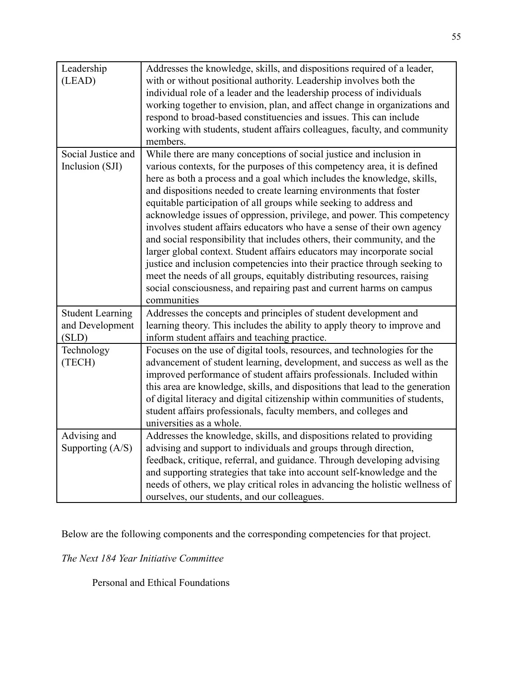| Leadership<br>(LEAD)                       | Addresses the knowledge, skills, and dispositions required of a leader,<br>with or without positional authority. Leadership involves both the<br>individual role of a leader and the leadership process of individuals<br>working together to envision, plan, and affect change in organizations and<br>respond to broad-based constituencies and issues. This can include<br>working with students, student affairs colleagues, faculty, and community<br>members. |
|--------------------------------------------|---------------------------------------------------------------------------------------------------------------------------------------------------------------------------------------------------------------------------------------------------------------------------------------------------------------------------------------------------------------------------------------------------------------------------------------------------------------------|
| Social Justice and                         | While there are many conceptions of social justice and inclusion in                                                                                                                                                                                                                                                                                                                                                                                                 |
| Inclusion (SJI)                            | various contexts, for the purposes of this competency area, it is defined                                                                                                                                                                                                                                                                                                                                                                                           |
|                                            | here as both a process and a goal which includes the knowledge, skills,                                                                                                                                                                                                                                                                                                                                                                                             |
|                                            | and dispositions needed to create learning environments that foster<br>equitable participation of all groups while seeking to address and                                                                                                                                                                                                                                                                                                                           |
|                                            | acknowledge issues of oppression, privilege, and power. This competency                                                                                                                                                                                                                                                                                                                                                                                             |
|                                            | involves student affairs educators who have a sense of their own agency                                                                                                                                                                                                                                                                                                                                                                                             |
|                                            | and social responsibility that includes others, their community, and the                                                                                                                                                                                                                                                                                                                                                                                            |
|                                            | larger global context. Student affairs educators may incorporate social                                                                                                                                                                                                                                                                                                                                                                                             |
|                                            | justice and inclusion competencies into their practice through seeking to                                                                                                                                                                                                                                                                                                                                                                                           |
|                                            | meet the needs of all groups, equitably distributing resources, raising                                                                                                                                                                                                                                                                                                                                                                                             |
|                                            | social consciousness, and repairing past and current harms on campus                                                                                                                                                                                                                                                                                                                                                                                                |
|                                            | communities                                                                                                                                                                                                                                                                                                                                                                                                                                                         |
| <b>Student Learning</b><br>and Development | Addresses the concepts and principles of student development and<br>learning theory. This includes the ability to apply theory to improve and                                                                                                                                                                                                                                                                                                                       |
| (SLD)                                      | inform student affairs and teaching practice.                                                                                                                                                                                                                                                                                                                                                                                                                       |
| Technology                                 | Focuses on the use of digital tools, resources, and technologies for the                                                                                                                                                                                                                                                                                                                                                                                            |
| (TECH)                                     | advancement of student learning, development, and success as well as the                                                                                                                                                                                                                                                                                                                                                                                            |
|                                            | improved performance of student affairs professionals. Included within                                                                                                                                                                                                                                                                                                                                                                                              |
|                                            | this area are knowledge, skills, and dispositions that lead to the generation                                                                                                                                                                                                                                                                                                                                                                                       |
|                                            | of digital literacy and digital citizenship within communities of students,                                                                                                                                                                                                                                                                                                                                                                                         |
|                                            | student affairs professionals, faculty members, and colleges and                                                                                                                                                                                                                                                                                                                                                                                                    |
|                                            | universities as a whole.                                                                                                                                                                                                                                                                                                                                                                                                                                            |
| Advising and                               | Addresses the knowledge, skills, and dispositions related to providing                                                                                                                                                                                                                                                                                                                                                                                              |
| Supporting $(A/S)$                         | advising and support to individuals and groups through direction,                                                                                                                                                                                                                                                                                                                                                                                                   |
|                                            | feedback, critique, referral, and guidance. Through developing advising                                                                                                                                                                                                                                                                                                                                                                                             |
|                                            | and supporting strategies that take into account self-knowledge and the<br>needs of others, we play critical roles in advancing the holistic wellness of                                                                                                                                                                                                                                                                                                            |
|                                            | ourselves, our students, and our colleagues.                                                                                                                                                                                                                                                                                                                                                                                                                        |
|                                            |                                                                                                                                                                                                                                                                                                                                                                                                                                                                     |

Below are the following components and the corresponding competencies for that project.

*The Next 184 Year Initiative Committee*

Personal and Ethical Foundations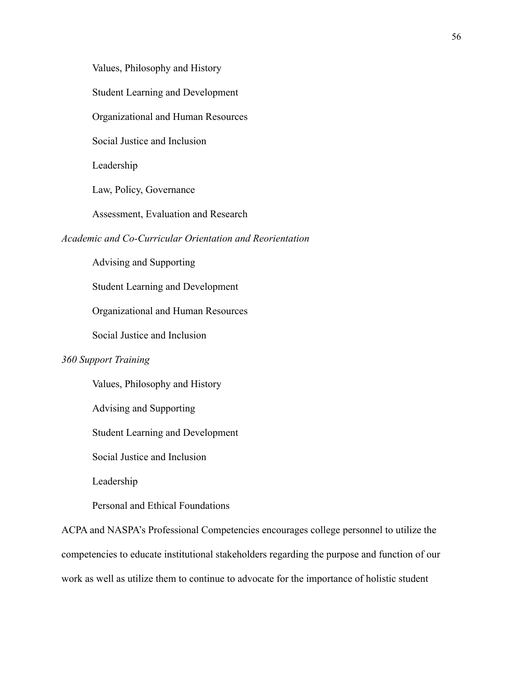Values, Philosophy and History

Student Learning and Development

Organizational and Human Resources

Social Justice and Inclusion

Leadership

Law, Policy, Governance

Assessment, Evaluation and Research

## *Academic and Co-Curricular Orientation and Reorientation*

Advising and Supporting

Student Learning and Development

Organizational and Human Resources

Social Justice and Inclusion

## *360 Support Training*

Values, Philosophy and History

Advising and Supporting

Student Learning and Development

Social Justice and Inclusion

Leadership

Personal and Ethical Foundations

ACPA and NASPA's Professional Competencies encourages college personnel to utilize the competencies to educate institutional stakeholders regarding the purpose and function of our work as well as utilize them to continue to advocate for the importance of holistic student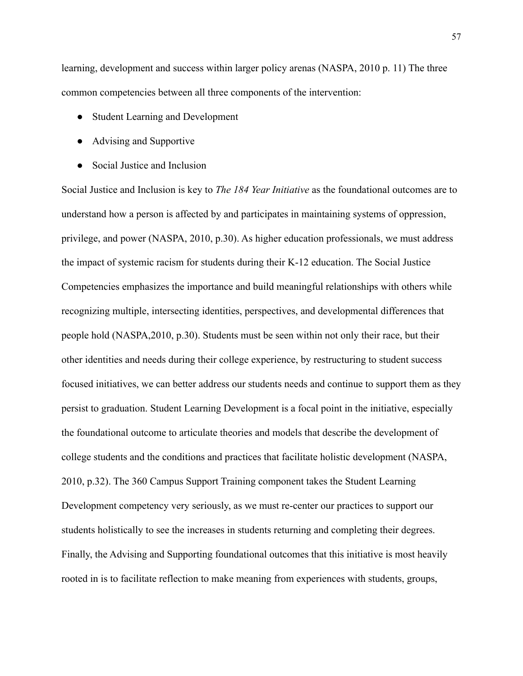learning, development and success within larger policy arenas (NASPA, 2010 p. 11) The three common competencies between all three components of the intervention:

- Student Learning and Development
- Advising and Supportive
- Social Justice and Inclusion

Social Justice and Inclusion is key to *The 184 Year Initiative* as the foundational outcomes are to understand how a person is affected by and participates in maintaining systems of oppression, privilege, and power (NASPA, 2010, p.30). As higher education professionals, we must address the impact of systemic racism for students during their K-12 education. The Social Justice Competencies emphasizes the importance and build meaningful relationships with others while recognizing multiple, intersecting identities, perspectives, and developmental differences that people hold (NASPA,2010, p.30). Students must be seen within not only their race, but their other identities and needs during their college experience, by restructuring to student success focused initiatives, we can better address our students needs and continue to support them as they persist to graduation. Student Learning Development is a focal point in the initiative, especially the foundational outcome to articulate theories and models that describe the development of college students and the conditions and practices that facilitate holistic development (NASPA, 2010, p.32). The 360 Campus Support Training component takes the Student Learning Development competency very seriously, as we must re-center our practices to support our students holistically to see the increases in students returning and completing their degrees. Finally, the Advising and Supporting foundational outcomes that this initiative is most heavily rooted in is to facilitate reflection to make meaning from experiences with students, groups,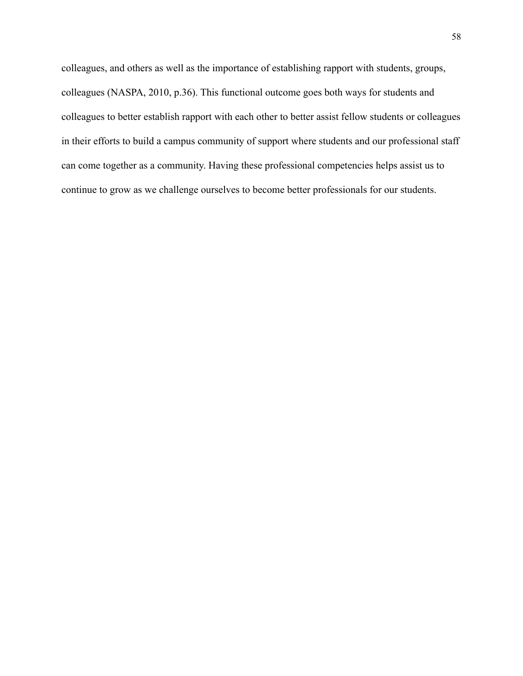colleagues, and others as well as the importance of establishing rapport with students, groups, colleagues (NASPA, 2010, p.36). This functional outcome goes both ways for students and colleagues to better establish rapport with each other to better assist fellow students or colleagues in their efforts to build a campus community of support where students and our professional staff can come together as a community. Having these professional competencies helps assist us to continue to grow as we challenge ourselves to become better professionals for our students.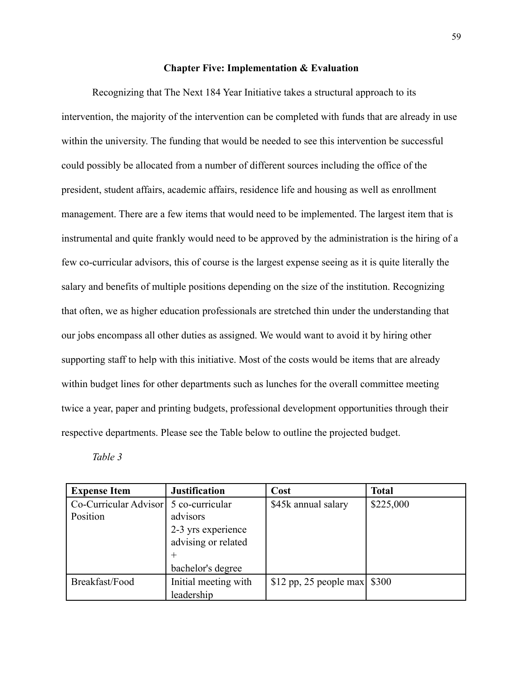# **Chapter Five: Implementation & Evaluation**

Recognizing that The Next 184 Year Initiative takes a structural approach to its intervention, the majority of the intervention can be completed with funds that are already in use within the university. The funding that would be needed to see this intervention be successful could possibly be allocated from a number of different sources including the office of the president, student affairs, academic affairs, residence life and housing as well as enrollment management. There are a few items that would need to be implemented. The largest item that is instrumental and quite frankly would need to be approved by the administration is the hiring of a few co-curricular advisors, this of course is the largest expense seeing as it is quite literally the salary and benefits of multiple positions depending on the size of the institution. Recognizing that often, we as higher education professionals are stretched thin under the understanding that our jobs encompass all other duties as assigned. We would want to avoid it by hiring other supporting staff to help with this initiative. Most of the costs would be items that are already within budget lines for other departments such as lunches for the overall committee meeting twice a year, paper and printing budgets, professional development opportunities through their respective departments. Please see the Table below to outline the projected budget.

*Table 3*

| <b>Expense Item</b>   | <b>Justification</b> | Cost                                 | <b>Total</b> |
|-----------------------|----------------------|--------------------------------------|--------------|
| Co-Curricular Advisor | 5 co-curricular      | \$45k annual salary                  | \$225,000    |
| Position              | advisors             |                                      |              |
|                       | 2-3 yrs experience   |                                      |              |
|                       | advising or related  |                                      |              |
|                       |                      |                                      |              |
|                       | bachelor's degree    |                                      |              |
| Breakfast/Food        | Initial meeting with | \$12 pp, 25 people max $\vert$ \$300 |              |
|                       | leadership           |                                      |              |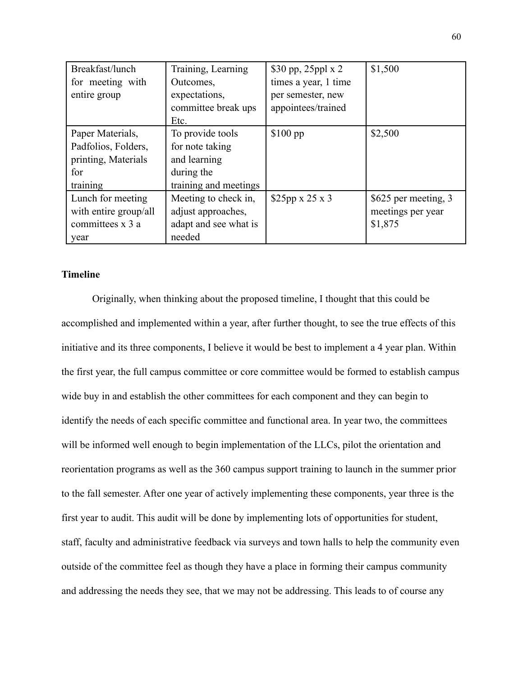| Breakfast/lunch       | Training, Learning    | \$30 pp, 25ppl x 2         | \$1,500              |
|-----------------------|-----------------------|----------------------------|----------------------|
| for meeting with      | Outcomes,             | times a year, 1 time       |                      |
| entire group          | expectations,         | per semester, new          |                      |
|                       | committee break ups   | appointees/trained         |                      |
|                       | Etc.                  |                            |                      |
| Paper Materials,      | To provide tools      | $$100$ pp                  | \$2,500              |
| Padfolios, Folders,   | for note taking       |                            |                      |
| printing, Materials   | and learning          |                            |                      |
| for                   | during the            |                            |                      |
| training              | training and meetings |                            |                      |
| Lunch for meeting     | Meeting to check in,  | $$25pp \times 25 \times 3$ | \$625 per meeting, 3 |
| with entire group/all | adjust approaches,    |                            | meetings per year    |
| committees x 3 a      | adapt and see what is |                            | \$1,875              |
| year                  | needed                |                            |                      |

# **Timeline**

Originally, when thinking about the proposed timeline, I thought that this could be accomplished and implemented within a year, after further thought, to see the true effects of this initiative and its three components, I believe it would be best to implement a 4 year plan. Within the first year, the full campus committee or core committee would be formed to establish campus wide buy in and establish the other committees for each component and they can begin to identify the needs of each specific committee and functional area. In year two, the committees will be informed well enough to begin implementation of the LLCs, pilot the orientation and reorientation programs as well as the 360 campus support training to launch in the summer prior to the fall semester. After one year of actively implementing these components, year three is the first year to audit. This audit will be done by implementing lots of opportunities for student, staff, faculty and administrative feedback via surveys and town halls to help the community even outside of the committee feel as though they have a place in forming their campus community and addressing the needs they see, that we may not be addressing. This leads to of course any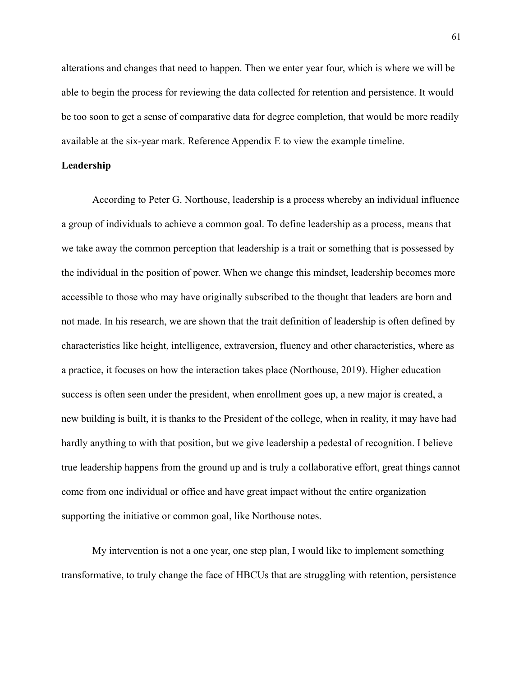alterations and changes that need to happen. Then we enter year four, which is where we will be able to begin the process for reviewing the data collected for retention and persistence. It would be too soon to get a sense of comparative data for degree completion, that would be more readily available at the six-year mark. Reference Appendix E to view the example timeline.

### **Leadership**

According to Peter G. Northouse, leadership is a process whereby an individual influence a group of individuals to achieve a common goal. To define leadership as a process, means that we take away the common perception that leadership is a trait or something that is possessed by the individual in the position of power. When we change this mindset, leadership becomes more accessible to those who may have originally subscribed to the thought that leaders are born and not made. In his research, we are shown that the trait definition of leadership is often defined by characteristics like height, intelligence, extraversion, fluency and other characteristics, where as a practice, it focuses on how the interaction takes place (Northouse, 2019). Higher education success is often seen under the president, when enrollment goes up, a new major is created, a new building is built, it is thanks to the President of the college, when in reality, it may have had hardly anything to with that position, but we give leadership a pedestal of recognition. I believe true leadership happens from the ground up and is truly a collaborative effort, great things cannot come from one individual or office and have great impact without the entire organization supporting the initiative or common goal, like Northouse notes.

My intervention is not a one year, one step plan, I would like to implement something transformative, to truly change the face of HBCUs that are struggling with retention, persistence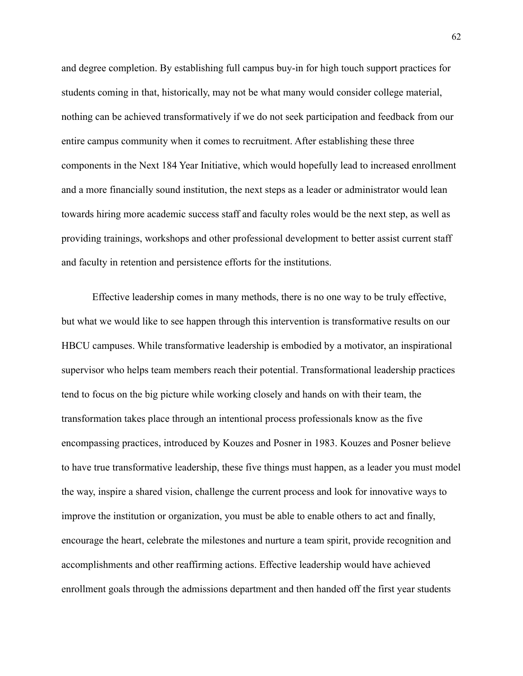and degree completion. By establishing full campus buy-in for high touch support practices for students coming in that, historically, may not be what many would consider college material, nothing can be achieved transformatively if we do not seek participation and feedback from our entire campus community when it comes to recruitment. After establishing these three components in the Next 184 Year Initiative, which would hopefully lead to increased enrollment and a more financially sound institution, the next steps as a leader or administrator would lean towards hiring more academic success staff and faculty roles would be the next step, as well as providing trainings, workshops and other professional development to better assist current staff and faculty in retention and persistence efforts for the institutions.

Effective leadership comes in many methods, there is no one way to be truly effective, but what we would like to see happen through this intervention is transformative results on our HBCU campuses. While transformative leadership is embodied by a motivator, an inspirational supervisor who helps team members reach their potential. Transformational leadership practices tend to focus on the big picture while working closely and hands on with their team, the transformation takes place through an intentional process professionals know as the five encompassing practices, introduced by Kouzes and Posner in 1983. Kouzes and Posner believe to have true transformative leadership, these five things must happen, as a leader you must model the way, inspire a shared vision, challenge the current process and look for innovative ways to improve the institution or organization, you must be able to enable others to act and finally, encourage the heart, celebrate the milestones and nurture a team spirit, provide recognition and accomplishments and other reaffirming actions. Effective leadership would have achieved enrollment goals through the admissions department and then handed off the first year students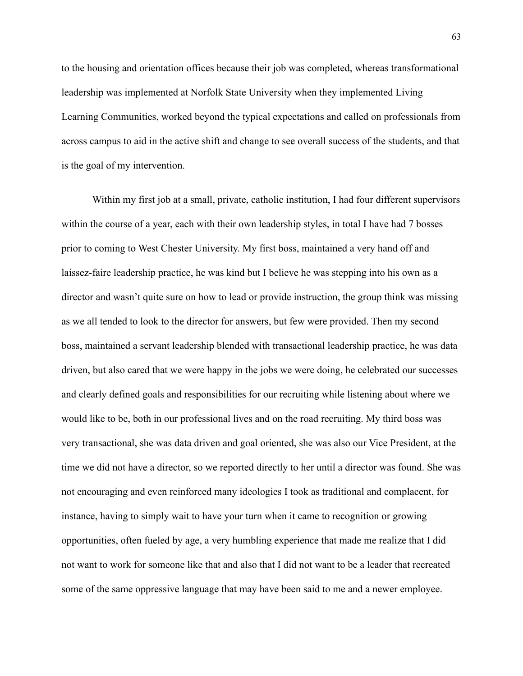to the housing and orientation offices because their job was completed, whereas transformational leadership was implemented at Norfolk State University when they implemented Living Learning Communities, worked beyond the typical expectations and called on professionals from across campus to aid in the active shift and change to see overall success of the students, and that is the goal of my intervention.

Within my first job at a small, private, catholic institution, I had four different supervisors within the course of a year, each with their own leadership styles, in total I have had 7 bosses prior to coming to West Chester University. My first boss, maintained a very hand off and laissez-faire leadership practice, he was kind but I believe he was stepping into his own as a director and wasn't quite sure on how to lead or provide instruction, the group think was missing as we all tended to look to the director for answers, but few were provided. Then my second boss, maintained a servant leadership blended with transactional leadership practice, he was data driven, but also cared that we were happy in the jobs we were doing, he celebrated our successes and clearly defined goals and responsibilities for our recruiting while listening about where we would like to be, both in our professional lives and on the road recruiting. My third boss was very transactional, she was data driven and goal oriented, she was also our Vice President, at the time we did not have a director, so we reported directly to her until a director was found. She was not encouraging and even reinforced many ideologies I took as traditional and complacent, for instance, having to simply wait to have your turn when it came to recognition or growing opportunities, often fueled by age, a very humbling experience that made me realize that I did not want to work for someone like that and also that I did not want to be a leader that recreated some of the same oppressive language that may have been said to me and a newer employee.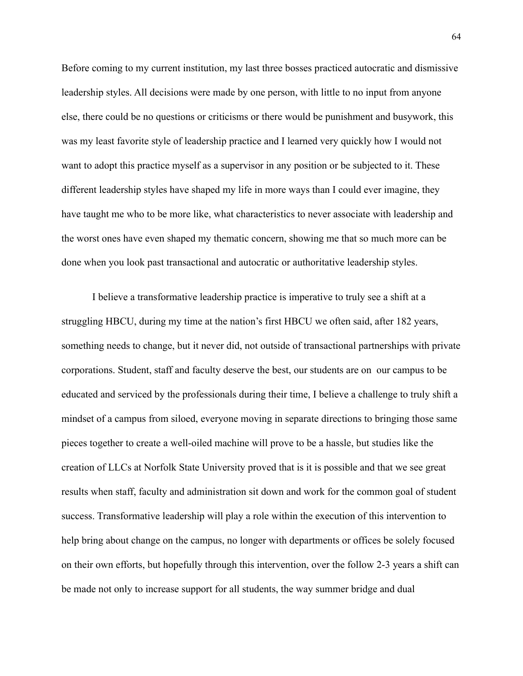Before coming to my current institution, my last three bosses practiced autocratic and dismissive leadership styles. All decisions were made by one person, with little to no input from anyone else, there could be no questions or criticisms or there would be punishment and busywork, this was my least favorite style of leadership practice and I learned very quickly how I would not want to adopt this practice myself as a supervisor in any position or be subjected to it. These different leadership styles have shaped my life in more ways than I could ever imagine, they have taught me who to be more like, what characteristics to never associate with leadership and the worst ones have even shaped my thematic concern, showing me that so much more can be done when you look past transactional and autocratic or authoritative leadership styles.

I believe a transformative leadership practice is imperative to truly see a shift at a struggling HBCU, during my time at the nation's first HBCU we often said, after 182 years, something needs to change, but it never did, not outside of transactional partnerships with private corporations. Student, staff and faculty deserve the best, our students are on our campus to be educated and serviced by the professionals during their time, I believe a challenge to truly shift a mindset of a campus from siloed, everyone moving in separate directions to bringing those same pieces together to create a well-oiled machine will prove to be a hassle, but studies like the creation of LLCs at Norfolk State University proved that is it is possible and that we see great results when staff, faculty and administration sit down and work for the common goal of student success. Transformative leadership will play a role within the execution of this intervention to help bring about change on the campus, no longer with departments or offices be solely focused on their own efforts, but hopefully through this intervention, over the follow 2-3 years a shift can be made not only to increase support for all students, the way summer bridge and dual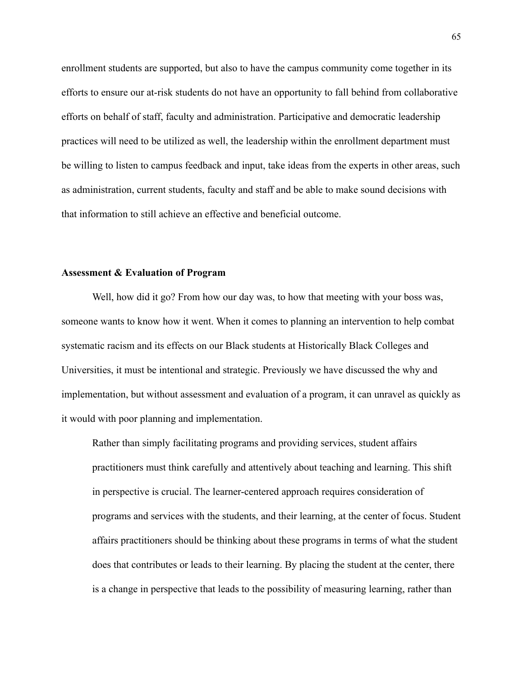enrollment students are supported, but also to have the campus community come together in its efforts to ensure our at-risk students do not have an opportunity to fall behind from collaborative efforts on behalf of staff, faculty and administration. Participative and democratic leadership practices will need to be utilized as well, the leadership within the enrollment department must be willing to listen to campus feedback and input, take ideas from the experts in other areas, such as administration, current students, faculty and staff and be able to make sound decisions with that information to still achieve an effective and beneficial outcome.

#### **Assessment & Evaluation of Program**

Well, how did it go? From how our day was, to how that meeting with your boss was, someone wants to know how it went. When it comes to planning an intervention to help combat systematic racism and its effects on our Black students at Historically Black Colleges and Universities, it must be intentional and strategic. Previously we have discussed the why and implementation, but without assessment and evaluation of a program, it can unravel as quickly as it would with poor planning and implementation.

Rather than simply facilitating programs and providing services, student affairs practitioners must think carefully and attentively about teaching and learning. This shift in perspective is crucial. The learner-centered approach requires consideration of programs and services with the students, and their learning, at the center of focus. Student affairs practitioners should be thinking about these programs in terms of what the student does that contributes or leads to their learning. By placing the student at the center, there is a change in perspective that leads to the possibility of measuring learning, rather than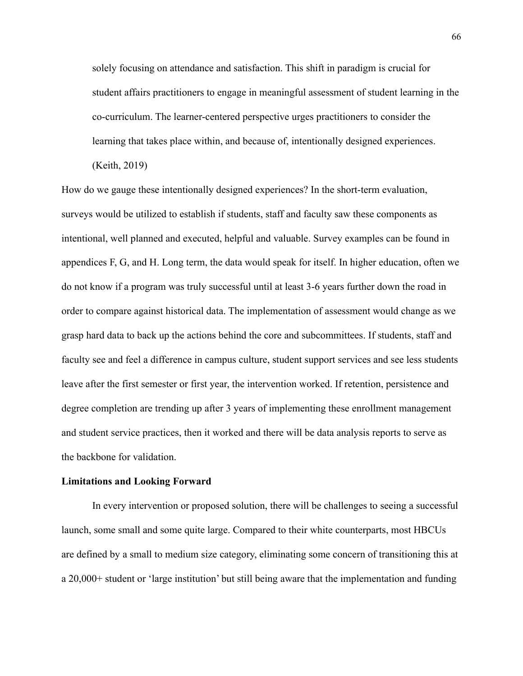solely focusing on attendance and satisfaction. This shift in paradigm is crucial for student affairs practitioners to engage in meaningful assessment of student learning in the co-curriculum. The learner-centered perspective urges practitioners to consider the learning that takes place within, and because of, intentionally designed experiences.

(Keith, 2019)

How do we gauge these intentionally designed experiences? In the short-term evaluation, surveys would be utilized to establish if students, staff and faculty saw these components as intentional, well planned and executed, helpful and valuable. Survey examples can be found in appendices F, G, and H. Long term, the data would speak for itself. In higher education, often we do not know if a program was truly successful until at least 3-6 years further down the road in order to compare against historical data. The implementation of assessment would change as we grasp hard data to back up the actions behind the core and subcommittees. If students, staff and faculty see and feel a difference in campus culture, student support services and see less students leave after the first semester or first year, the intervention worked. If retention, persistence and degree completion are trending up after 3 years of implementing these enrollment management and student service practices, then it worked and there will be data analysis reports to serve as the backbone for validation.

#### **Limitations and Looking Forward**

In every intervention or proposed solution, there will be challenges to seeing a successful launch, some small and some quite large. Compared to their white counterparts, most HBCUs are defined by a small to medium size category, eliminating some concern of transitioning this at a 20,000+ student or 'large institution' but still being aware that the implementation and funding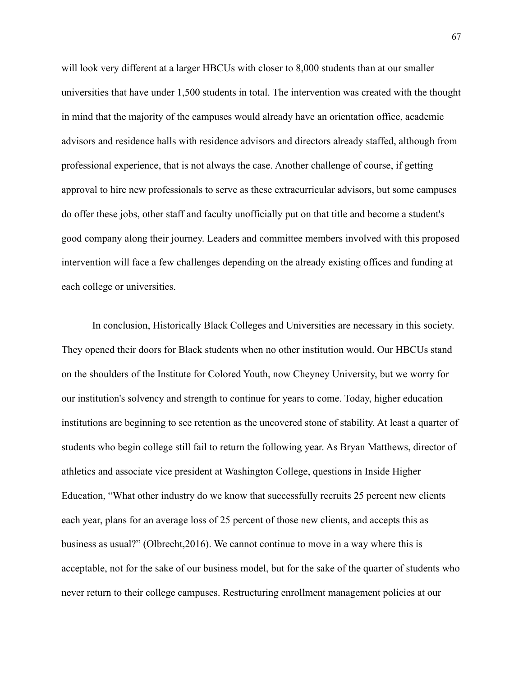will look very different at a larger HBCUs with closer to 8,000 students than at our smaller universities that have under 1,500 students in total. The intervention was created with the thought in mind that the majority of the campuses would already have an orientation office, academic advisors and residence halls with residence advisors and directors already staffed, although from professional experience, that is not always the case. Another challenge of course, if getting approval to hire new professionals to serve as these extracurricular advisors, but some campuses do offer these jobs, other staff and faculty unofficially put on that title and become a student's good company along their journey. Leaders and committee members involved with this proposed intervention will face a few challenges depending on the already existing offices and funding at each college or universities.

In conclusion, Historically Black Colleges and Universities are necessary in this society. They opened their doors for Black students when no other institution would. Our HBCUs stand on the shoulders of the Institute for Colored Youth, now Cheyney University, but we worry for our institution's solvency and strength to continue for years to come. Today, higher education institutions are beginning to see retention as the uncovered stone of stability. At least a quarter of students who begin college still fail to return the following year. As Bryan Matthews, director of athletics and associate vice president at Washington College, questions in Inside Higher Education, "What other industry do we know that successfully recruits 25 percent new clients each year, plans for an average loss of 25 percent of those new clients, and accepts this as business as usual?" (Olbrecht,2016). We cannot continue to move in a way where this is acceptable, not for the sake of our business model, but for the sake of the quarter of students who never return to their college campuses. Restructuring enrollment management policies at our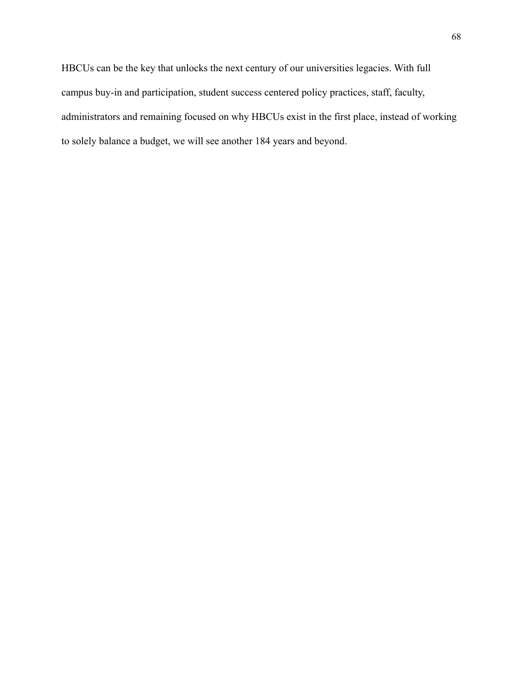HBCUs can be the key that unlocks the next century of our universities legacies. With full campus buy-in and participation, student success centered policy practices, staff, faculty, administrators and remaining focused on why HBCUs exist in the first place, instead of working to solely balance a budget, we will see another 184 years and beyond.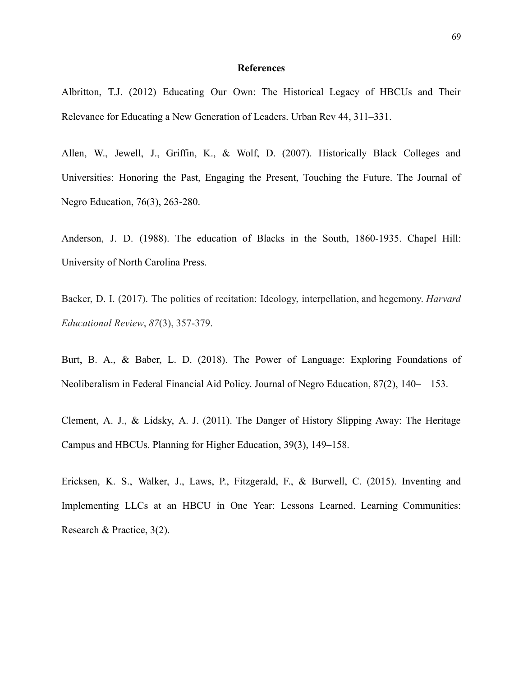#### **References**

Albritton, T.J. (2012) Educating Our Own: The Historical Legacy of HBCUs and Their Relevance for Educating a New Generation of Leaders. Urban Rev 44, 311–331.

Allen, W., Jewell, J., Griffin, K., & Wolf, D. (2007). Historically Black Colleges and Universities: Honoring the Past, Engaging the Present, Touching the Future. The Journal of Negro Education, 76(3), 263-280.

Anderson, J. D. (1988). The education of Blacks in the South, 1860-1935. Chapel Hill: University of North Carolina Press.

Backer, D. I. (2017). The politics of recitation: Ideology, interpellation, and hegemony. *Harvard Educational Review*, *87*(3), 357-379.

Burt, B. A., & Baber, L. D. (2018). The Power of Language: Exploring Foundations of Neoliberalism in Federal Financial Aid Policy. Journal of Negro Education, 87(2), 140– 153.

Clement, A. J., & Lidsky, A. J. (2011). The Danger of History Slipping Away: The Heritage Campus and HBCUs. Planning for Higher Education, 39(3), 149–158.

Ericksen, K. S., Walker, J., Laws, P., Fitzgerald, F., & Burwell, C. (2015). Inventing and Implementing LLCs at an HBCU in One Year: Lessons Learned. Learning Communities: Research & Practice, 3(2).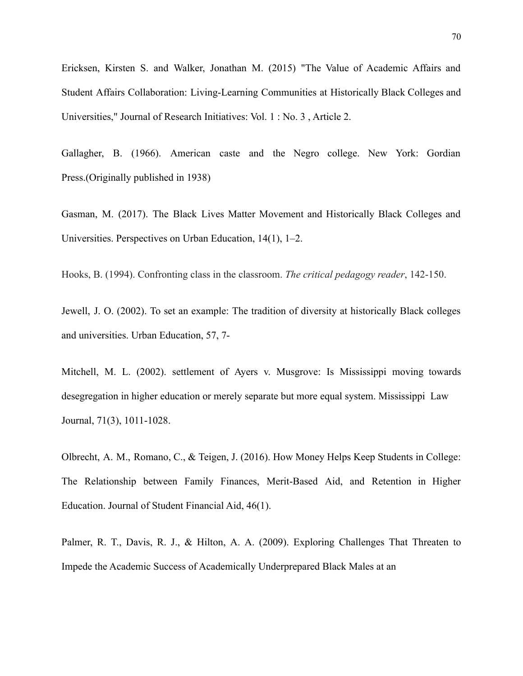Ericksen, Kirsten S. and Walker, Jonathan M. (2015) "The Value of Academic Affairs and Student Affairs Collaboration: Living-Learning Communities at Historically Black Colleges and Universities," Journal of Research Initiatives: Vol. 1 : No. 3 , Article 2.

Gallagher, B. (1966). American caste and the Negro college. New York: Gordian Press.(Originally published in 1938)

Gasman, M. (2017). The Black Lives Matter Movement and Historically Black Colleges and Universities. Perspectives on Urban Education, 14(1), 1–2.

Hooks, B. (1994). Confronting class in the classroom. *The critical pedagogy reader*, 142-150.

Jewell, J. O. (2002). To set an example: The tradition of diversity at historically Black colleges and universities. Urban Education, 57, 7-

Mitchell, M. L. (2002). settlement of Ayers v. Musgrove: Is Mississippi moving towards desegregation in higher education or merely separate but more equal system. Mississippi Law Journal, 71(3), 1011-1028.

Olbrecht, A. M., Romano, C., & Teigen, J. (2016). How Money Helps Keep Students in College: The Relationship between Family Finances, Merit-Based Aid, and Retention in Higher Education. Journal of Student Financial Aid, 46(1).

Palmer, R. T., Davis, R. J., & Hilton, A. A. (2009). Exploring Challenges That Threaten to Impede the Academic Success of Academically Underprepared Black Males at an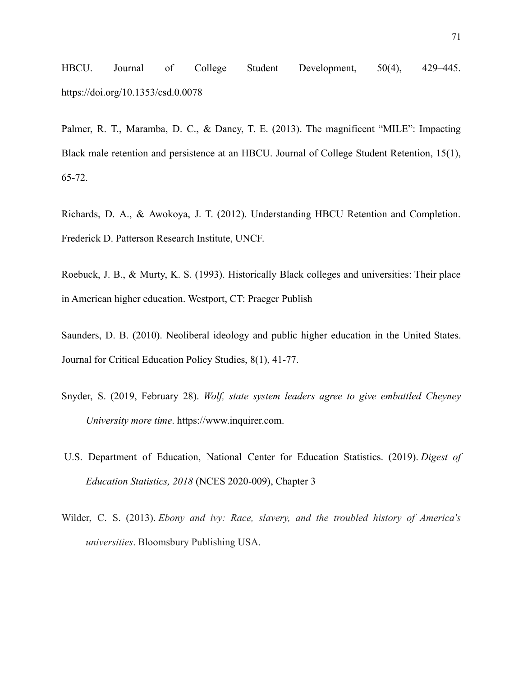HBCU. Journal of College Student Development, 50(4), 429–445. https://doi.org/10.1353/csd.0.0078

Palmer, R. T., Maramba, D. C., & Dancy, T. E. (2013). The magnificent "MILE": Impacting Black male retention and persistence at an HBCU. Journal of College Student Retention, 15(1), 65-72.

Richards, D. A., & Awokoya, J. T. (2012). Understanding HBCU Retention and Completion. Frederick D. Patterson Research Institute, UNCF.

Roebuck, J. B., & Murty, K. S. (1993). Historically Black colleges and universities: Their place in American higher education. Westport, CT: Praeger Publish

Saunders, D. B. (2010). Neoliberal ideology and public higher education in the United States. Journal for Critical Education Policy Studies, 8(1), 41-77.

- Snyder, S. (2019, February 28). *Wolf, state system leaders agree to give embattled Cheyney University more time*. https://www.inquirer.com.
- U.S. Department of Education, National Center for Education Statistics. (2019). *Digest of Education Statistics, 2018* (NCES 2020-009), Chapter 3
- Wilder, C. S. (2013). *Ebony and ivy: Race, slavery, and the troubled history of America's universities*. Bloomsbury Publishing USA.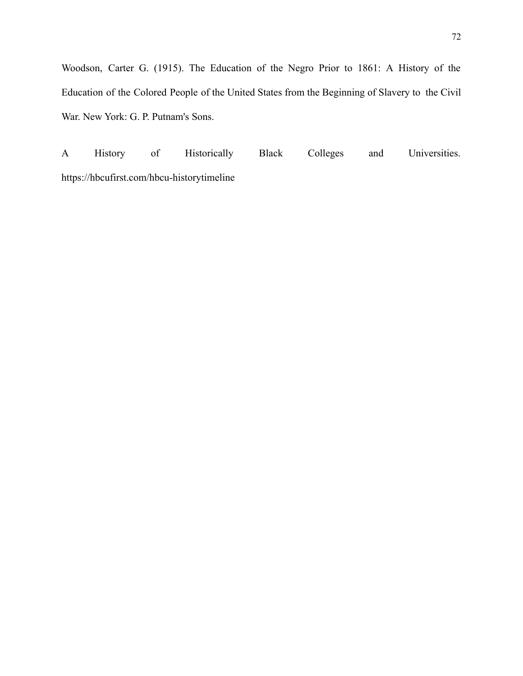Woodson, Carter G. (1915). The Education of the Negro Prior to 1861: A History of the Education of the Colored People of the United States from the Beginning of Slavery to the Civil War. New York: G. P. Putnam's Sons.

A History of Historically Black Colleges and Universities. https://hbcufirst.com/hbcu-historytimeline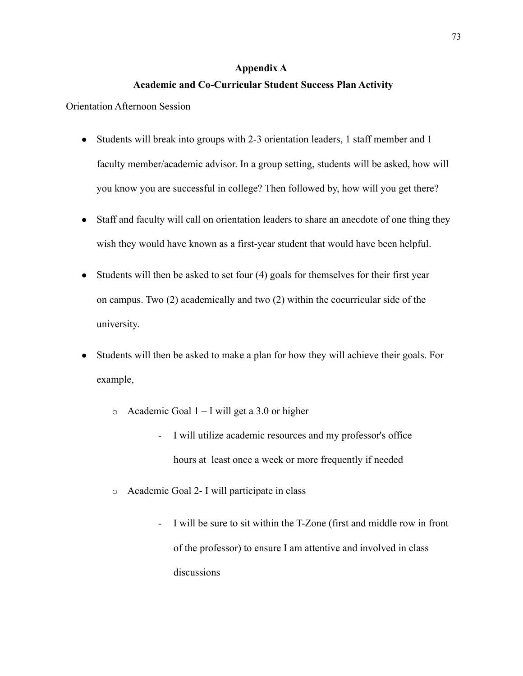#### **Appendix A**

#### **Academic and Co-Curricular Student Success Plan Activity**

Orientation Afternoon Session

- Students will break into groups with 2-3 orientation leaders, 1 staff member and 1 faculty member/academic advisor. In a group setting, students will be asked, how will you know you are successful in college? Then followed by, how will you get there?
- Staff and faculty will call on orientation leaders to share an anecdote of one thing they wish they would have known as a first-year student that would have been helpful.
- Students will then be asked to set four (4) goals for themselves for their first year on campus. Two (2) academically and two (2) within the cocurricular side of the university.
- Students will then be asked to make a plan for how they will achieve their goals. For example,
	- o Academic Goal 1 I will get a 3.0 or higher
		- I will utilize academic resources and my professor's office hours at least once a week or more frequently if needed
	- o Academic Goal 2- I will participate in class
		- I will be sure to sit within the T-Zone (first and middle row in front of the professor) to ensure I am attentive and involved in class discussions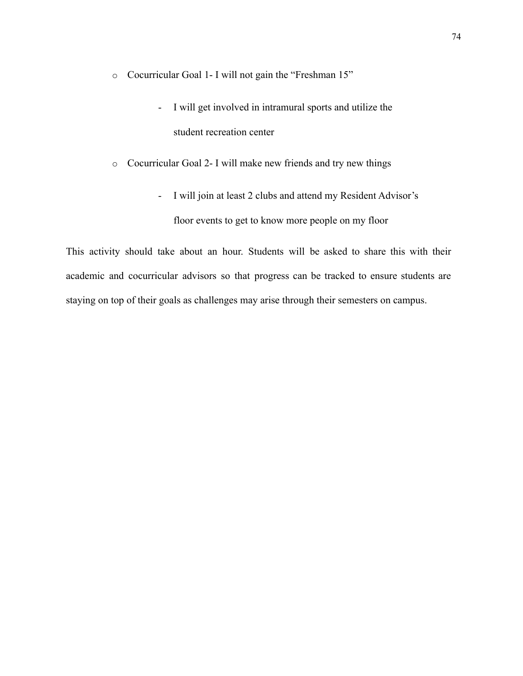- o Cocurricular Goal 1- I will not gain the "Freshman 15"
	- I will get involved in intramural sports and utilize the student recreation center
- o Cocurricular Goal 2- I will make new friends and try new things
	- I will join at least 2 clubs and attend my Resident Advisor's floor events to get to know more people on my floor

This activity should take about an hour. Students will be asked to share this with their academic and cocurricular advisors so that progress can be tracked to ensure students are staying on top of their goals as challenges may arise through their semesters on campus.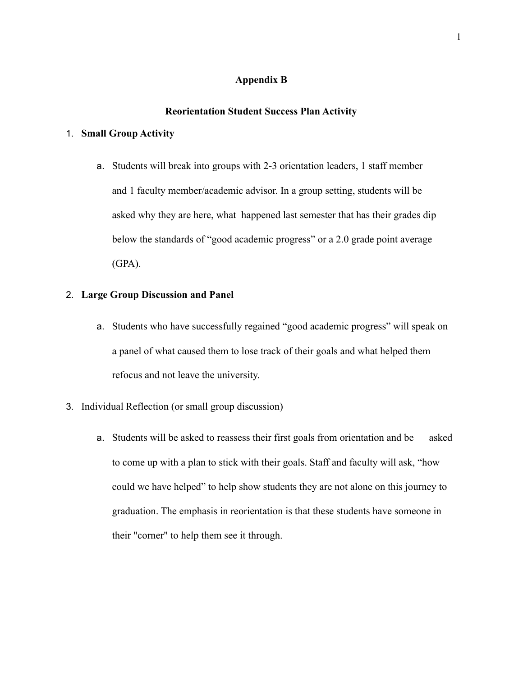#### **Appendix B**

#### **Reorientation Student Success Plan Activity**

#### 1. **Small Group Activity**

a. Students will break into groups with 2-3 orientation leaders, 1 staff member and 1 faculty member/academic advisor. In a group setting, students will be asked why they are here, what happened last semester that has their grades dip below the standards of "good academic progress" or a 2.0 grade point average (GPA).

#### 2. **Large Group Discussion and Panel**

- a. Students who have successfully regained "good academic progress" will speak on a panel of what caused them to lose track of their goals and what helped them refocus and not leave the university.
- 3. Individual Reflection (or small group discussion)
	- a. Students will be asked to reassess their first goals from orientation and be asked to come up with a plan to stick with their goals. Staff and faculty will ask, "how could we have helped" to help show students they are not alone on this journey to graduation. The emphasis in reorientation is that these students have someone in their "corner" to help them see it through.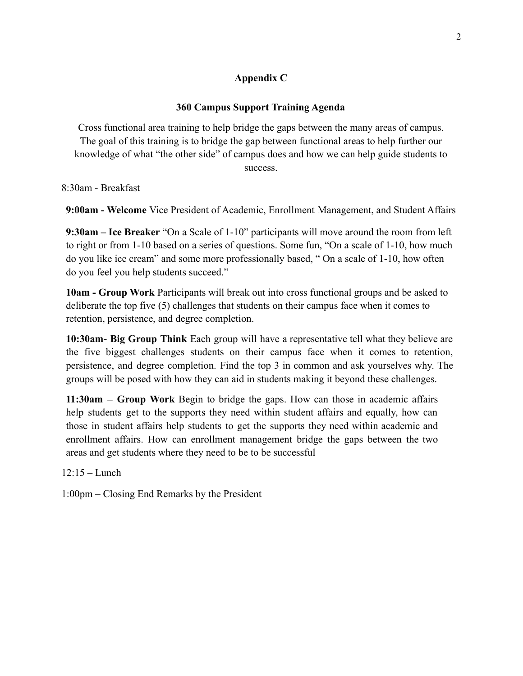### **Appendix C**

#### **360 Campus Support Training Agenda**

Cross functional area training to help bridge the gaps between the many areas of campus. The goal of this training is to bridge the gap between functional areas to help further our knowledge of what "the other side" of campus does and how we can help guide students to success.

8:30am - Breakfast

**9:00am - Welcome** Vice President of Academic, Enrollment Management, and Student Affairs

**9:30am – Ice Breaker** "On a Scale of 1-10" participants will move around the room from left to right or from 1-10 based on a series of questions. Some fun, "On a scale of 1-10, how much do you like ice cream" and some more professionally based, " On a scale of 1-10, how often do you feel you help students succeed."

**10am - Group Work** Participants will break out into cross functional groups and be asked to deliberate the top five (5) challenges that students on their campus face when it comes to retention, persistence, and degree completion.

**10:30am- Big Group Think** Each group will have a representative tell what they believe are the five biggest challenges students on their campus face when it comes to retention, persistence, and degree completion. Find the top 3 in common and ask yourselves why. The groups will be posed with how they can aid in students making it beyond these challenges.

**11:30am – Group Work** Begin to bridge the gaps. How can those in academic affairs help students get to the supports they need within student affairs and equally, how can those in student affairs help students to get the supports they need within academic and enrollment affairs. How can enrollment management bridge the gaps between the two areas and get students where they need to be to be successful

12:15 – Lunch

1:00pm – Closing End Remarks by the President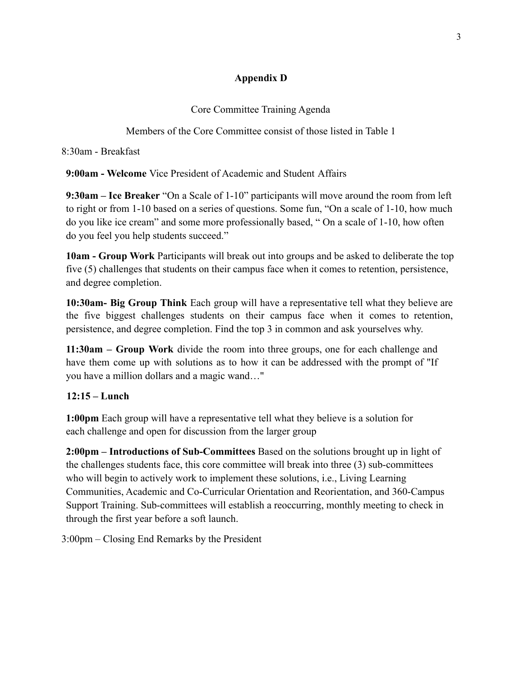### **Appendix D**

Core Committee Training Agenda

Members of the Core Committee consist of those listed in Table 1

8:30am - Breakfast

**9:00am - Welcome** Vice President of Academic and Student Affairs

**9:30am – Ice Breaker** "On a Scale of 1-10" participants will move around the room from left to right or from 1-10 based on a series of questions. Some fun, "On a scale of 1-10, how much do you like ice cream" and some more professionally based, " On a scale of 1-10, how often do you feel you help students succeed."

**10am - Group Work** Participants will break out into groups and be asked to deliberate the top five (5) challenges that students on their campus face when it comes to retention, persistence, and degree completion.

**10:30am- Big Group Think** Each group will have a representative tell what they believe are the five biggest challenges students on their campus face when it comes to retention, persistence, and degree completion. Find the top 3 in common and ask yourselves why.

**11:30am – Group Work** divide the room into three groups, one for each challenge and have them come up with solutions as to how it can be addressed with the prompt of "If you have a million dollars and a magic wand…"

# **12:15 – Lunch**

**1:00pm** Each group will have a representative tell what they believe is a solution for each challenge and open for discussion from the larger group

**2:00pm – Introductions of Sub-Committees** Based on the solutions brought up in light of the challenges students face, this core committee will break into three (3) sub-committees who will begin to actively work to implement these solutions, i.e., Living Learning Communities, Academic and Co-Curricular Orientation and Reorientation, and 360-Campus Support Training. Sub-committees will establish a reoccurring, monthly meeting to check in through the first year before a soft launch.

3:00pm – Closing End Remarks by the President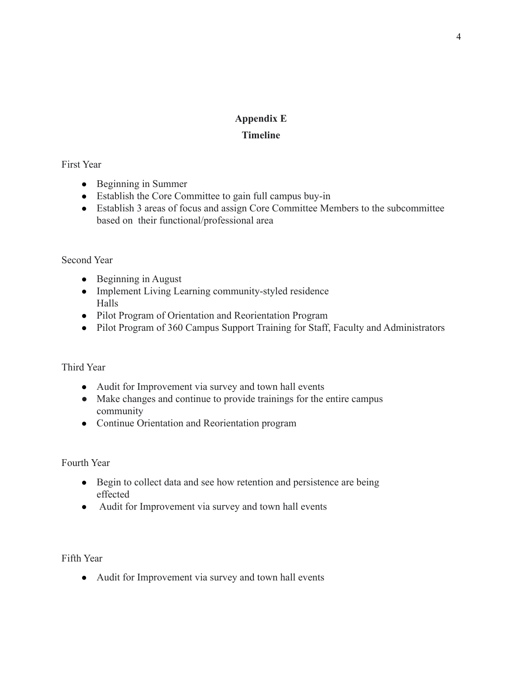### **Appendix E**

### **Timeline**

### First Year

- Beginning in Summer
- Establish the Core Committee to gain full campus buy-in
- Establish 3 areas of focus and assign Core Committee Members to the subcommittee based on their functional/professional area

# Second Year

- Beginning in August
- Implement Living Learning community-styled residence Halls
- Pilot Program of Orientation and Reorientation Program
- Pilot Program of 360 Campus Support Training for Staff, Faculty and Administrators

# Third Year

- Audit for Improvement via survey and town hall events
- Make changes and continue to provide trainings for the entire campus community
- Continue Orientation and Reorientation program

Fourth Year

- Begin to collect data and see how retention and persistence are being effected
- Audit for Improvement via survey and town hall events

Fifth Year

● Audit for Improvement via survey and town hall events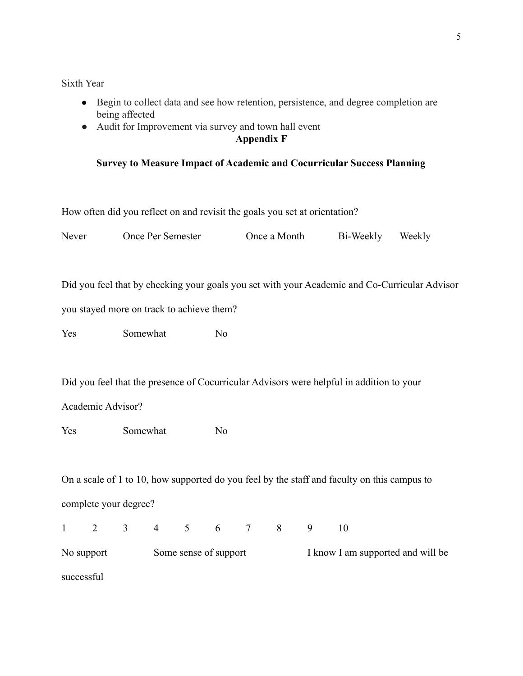Sixth Year

- Begin to collect data and see how retention, persistence, and degree completion are being affected
- Audit for Improvement via survey and town hall event

### **Appendix F**

### **Survey to Measure Impact of Academic and Cocurricular Success Planning**

How often did you reflect on and revisit the goals you set at orientation?

| Never                                                                                         | Once Per Semester                                                                        |                | Once a Month |  |                |  | Bi-Weekly |   | Weekly |  |  |  |
|-----------------------------------------------------------------------------------------------|------------------------------------------------------------------------------------------|----------------|--------------|--|----------------|--|-----------|---|--------|--|--|--|
|                                                                                               |                                                                                          |                |              |  |                |  |           |   |        |  |  |  |
| Did you feel that by checking your goals you set with your Academic and Co-Curricular Advisor |                                                                                          |                |              |  |                |  |           |   |        |  |  |  |
| you stayed more on track to achieve them?                                                     |                                                                                          |                |              |  |                |  |           |   |        |  |  |  |
| Yes                                                                                           |                                                                                          | Somewhat       |              |  | N <sub>0</sub> |  |           |   |        |  |  |  |
|                                                                                               |                                                                                          |                |              |  |                |  |           |   |        |  |  |  |
|                                                                                               | Did you feel that the presence of Cocurricular Advisors were helpful in addition to your |                |              |  |                |  |           |   |        |  |  |  |
| Academic Advisor?                                                                             |                                                                                          |                |              |  |                |  |           |   |        |  |  |  |
| Yes                                                                                           |                                                                                          | Somewhat       |              |  | N <sub>0</sub> |  |           |   |        |  |  |  |
|                                                                                               |                                                                                          |                |              |  |                |  |           |   |        |  |  |  |
| On a scale of 1 to 10, how supported do you feel by the staff and faculty on this campus to   |                                                                                          |                |              |  |                |  |           |   |        |  |  |  |
| complete your degree?                                                                         |                                                                                          |                |              |  |                |  |           |   |        |  |  |  |
| $\mathbf{1}$                                                                                  | $\overline{2}$                                                                           | 3 <sup>7</sup> |              |  | 4 5 6 7        |  | 8         | 9 | 10     |  |  |  |
|                                                                                               |                                                                                          |                |              |  |                |  |           |   |        |  |  |  |

No support Some sense of support I know I am supported and will be successful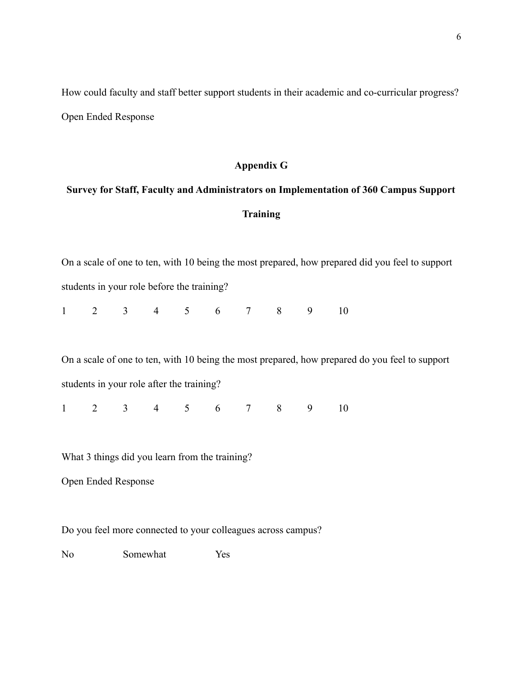How could faculty and staff better support students in their academic and co-curricular progress? Open Ended Response

#### **Appendix G**

# **Survey for Staff, Faculty and Administrators on Implementation of 360 Campus Support Training**

On a scale of one to ten, with 10 being the most prepared, how prepared did you feel to support students in your role before the training?

|  |  | $1 \t2 \t3 \t4 \t5 \t6 \t7 \t8 \t9 \t10$ |  |  |  |
|--|--|------------------------------------------|--|--|--|
|  |  |                                          |  |  |  |

On a scale of one to ten, with 10 being the most prepared, how prepared do you feel to support students in your role after the training?

1 2 3 4 5 6 7 8 9 10

What 3 things did you learn from the training?

Open Ended Response

Do you feel more connected to your colleagues across campus?

No Somewhat Yes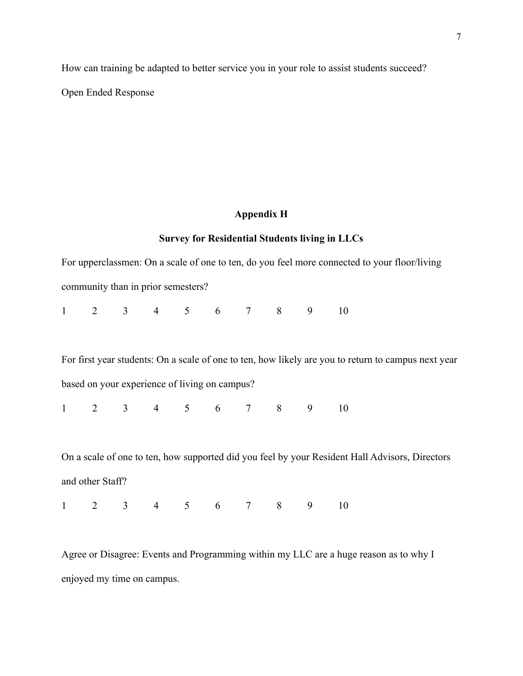How can training be adapted to better service you in your role to assist students succeed? Open Ended Response

# **Appendix H**

# **Survey for Residential Students living in LLCs**

|                  |                                               |  |  |                                                                                        | For upperclassmen: On a scale of one to ten, do you feel more connected to your floor/living        |  |
|------------------|-----------------------------------------------|--|--|----------------------------------------------------------------------------------------|-----------------------------------------------------------------------------------------------------|--|
|                  | community than in prior semesters?            |  |  |                                                                                        |                                                                                                     |  |
|                  |                                               |  |  | $\begin{array}{cccccccccccccccccc} 1 & 2 & 3 & 4 & 5 & 6 & 7 & 8 & 9 & 10 \end{array}$ |                                                                                                     |  |
|                  |                                               |  |  |                                                                                        | For first year students: On a scale of one to ten, how likely are you to return to campus next year |  |
|                  | based on your experience of living on campus? |  |  |                                                                                        |                                                                                                     |  |
|                  |                                               |  |  | $1 \t2 \t3 \t4 \t5 \t6 \t7 \t8 \t9 \t10$                                               |                                                                                                     |  |
|                  |                                               |  |  |                                                                                        | On a scale of one to ten, how supported did you feel by your Resident Hall Advisors, Directors      |  |
| and other Staff? |                                               |  |  |                                                                                        |                                                                                                     |  |
|                  |                                               |  |  | $1 \t2 \t3 \t4 \t5 \t6 \t7 \t8 \t9 \t10$                                               |                                                                                                     |  |

Agree or Disagree: Events and Programming within my LLC are a huge reason as to why I enjoyed my time on campus.